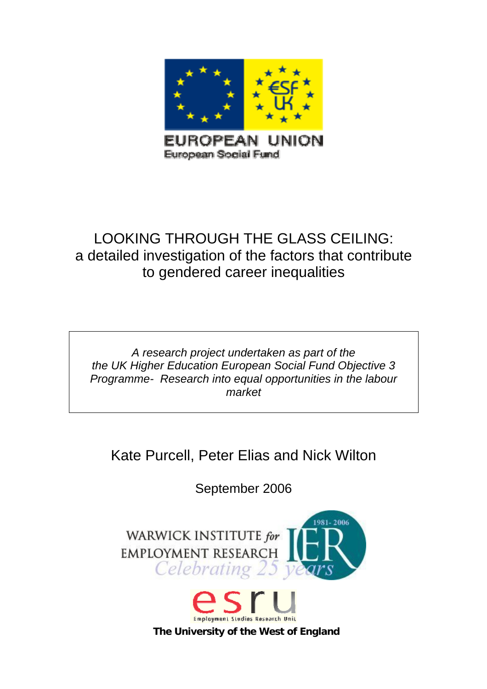

# LOOKING THROUGH THE GLASS CEILING: a detailed investigation of the factors that contribute to gendered career inequalities

*A research project undertaken as part of the the UK Higher Education European Social Fund Objective 3 Programme- Research into equal opportunities in the labour market* 

# Kate Purcell, Peter Elias and Nick Wilton

September 2006



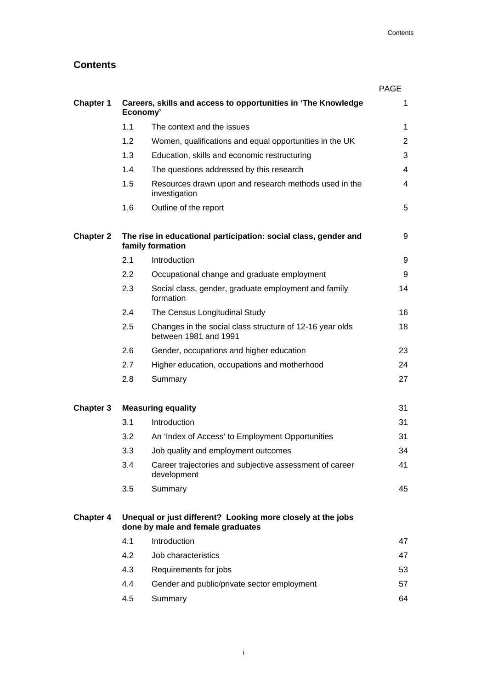## **Contents**

|                  |          |                                                                                                  | PAGE                    |
|------------------|----------|--------------------------------------------------------------------------------------------------|-------------------------|
| <b>Chapter 1</b> | Economy' | Careers, skills and access to opportunities in 'The Knowledge                                    | 1                       |
|                  | 1.1      | The context and the issues                                                                       | 1                       |
|                  | 1.2      | Women, qualifications and equal opportunities in the UK                                          | $\overline{2}$          |
|                  | 1.3      | Education, skills and economic restructuring                                                     | 3                       |
|                  | 1.4      | The questions addressed by this research                                                         | $\overline{\mathbf{4}}$ |
|                  | 1.5      | Resources drawn upon and research methods used in the<br>investigation                           | $\overline{4}$          |
|                  | 1.6      | Outline of the report                                                                            | 5                       |
| <b>Chapter 2</b> |          | The rise in educational participation: social class, gender and<br>family formation              | 9                       |
|                  | 2.1      | Introduction                                                                                     | 9                       |
|                  | 2.2      | Occupational change and graduate employment                                                      | 9                       |
|                  | 2.3      | Social class, gender, graduate employment and family<br>formation                                | 14                      |
|                  | 2.4      | The Census Longitudinal Study                                                                    | 16                      |
|                  | 2.5      | Changes in the social class structure of 12-16 year olds<br>between 1981 and 1991                | 18                      |
|                  | 2.6      | Gender, occupations and higher education                                                         | 23                      |
|                  | 2.7      | Higher education, occupations and motherhood                                                     | 24                      |
|                  | 2.8      | Summary                                                                                          | 27                      |
| <b>Chapter 3</b> |          | <b>Measuring equality</b>                                                                        | 31                      |
|                  | 3.1      | Introduction                                                                                     | 31                      |
|                  | 3.2      | An 'Index of Access' to Employment Opportunities                                                 | 31                      |
|                  | 3.3      | Job quality and employment outcomes                                                              | 34                      |
|                  | 3.4      | Career trajectories and subjective assessment of career<br>development                           | 41                      |
|                  | 3.5      | Summary                                                                                          | 45                      |
| <b>Chapter 4</b> |          | Unequal or just different? Looking more closely at the jobs<br>done by male and female graduates |                         |
|                  | 4.1      | Introduction                                                                                     | 47                      |
|                  | 4.2      | Job characteristics                                                                              | 47                      |
|                  | 4.3      | Requirements for jobs                                                                            | 53                      |
|                  | 4.4      | Gender and public/private sector employment                                                      | 57                      |
|                  | 4.5      | Summary                                                                                          | 64                      |
|                  |          |                                                                                                  |                         |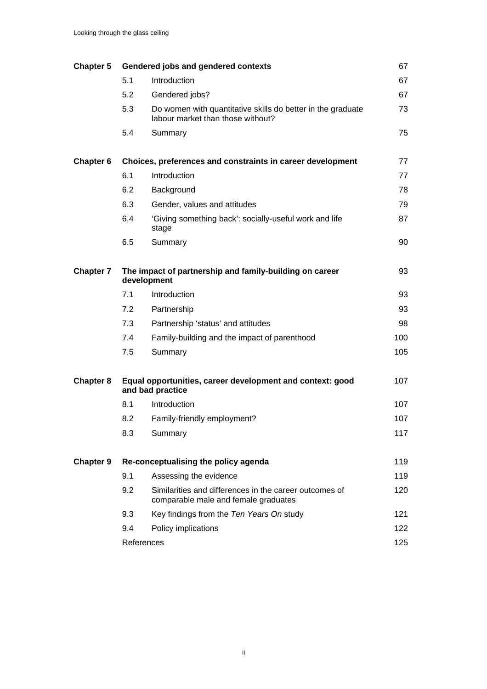| <b>Chapter 5</b> |     | Gendered jobs and gendered contexts                                                              | 67  |
|------------------|-----|--------------------------------------------------------------------------------------------------|-----|
|                  | 5.1 | Introduction                                                                                     | 67  |
|                  | 5.2 | Gendered jobs?                                                                                   | 67  |
|                  | 5.3 | Do women with quantitative skills do better in the graduate<br>labour market than those without? | 73  |
|                  | 5.4 | Summary                                                                                          | 75  |
| <b>Chapter 6</b> |     | Choices, preferences and constraints in career development                                       | 77  |
|                  | 6.1 | Introduction                                                                                     | 77  |
|                  | 6.2 | Background                                                                                       | 78  |
|                  | 6.3 | Gender, values and attitudes                                                                     | 79  |
|                  | 6.4 | 'Giving something back': socially-useful work and life<br>stage                                  | 87  |
|                  | 6.5 | Summary                                                                                          | 90  |
| <b>Chapter 7</b> |     | The impact of partnership and family-building on career<br>development                           | 93  |
|                  | 7.1 | Introduction                                                                                     | 93  |
|                  | 7.2 | Partnership                                                                                      | 93  |
|                  | 7.3 | Partnership 'status' and attitudes                                                               | 98  |
|                  | 7.4 | Family-building and the impact of parenthood                                                     | 100 |
|                  | 7.5 | Summary                                                                                          | 105 |
| <b>Chapter 8</b> |     | Equal opportunities, career development and context: good<br>and bad practice                    | 107 |
|                  | 8.1 | Introduction                                                                                     | 107 |
|                  | 8.2 | Family-friendly employment?                                                                      | 107 |
|                  | 8.3 | Summary                                                                                          | 117 |
| <b>Chapter 9</b> |     | Re-conceptualising the policy agenda                                                             | 119 |
|                  | 9.1 | Assessing the evidence                                                                           | 119 |
|                  | 9.2 | Similarities and differences in the career outcomes of<br>comparable male and female graduates   | 120 |
|                  | 9.3 | Key findings from the Ten Years On study                                                         | 121 |
|                  | 9.4 | Policy implications                                                                              | 122 |
|                  |     | References                                                                                       | 125 |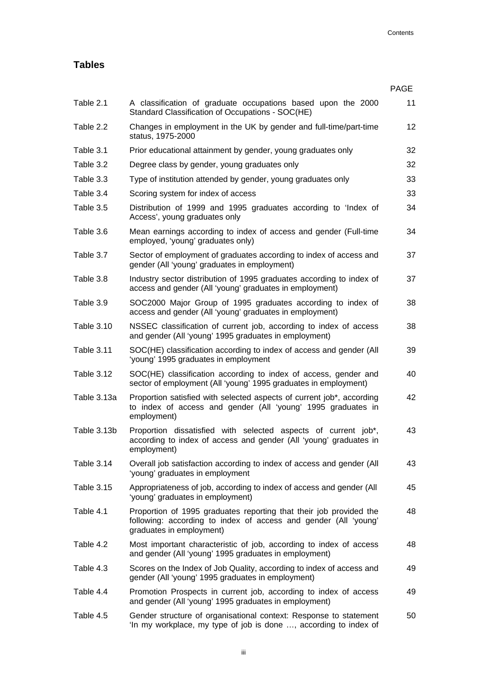## **Tables**

|             |                                                                                                                                                                   | <b>PAGE</b> |
|-------------|-------------------------------------------------------------------------------------------------------------------------------------------------------------------|-------------|
| Table 2.1   | A classification of graduate occupations based upon the 2000<br>Standard Classification of Occupations - SOC(HE)                                                  | 11          |
| Table 2.2   | Changes in employment in the UK by gender and full-time/part-time<br>status, 1975-2000                                                                            | 12          |
| Table 3.1   | Prior educational attainment by gender, young graduates only                                                                                                      | 32          |
| Table 3.2   | Degree class by gender, young graduates only                                                                                                                      | 32          |
| Table 3.3   | Type of institution attended by gender, young graduates only                                                                                                      | 33          |
| Table 3.4   | Scoring system for index of access                                                                                                                                | 33          |
| Table 3.5   | Distribution of 1999 and 1995 graduates according to 'Index of<br>Access', young graduates only                                                                   | 34          |
| Table 3.6   | Mean earnings according to index of access and gender (Full-time<br>employed, 'young' graduates only)                                                             | 34          |
| Table 3.7   | Sector of employment of graduates according to index of access and<br>gender (All 'young' graduates in employment)                                                | 37          |
| Table 3.8   | Industry sector distribution of 1995 graduates according to index of<br>access and gender (All 'young' graduates in employment)                                   | 37          |
| Table 3.9   | SOC2000 Major Group of 1995 graduates according to index of<br>access and gender (All 'young' graduates in employment)                                            | 38          |
| Table 3.10  | NSSEC classification of current job, according to index of access<br>and gender (All 'young' 1995 graduates in employment)                                        | 38          |
| Table 3.11  | SOC(HE) classification according to index of access and gender (All<br>'young' 1995 graduates in employment                                                       | 39          |
| Table 3.12  | SOC(HE) classification according to index of access, gender and<br>sector of employment (All 'young' 1995 graduates in employment)                                | 40          |
| Table 3.13a | Proportion satisfied with selected aspects of current job*, according<br>to index of access and gender (All 'young' 1995 graduates in<br>employment)              | 42          |
| Table 3.13b | Proportion dissatisfied with selected aspects of current job*,<br>according to index of access and gender (All 'young' graduates in<br>employment)                | 43          |
| Table 3.14  | Overall job satisfaction according to index of access and gender (All<br>'young' graduates in employment                                                          | 43          |
| Table 3.15  | Appropriateness of job, according to index of access and gender (All<br>'young' graduates in employment)                                                          | 45          |
| Table 4.1   | Proportion of 1995 graduates reporting that their job provided the<br>following: according to index of access and gender (All 'young'<br>graduates in employment) | 48          |
| Table 4.2   | Most important characteristic of job, according to index of access<br>and gender (All 'young' 1995 graduates in employment)                                       | 48          |
| Table 4.3   | Scores on the Index of Job Quality, according to index of access and<br>gender (All 'young' 1995 graduates in employment)                                         | 49          |
| Table 4.4   | Promotion Prospects in current job, according to index of access<br>and gender (All 'young' 1995 graduates in employment)                                         | 49          |
| Table 4.5   | Gender structure of organisational context: Response to statement<br>'In my workplace, my type of job is done , according to index of                             | 50          |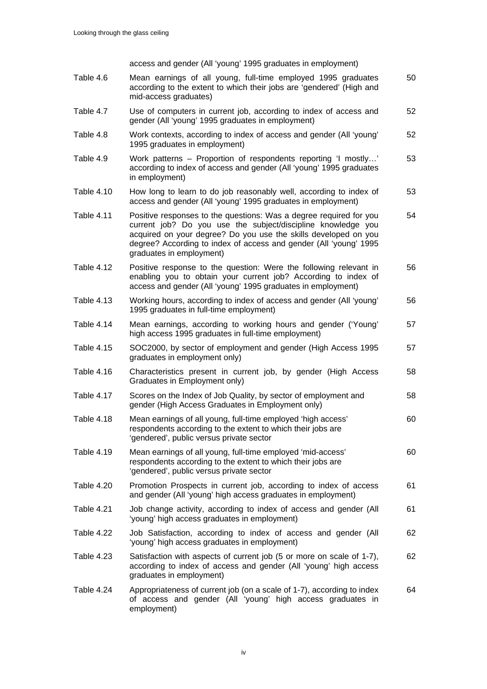access and gender (All 'young' 1995 graduates in employment)

| Table 4.6         | Mean earnings of all young, full-time employed 1995 graduates<br>according to the extent to which their jobs are 'gendered' (High and<br>mid-access graduates)                                                                                                                                         | 50 |
|-------------------|--------------------------------------------------------------------------------------------------------------------------------------------------------------------------------------------------------------------------------------------------------------------------------------------------------|----|
| Table 4.7         | Use of computers in current job, according to index of access and<br>gender (All 'young' 1995 graduates in employment)                                                                                                                                                                                 | 52 |
| Table 4.8         | Work contexts, according to index of access and gender (All 'young'<br>1995 graduates in employment)                                                                                                                                                                                                   | 52 |
| Table 4.9         | Work patterns - Proportion of respondents reporting 'I mostly'<br>according to index of access and gender (All 'young' 1995 graduates<br>in employment)                                                                                                                                                | 53 |
| Table 4.10        | How long to learn to do job reasonably well, according to index of<br>access and gender (All 'young' 1995 graduates in employment)                                                                                                                                                                     | 53 |
| Table 4.11        | Positive responses to the questions: Was a degree required for you<br>current job? Do you use the subject/discipline knowledge you<br>acquired on your degree? Do you use the skills developed on you<br>degree? According to index of access and gender (All 'young' 1995<br>graduates in employment) | 54 |
| Table 4.12        | Positive response to the question: Were the following relevant in<br>enabling you to obtain your current job? According to index of<br>access and gender (All 'young' 1995 graduates in employment)                                                                                                    | 56 |
| <b>Table 4.13</b> | Working hours, according to index of access and gender (All 'young'<br>1995 graduates in full-time employment)                                                                                                                                                                                         | 56 |
| Table 4.14        | Mean earnings, according to working hours and gender ('Young'<br>high access 1995 graduates in full-time employment)                                                                                                                                                                                   | 57 |
| Table 4.15        | SOC2000, by sector of employment and gender (High Access 1995<br>graduates in employment only)                                                                                                                                                                                                         | 57 |
| Table 4.16        | Characteristics present in current job, by gender (High Access<br>Graduates in Employment only)                                                                                                                                                                                                        | 58 |
| Table 4.17        | Scores on the Index of Job Quality, by sector of employment and<br>gender (High Access Graduates in Employment only)                                                                                                                                                                                   | 58 |
| Table 4.18        | Mean earnings of all young, full-time employed 'high access'<br>respondents according to the extent to which their jobs are<br>'gendered', public versus private sector                                                                                                                                | 60 |
| Table 4.19        | Mean earnings of all young, full-time employed 'mid-access'<br>respondents according to the extent to which their jobs are<br>'gendered', public versus private sector                                                                                                                                 | 60 |
| Table 4.20        | Promotion Prospects in current job, according to index of access<br>and gender (All 'young' high access graduates in employment)                                                                                                                                                                       | 61 |
| Table 4.21        | Job change activity, according to index of access and gender (All<br>'young' high access graduates in employment)                                                                                                                                                                                      | 61 |
| Table 4.22        | Job Satisfaction, according to index of access and gender (All<br>'young' high access graduates in employment)                                                                                                                                                                                         | 62 |
| Table 4.23        | Satisfaction with aspects of current job (5 or more on scale of 1-7),<br>according to index of access and gender (All 'young' high access<br>graduates in employment)                                                                                                                                  | 62 |
| Table 4.24        | Appropriateness of current job (on a scale of 1-7), according to index<br>of access and gender (All 'young' high access graduates in<br>employment)                                                                                                                                                    | 64 |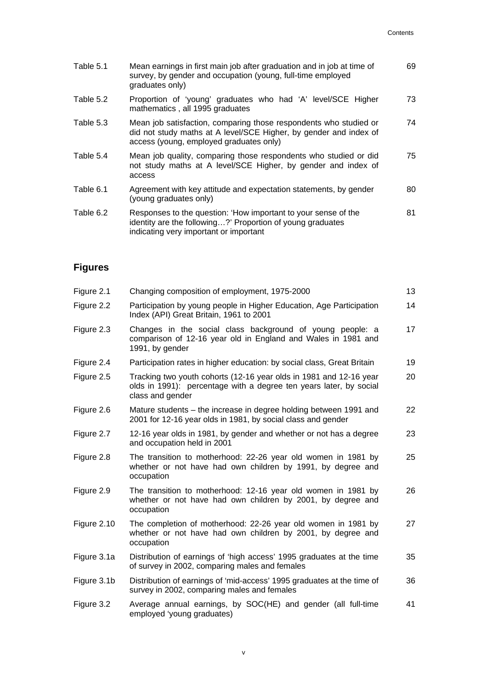| Table 5.1 | Mean earnings in first main job after graduation and in job at time of<br>survey, by gender and occupation (young, full-time employed<br>graduates only)                          | 69 |
|-----------|-----------------------------------------------------------------------------------------------------------------------------------------------------------------------------------|----|
| Table 5.2 | Proportion of 'young' graduates who had 'A' level/SCE Higher<br>mathematics, all 1995 graduates                                                                                   | 73 |
| Table 5.3 | Mean job satisfaction, comparing those respondents who studied or<br>did not study maths at A level/SCE Higher, by gender and index of<br>access (young, employed graduates only) | 74 |
| Table 5.4 | Mean job quality, comparing those respondents who studied or did<br>not study maths at A level/SCE Higher, by gender and index of<br>access                                       | 75 |
| Table 6.1 | Agreement with key attitude and expectation statements, by gender<br>(young graduates only)                                                                                       | 80 |
| Table 6.2 | Responses to the question: 'How important to your sense of the<br>identity are the following?' Proportion of young graduates<br>indicating very important or important            | 81 |

# **Figures**

| Figure 2.1  | Changing composition of employment, 1975-2000                                                                                                                | 13              |
|-------------|--------------------------------------------------------------------------------------------------------------------------------------------------------------|-----------------|
| Figure 2.2  | Participation by young people in Higher Education, Age Participation<br>Index (API) Great Britain, 1961 to 2001                                              | 14              |
| Figure 2.3  | Changes in the social class background of young people: a<br>comparison of 12-16 year old in England and Wales in 1981 and<br>1991, by gender                | 17 <sub>2</sub> |
| Figure 2.4  | Participation rates in higher education: by social class, Great Britain                                                                                      | 19              |
| Figure 2.5  | Tracking two youth cohorts (12-16 year olds in 1981 and 12-16 year<br>olds in 1991): percentage with a degree ten years later, by social<br>class and gender | 20              |
| Figure 2.6  | Mature students – the increase in degree holding between 1991 and<br>2001 for 12-16 year olds in 1981, by social class and gender                            | 22              |
| Figure 2.7  | 12-16 year olds in 1981, by gender and whether or not has a degree<br>and occupation held in 2001                                                            | 23              |
| Figure 2.8  | The transition to motherhood: 22-26 year old women in 1981 by<br>whether or not have had own children by 1991, by degree and<br>occupation                   | 25              |
| Figure 2.9  | The transition to motherhood: 12-16 year old women in 1981 by<br>whether or not have had own children by 2001, by degree and<br>occupation                   | 26              |
| Figure 2.10 | The completion of motherhood: 22-26 year old women in 1981 by<br>whether or not have had own children by 2001, by degree and<br>occupation                   | 27              |
| Figure 3.1a | Distribution of earnings of 'high access' 1995 graduates at the time<br>of survey in 2002, comparing males and females                                       | 35              |
| Figure 3.1b | Distribution of earnings of 'mid-access' 1995 graduates at the time of<br>survey in 2002, comparing males and females                                        | 36              |
| Figure 3.2  | Average annual earnings, by SOC(HE) and gender (all full-time<br>employed 'young graduates)                                                                  | 41              |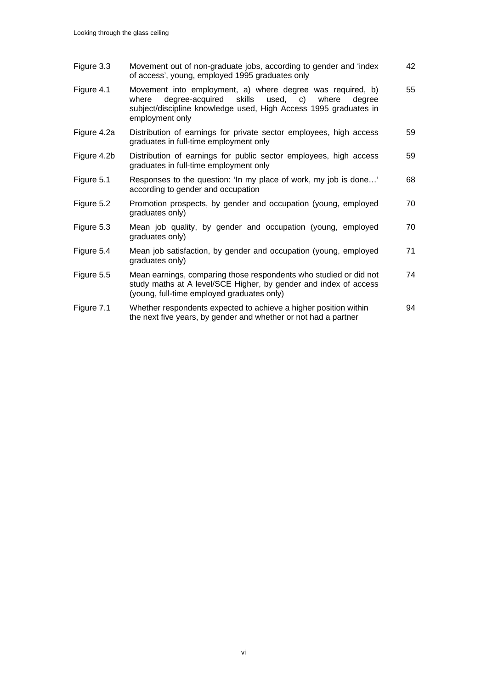| Figure 3.3  | Movement out of non-graduate jobs, according to gender and 'index<br>of access', young, employed 1995 graduates only                                                                                                      | 42 |
|-------------|---------------------------------------------------------------------------------------------------------------------------------------------------------------------------------------------------------------------------|----|
| Figure 4.1  | Movement into employment, a) where degree was required, b)<br>degree-acquired<br>skills<br>used,<br>where<br>C)<br>where<br>dearee<br>subject/discipline knowledge used, High Access 1995 graduates in<br>employment only | 55 |
| Figure 4.2a | Distribution of earnings for private sector employees, high access<br>graduates in full-time employment only                                                                                                              | 59 |
| Figure 4.2b | Distribution of earnings for public sector employees, high access<br>graduates in full-time employment only                                                                                                               | 59 |
| Figure 5.1  | Responses to the question: 'In my place of work, my job is done'<br>according to gender and occupation                                                                                                                    | 68 |
| Figure 5.2  | Promotion prospects, by gender and occupation (young, employed<br>graduates only)                                                                                                                                         | 70 |
| Figure 5.3  | Mean job quality, by gender and occupation (young, employed<br>graduates only)                                                                                                                                            | 70 |
| Figure 5.4  | Mean job satisfaction, by gender and occupation (young, employed<br>graduates only)                                                                                                                                       | 71 |
| Figure 5.5  | Mean earnings, comparing those respondents who studied or did not<br>study maths at A level/SCE Higher, by gender and index of access<br>(young, full-time employed graduates only)                                       | 74 |
| Figure 7.1  | Whether respondents expected to achieve a higher position within<br>the next five years, by gender and whether or not had a partner                                                                                       | 94 |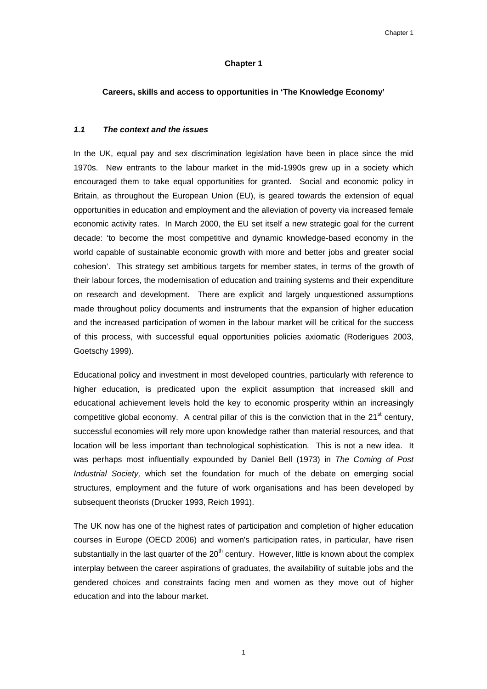### **Chapter 1**

#### **Careers, skills and access to opportunities in 'The Knowledge Economy'**

#### *1.1 The context and the issues*

In the UK, equal pay and sex discrimination legislation have been in place since the mid 1970s. New entrants to the labour market in the mid-1990s grew up in a society which encouraged them to take equal opportunities for granted. Social and economic policy in Britain, as throughout the European Union (EU), is geared towards the extension of equal opportunities in education and employment and the alleviation of poverty via increased female economic activity rates. In March 2000, the EU set itself a new strategic goal for the current decade: 'to become the most competitive and dynamic knowledge-based economy in the world capable of sustainable economic growth with more and better jobs and greater social cohesion'. This strategy set ambitious targets for member states, in terms of the growth of their labour forces, the modernisation of education and training systems and their expenditure on research and development. There are explicit and largely unquestioned assumptions made throughout policy documents and instruments that the expansion of higher education and the increased participation of women in the labour market will be critical for the success of this process, with successful equal opportunities policies axiomatic (Roderigues 2003, Goetschy 1999).

Educational policy and investment in most developed countries, particularly with reference to higher education, is predicated upon the explicit assumption that increased skill and educational achievement levels hold the key to economic prosperity within an increasingly competitive global economy. A central pillar of this is the conviction that in the  $21<sup>st</sup>$  century, successful economies will rely more upon knowledge rather than material resources*,* and that location will be less important than technological sophistication*.* This is not a new idea. It was perhaps most influentially expounded by Daniel Bell (1973) in *The Coming of Post Industrial Society,* which set the foundation for much of the debate on emerging social structures, employment and the future of work organisations and has been developed by subsequent theorists (Drucker 1993, Reich 1991).

The UK now has one of the highest rates of participation and completion of higher education courses in Europe (OECD 2006) and women's participation rates, in particular, have risen substantially in the last quarter of the  $20<sup>th</sup>$  century. However, little is known about the complex interplay between the career aspirations of graduates, the availability of suitable jobs and the gendered choices and constraints facing men and women as they move out of higher education and into the labour market.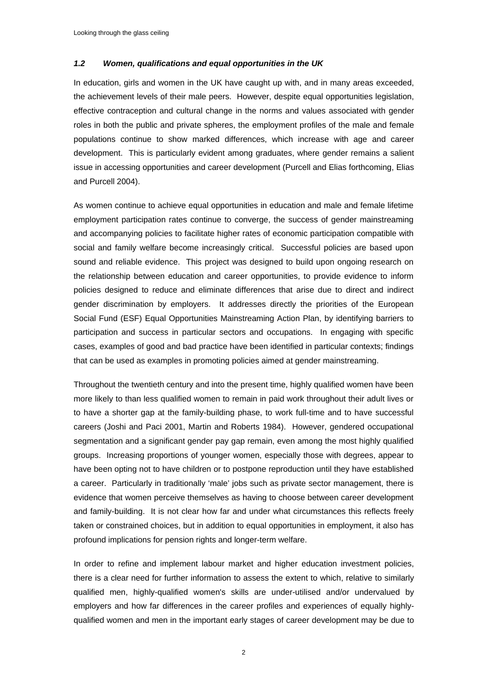## *1.2 Women, qualifications and equal opportunities in the UK*

In education, girls and women in the UK have caught up with, and in many areas exceeded, the achievement levels of their male peers. However, despite equal opportunities legislation, effective contraception and cultural change in the norms and values associated with gender roles in both the public and private spheres, the employment profiles of the male and female populations continue to show marked differences, which increase with age and career development. This is particularly evident among graduates, where gender remains a salient issue in accessing opportunities and career development (Purcell and Elias forthcoming, Elias and Purcell 2004).

As women continue to achieve equal opportunities in education and male and female lifetime employment participation rates continue to converge, the success of gender mainstreaming and accompanying policies to facilitate higher rates of economic participation compatible with social and family welfare become increasingly critical. Successful policies are based upon sound and reliable evidence. This project was designed to build upon ongoing research on the relationship between education and career opportunities, to provide evidence to inform policies designed to reduce and eliminate differences that arise due to direct and indirect gender discrimination by employers. It addresses directly the priorities of the European Social Fund (ESF) Equal Opportunities Mainstreaming Action Plan, by identifying barriers to participation and success in particular sectors and occupations. In engaging with specific cases, examples of good and bad practice have been identified in particular contexts; findings that can be used as examples in promoting policies aimed at gender mainstreaming.

Throughout the twentieth century and into the present time, highly qualified women have been more likely to than less qualified women to remain in paid work throughout their adult lives or to have a shorter gap at the family-building phase, to work full-time and to have successful careers (Joshi and Paci 2001, Martin and Roberts 1984). However, gendered occupational segmentation and a significant gender pay gap remain, even among the most highly qualified groups. Increasing proportions of younger women, especially those with degrees, appear to have been opting not to have children or to postpone reproduction until they have established a career. Particularly in traditionally 'male' jobs such as private sector management, there is evidence that women perceive themselves as having to choose between career development and family-building. It is not clear how far and under what circumstances this reflects freely taken or constrained choices, but in addition to equal opportunities in employment, it also has profound implications for pension rights and longer-term welfare.

In order to refine and implement labour market and higher education investment policies, there is a clear need for further information to assess the extent to which, relative to similarly qualified men, highly-qualified women's skills are under-utilised and/or undervalued by employers and how far differences in the career profiles and experiences of equally highlyqualified women and men in the important early stages of career development may be due to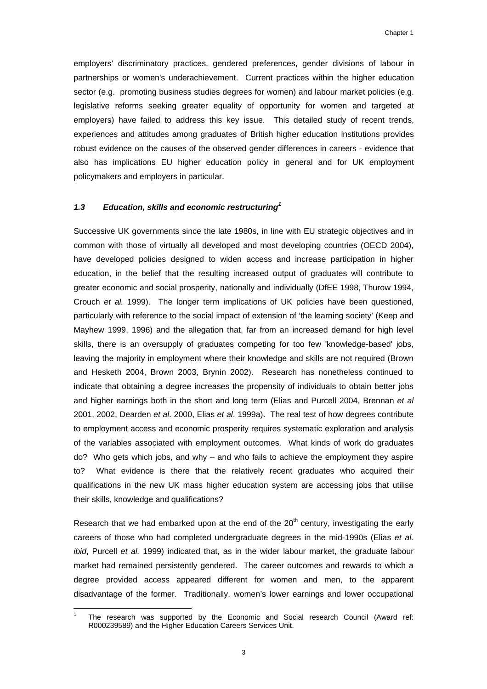employers' discriminatory practices, gendered preferences, gender divisions of labour in partnerships or women's underachievement. Current practices within the higher education sector (e.g. promoting business studies degrees for women) and labour market policies (e.g. legislative reforms seeking greater equality of opportunity for women and targeted at employers) have failed to address this key issue. This detailed study of recent trends, experiences and attitudes among graduates of British higher education institutions provides robust evidence on the causes of the observed gender differences in careers - evidence that also has implications EU higher education policy in general and for UK employment policymakers and employers in particular.

### *1.3 Education, skills and economic restructuring1*

Successive UK governments since the late 1980s, in line with EU strategic objectives and in common with those of virtually all developed and most developing countries (OECD 2004), have developed policies designed to widen access and increase participation in higher education, in the belief that the resulting increased output of graduates will contribute to greater economic and social prosperity, nationally and individually (DfEE 1998, Thurow 1994, Crouch *et al.* 1999). The longer term implications of UK policies have been questioned, particularly with reference to the social impact of extension of 'the learning society' (Keep and Mayhew 1999, 1996) and the allegation that, far from an increased demand for high level skills, there is an oversupply of graduates competing for too few 'knowledge-based' jobs, leaving the majority in employment where their knowledge and skills are not required (Brown and Hesketh 2004, Brown 2003, Brynin 2002). Research has nonetheless continued to indicate that obtaining a degree increases the propensity of individuals to obtain better jobs and higher earnings both in the short and long term (Elias and Purcell 2004, Brennan *et al* 2001, 2002, Dearden *et al*. 2000, Elias *et al*. 1999a). The real test of how degrees contribute to employment access and economic prosperity requires systematic exploration and analysis of the variables associated with employment outcomes. What kinds of work do graduates do? Who gets which jobs, and why – and who fails to achieve the employment they aspire to? What evidence is there that the relatively recent graduates who acquired their qualifications in the new UK mass higher education system are accessing jobs that utilise their skills, knowledge and qualifications?

Research that we had embarked upon at the end of the  $20<sup>th</sup>$  century, investigating the early careers of those who had completed undergraduate degrees in the mid-1990s (Elias *et al. ibid*, Purcell *et al.* 1999) indicated that, as in the wider labour market, the graduate labour market had remained persistently gendered. The career outcomes and rewards to which a degree provided access appeared different for women and men, to the apparent disadvantage of the former. Traditionally, women's lower earnings and lower occupational

 $\overline{a}$ 1 The research was supported by the Economic and Social research Council (Award ref: R000239589) and the Higher Education Careers Services Unit.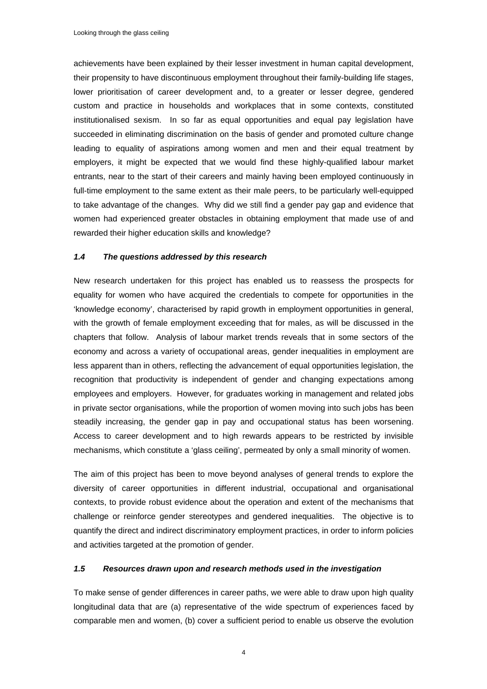achievements have been explained by their lesser investment in human capital development, their propensity to have discontinuous employment throughout their family-building life stages, lower prioritisation of career development and, to a greater or lesser degree, gendered custom and practice in households and workplaces that in some contexts, constituted institutionalised sexism. In so far as equal opportunities and equal pay legislation have succeeded in eliminating discrimination on the basis of gender and promoted culture change leading to equality of aspirations among women and men and their equal treatment by employers, it might be expected that we would find these highly-qualified labour market entrants, near to the start of their careers and mainly having been employed continuously in full-time employment to the same extent as their male peers, to be particularly well-equipped to take advantage of the changes. Why did we still find a gender pay gap and evidence that women had experienced greater obstacles in obtaining employment that made use of and rewarded their higher education skills and knowledge?

#### *1.4 The questions addressed by this research*

New research undertaken for this project has enabled us to reassess the prospects for equality for women who have acquired the credentials to compete for opportunities in the 'knowledge economy', characterised by rapid growth in employment opportunities in general, with the growth of female employment exceeding that for males, as will be discussed in the chapters that follow. Analysis of labour market trends reveals that in some sectors of the economy and across a variety of occupational areas, gender inequalities in employment are less apparent than in others, reflecting the advancement of equal opportunities legislation, the recognition that productivity is independent of gender and changing expectations among employees and employers. However, for graduates working in management and related jobs in private sector organisations, while the proportion of women moving into such jobs has been steadily increasing, the gender gap in pay and occupational status has been worsening. Access to career development and to high rewards appears to be restricted by invisible mechanisms, which constitute a 'glass ceiling', permeated by only a small minority of women.

The aim of this project has been to move beyond analyses of general trends to explore the diversity of career opportunities in different industrial, occupational and organisational contexts, to provide robust evidence about the operation and extent of the mechanisms that challenge or reinforce gender stereotypes and gendered inequalities. The objective is to quantify the direct and indirect discriminatory employment practices, in order to inform policies and activities targeted at the promotion of gender.

### *1.5 Resources drawn upon and research methods used in the investigation*

To make sense of gender differences in career paths, we were able to draw upon high quality longitudinal data that are (a) representative of the wide spectrum of experiences faced by comparable men and women, (b) cover a sufficient period to enable us observe the evolution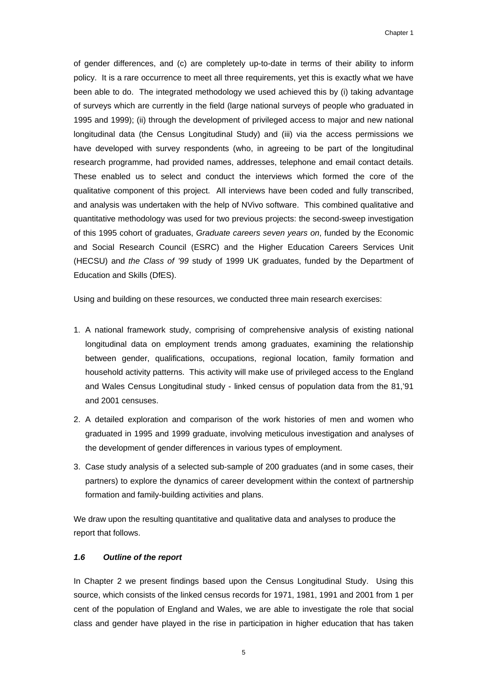of gender differences, and (c) are completely up-to-date in terms of their ability to inform policy. It is a rare occurrence to meet all three requirements, yet this is exactly what we have been able to do. The integrated methodology we used achieved this by (i) taking advantage of surveys which are currently in the field (large national surveys of people who graduated in 1995 and 1999); (ii) through the development of privileged access to major and new national longitudinal data (the Census Longitudinal Study) and (iii) via the access permissions we have developed with survey respondents (who, in agreeing to be part of the longitudinal research programme, had provided names, addresses, telephone and email contact details. These enabled us to select and conduct the interviews which formed the core of the qualitative component of this project. All interviews have been coded and fully transcribed, and analysis was undertaken with the help of NVivo software. This combined qualitative and quantitative methodology was used for two previous projects: the second-sweep investigation of this 1995 cohort of graduates, *Graduate careers seven years on*, funded by the Economic and Social Research Council (ESRC) and the Higher Education Careers Services Unit (HECSU) and *the Class of '99* study of 1999 UK graduates, funded by the Department of Education and Skills (DfES).

Using and building on these resources, we conducted three main research exercises:

- 1. A national framework study, comprising of comprehensive analysis of existing national longitudinal data on employment trends among graduates, examining the relationship between gender, qualifications, occupations, regional location, family formation and household activity patterns. This activity will make use of privileged access to the England and Wales Census Longitudinal study - linked census of population data from the 81,'91 and 2001 censuses.
- 2. A detailed exploration and comparison of the work histories of men and women who graduated in 1995 and 1999 graduate, involving meticulous investigation and analyses of the development of gender differences in various types of employment.
- 3. Case study analysis of a selected sub-sample of 200 graduates (and in some cases, their partners) to explore the dynamics of career development within the context of partnership formation and family-building activities and plans.

We draw upon the resulting quantitative and qualitative data and analyses to produce the report that follows.

#### *1.6 Outline of the report*

In Chapter 2 we present findings based upon the Census Longitudinal Study. Using this source, which consists of the linked census records for 1971, 1981, 1991 and 2001 from 1 per cent of the population of England and Wales, we are able to investigate the role that social class and gender have played in the rise in participation in higher education that has taken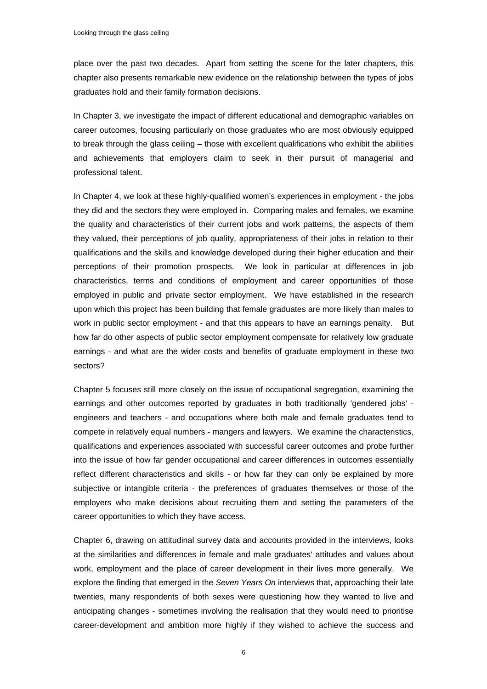place over the past two decades. Apart from setting the scene for the later chapters, this chapter also presents remarkable new evidence on the relationship between the types of jobs graduates hold and their family formation decisions.

In Chapter 3, we investigate the impact of different educational and demographic variables on career outcomes, focusing particularly on those graduates who are most obviously equipped to break through the glass ceiling – those with excellent qualifications who exhibit the abilities and achievements that employers claim to seek in their pursuit of managerial and professional talent.

In Chapter 4, we look at these highly-qualified women's experiences in employment - the jobs they did and the sectors they were employed in. Comparing males and females, we examine the quality and characteristics of their current jobs and work patterns, the aspects of them they valued, their perceptions of job quality, appropriateness of their jobs in relation to their qualifications and the skills and knowledge developed during their higher education and their perceptions of their promotion prospects. We look in particular at differences in job characteristics, terms and conditions of employment and career opportunities of those employed in public and private sector employment. We have established in the research upon which this project has been building that female graduates are more likely than males to work in public sector employment - and that this appears to have an earnings penalty. But how far do other aspects of public sector employment compensate for relatively low graduate earnings - and what are the wider costs and benefits of graduate employment in these two sectors?

Chapter 5 focuses still more closely on the issue of occupational segregation, examining the earnings and other outcomes reported by graduates in both traditionally 'gendered jobs' engineers and teachers - and occupations where both male and female graduates tend to compete in relatively equal numbers - mangers and lawyers. We examine the characteristics, qualifications and experiences associated with successful career outcomes and probe further into the issue of how far gender occupational and career differences in outcomes essentially reflect different characteristics and skills - or how far they can only be explained by more subjective or intangible criteria - the preferences of graduates themselves or those of the employers who make decisions about recruiting them and setting the parameters of the career opportunities to which they have access.

Chapter 6, drawing on attitudinal survey data and accounts provided in the interviews, looks at the similarities and differences in female and male graduates' attitudes and values about work, employment and the place of career development in their lives more generally. We explore the finding that emerged in the *Seven Years On* interviews that, approaching their late twenties, many respondents of both sexes were questioning how they wanted to live and anticipating changes - sometimes involving the realisation that they would need to prioritise career-development and ambition more highly if they wished to achieve the success and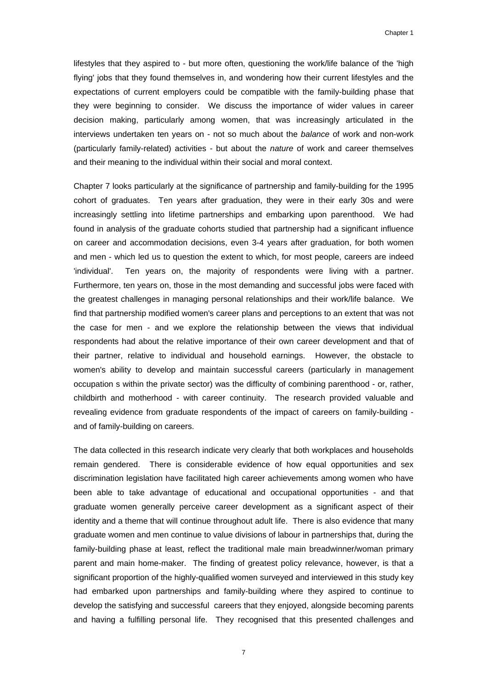lifestyles that they aspired to - but more often, questioning the work/life balance of the 'high flying' jobs that they found themselves in, and wondering how their current lifestyles and the expectations of current employers could be compatible with the family-building phase that they were beginning to consider. We discuss the importance of wider values in career decision making, particularly among women, that was increasingly articulated in the interviews undertaken ten years on - not so much about the *balance* of work and non-work (particularly family-related) activities - but about the *nature* of work and career themselves and their meaning to the individual within their social and moral context.

Chapter 7 looks particularly at the significance of partnership and family-building for the 1995 cohort of graduates. Ten years after graduation, they were in their early 30s and were increasingly settling into lifetime partnerships and embarking upon parenthood. We had found in analysis of the graduate cohorts studied that partnership had a significant influence on career and accommodation decisions, even 3-4 years after graduation, for both women and men - which led us to question the extent to which, for most people, careers are indeed 'individual'. Ten years on, the majority of respondents were living with a partner. Furthermore, ten years on, those in the most demanding and successful jobs were faced with the greatest challenges in managing personal relationships and their work/life balance. We find that partnership modified women's career plans and perceptions to an extent that was not the case for men - and we explore the relationship between the views that individual respondents had about the relative importance of their own career development and that of their partner, relative to individual and household earnings. However, the obstacle to women's ability to develop and maintain successful careers (particularly in management occupation s within the private sector) was the difficulty of combining parenthood - or, rather, childbirth and motherhood - with career continuity. The research provided valuable and revealing evidence from graduate respondents of the impact of careers on family-building and of family-building on careers.

The data collected in this research indicate very clearly that both workplaces and households remain gendered. There is considerable evidence of how equal opportunities and sex discrimination legislation have facilitated high career achievements among women who have been able to take advantage of educational and occupational opportunities - and that graduate women generally perceive career development as a significant aspect of their identity and a theme that will continue throughout adult life. There is also evidence that many graduate women and men continue to value divisions of labour in partnerships that, during the family-building phase at least, reflect the traditional male main breadwinner/woman primary parent and main home-maker. The finding of greatest policy relevance, however, is that a significant proportion of the highly-qualified women surveyed and interviewed in this study key had embarked upon partnerships and family-building where they aspired to continue to develop the satisfying and successful careers that they enjoyed, alongside becoming parents and having a fulfilling personal life. They recognised that this presented challenges and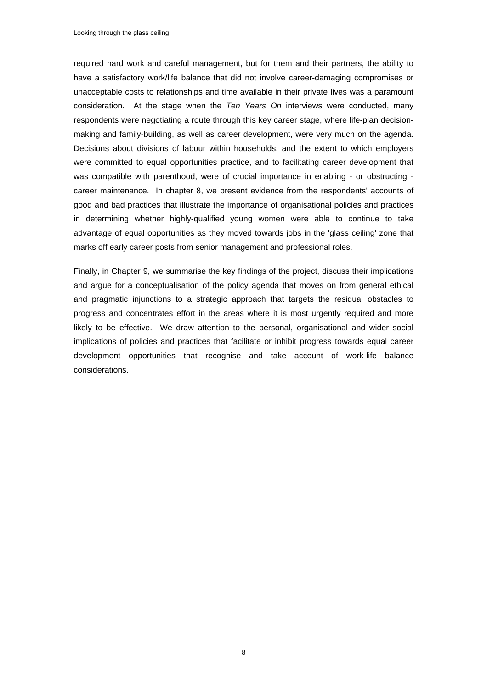Looking through the glass ceiling

required hard work and careful management, but for them and their partners, the ability to have a satisfactory work/life balance that did not involve career-damaging compromises or unacceptable costs to relationships and time available in their private lives was a paramount consideration. At the stage when the *Ten Years On* interviews were conducted, many respondents were negotiating a route through this key career stage, where life-plan decisionmaking and family-building, as well as career development, were very much on the agenda. Decisions about divisions of labour within households, and the extent to which employers were committed to equal opportunities practice, and to facilitating career development that was compatible with parenthood, were of crucial importance in enabling - or obstructing career maintenance. In chapter 8, we present evidence from the respondents' accounts of good and bad practices that illustrate the importance of organisational policies and practices in determining whether highly-qualified young women were able to continue to take advantage of equal opportunities as they moved towards jobs in the 'glass ceiling' zone that marks off early career posts from senior management and professional roles.

Finally, in Chapter 9, we summarise the key findings of the project, discuss their implications and argue for a conceptualisation of the policy agenda that moves on from general ethical and pragmatic injunctions to a strategic approach that targets the residual obstacles to progress and concentrates effort in the areas where it is most urgently required and more likely to be effective. We draw attention to the personal, organisational and wider social implications of policies and practices that facilitate or inhibit progress towards equal career development opportunities that recognise and take account of work-life balance considerations.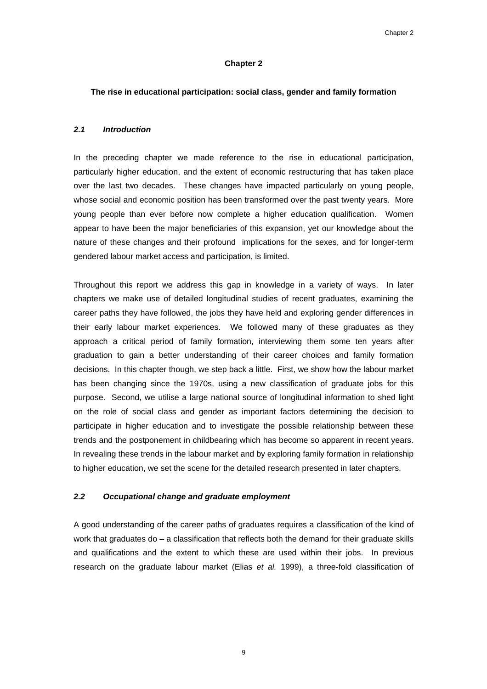#### **Chapter 2**

#### **The rise in educational participation: social class, gender and family formation**

#### *2.1 Introduction*

In the preceding chapter we made reference to the rise in educational participation, particularly higher education, and the extent of economic restructuring that has taken place over the last two decades. These changes have impacted particularly on young people, whose social and economic position has been transformed over the past twenty years. More young people than ever before now complete a higher education qualification. Women appear to have been the major beneficiaries of this expansion, yet our knowledge about the nature of these changes and their profound implications for the sexes, and for longer-term gendered labour market access and participation, is limited.

Throughout this report we address this gap in knowledge in a variety of ways. In later chapters we make use of detailed longitudinal studies of recent graduates, examining the career paths they have followed, the jobs they have held and exploring gender differences in their early labour market experiences. We followed many of these graduates as they approach a critical period of family formation, interviewing them some ten years after graduation to gain a better understanding of their career choices and family formation decisions. In this chapter though, we step back a little. First, we show how the labour market has been changing since the 1970s, using a new classification of graduate jobs for this purpose. Second, we utilise a large national source of longitudinal information to shed light on the role of social class and gender as important factors determining the decision to participate in higher education and to investigate the possible relationship between these trends and the postponement in childbearing which has become so apparent in recent years. In revealing these trends in the labour market and by exploring family formation in relationship to higher education, we set the scene for the detailed research presented in later chapters.

## *2.2 Occupational change and graduate employment*

A good understanding of the career paths of graduates requires a classification of the kind of work that graduates do – a classification that reflects both the demand for their graduate skills and qualifications and the extent to which these are used within their jobs. In previous research on the graduate labour market (Elias *et al.* 1999), a three-fold classification of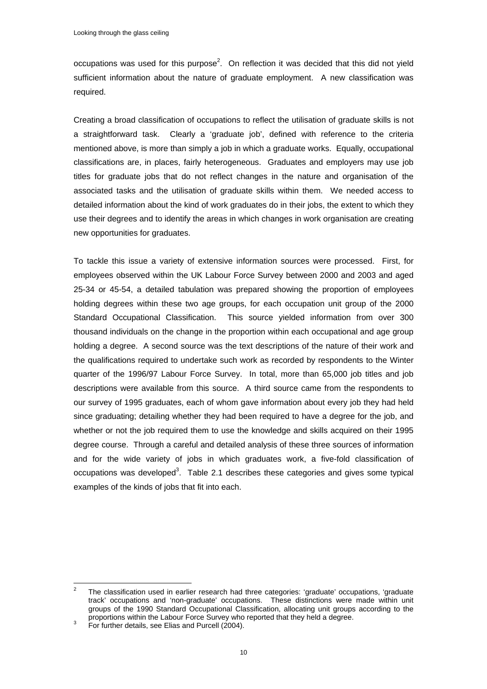occupations was used for this purpose<sup>2</sup>. On reflection it was decided that this did not yield sufficient information about the nature of graduate employment. A new classification was required.

Creating a broad classification of occupations to reflect the utilisation of graduate skills is not a straightforward task. Clearly a 'graduate job', defined with reference to the criteria mentioned above, is more than simply a job in which a graduate works. Equally, occupational classifications are, in places, fairly heterogeneous. Graduates and employers may use job titles for graduate jobs that do not reflect changes in the nature and organisation of the associated tasks and the utilisation of graduate skills within them. We needed access to detailed information about the kind of work graduates do in their jobs, the extent to which they use their degrees and to identify the areas in which changes in work organisation are creating new opportunities for graduates.

To tackle this issue a variety of extensive information sources were processed. First, for employees observed within the UK Labour Force Survey between 2000 and 2003 and aged 25-34 or 45-54, a detailed tabulation was prepared showing the proportion of employees holding degrees within these two age groups, for each occupation unit group of the 2000 Standard Occupational Classification. This source yielded information from over 300 thousand individuals on the change in the proportion within each occupational and age group holding a degree. A second source was the text descriptions of the nature of their work and the qualifications required to undertake such work as recorded by respondents to the Winter quarter of the 1996/97 Labour Force Survey. In total, more than 65,000 job titles and job descriptions were available from this source. A third source came from the respondents to our survey of 1995 graduates, each of whom gave information about every job they had held since graduating; detailing whether they had been required to have a degree for the job, and whether or not the job required them to use the knowledge and skills acquired on their 1995 degree course. Through a careful and detailed analysis of these three sources of information and for the wide variety of jobs in which graduates work, a five-fold classification of occupations was developed<sup>3</sup>. Table 2.1 describes these categories and gives some typical examples of the kinds of jobs that fit into each.

 $\frac{1}{2}$  The classification used in earlier research had three categories: 'graduate' occupations, 'graduate track' occupations and 'non-graduate' occupations. These distinctions were made within unit groups of the 1990 Standard Occupational Classification, allocating unit groups according to the proportions within the Labour Force Survey who reported that they held a degree.

For further details, see Elias and Purcell (2004).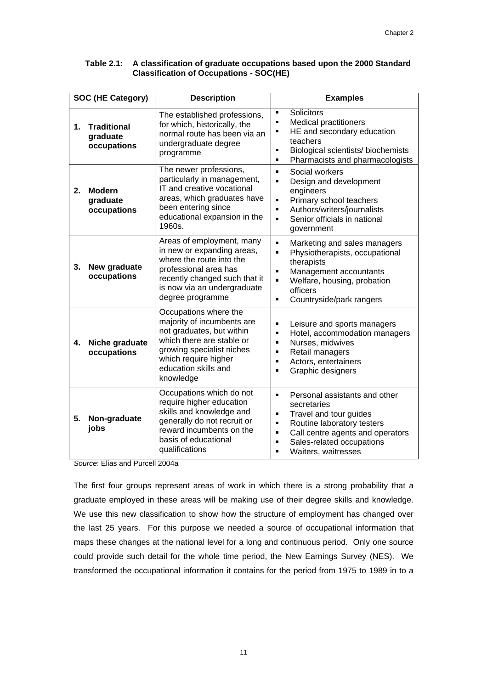| SOC (HE Category) |                                               | <b>Description</b>                                                                                                                                                                                      | <b>Examples</b>                                                                                                                                                                                                                                                                                          |  |
|-------------------|-----------------------------------------------|---------------------------------------------------------------------------------------------------------------------------------------------------------------------------------------------------------|----------------------------------------------------------------------------------------------------------------------------------------------------------------------------------------------------------------------------------------------------------------------------------------------------------|--|
| 1.                | <b>Traditional</b><br>graduate<br>occupations | The established professions,<br>for which, historically, the<br>normal route has been via an<br>undergraduate degree<br>programme                                                                       | Solicitors<br>$\blacksquare$<br><b>Medical practitioners</b><br>×,<br>HE and secondary education<br>٠<br>teachers<br>Biological scientists/ biochemists<br>$\blacksquare$<br>Pharmacists and pharmacologists<br>×,                                                                                       |  |
| 2.                | <b>Modern</b><br>graduate<br>occupations      | The newer professions,<br>particularly in management,<br>IT and creative vocational<br>areas, which graduates have<br>been entering since<br>educational expansion in the<br>1960s.                     | Social workers<br>$\blacksquare$<br>Design and development<br>×,<br>engineers<br>Primary school teachers<br>$\blacksquare$<br>Authors/writers/journalists<br>×,<br>Senior officials in national<br>$\blacksquare$<br>government                                                                          |  |
| 3.                | New graduate<br>occupations                   | Areas of employment, many<br>in new or expanding areas,<br>where the route into the<br>professional area has<br>recently changed such that it<br>is now via an undergraduate<br>degree programme        | $\blacksquare$<br>Marketing and sales managers<br>$\blacksquare$<br>Physiotherapists, occupational<br>therapists<br>Management accountants<br>×,<br>$\blacksquare$<br>Welfare, housing, probation<br>officers<br>Countryside/park rangers<br>$\blacksquare$                                              |  |
| 4.                | Niche graduate<br>occupations                 | Occupations where the<br>majority of incumbents are<br>not graduates, but within<br>which there are stable or<br>growing specialist niches<br>which require higher<br>education skills and<br>knowledge | ×,<br>Leisure and sports managers<br>Hotel, accommodation managers<br>$\blacksquare$<br>Nurses, midwives<br>٠<br>Retail managers<br>٠<br>Actors, entertainers<br>×,<br>Graphic designers<br>$\blacksquare$                                                                                               |  |
| 5.                | Non-graduate<br>jobs                          | Occupations which do not<br>require higher education<br>skills and knowledge and<br>generally do not recruit or<br>reward incumbents on the<br>basis of educational<br>qualifications                   | $\blacksquare$<br>Personal assistants and other<br>secretaries<br>Travel and tour guides<br>$\blacksquare$<br>Routine laboratory testers<br>$\blacksquare$<br>Call centre agents and operators<br>$\blacksquare$<br>Sales-related occupations<br>$\blacksquare$<br>Waiters, waitresses<br>$\blacksquare$ |  |

## **Table 2.1: A classification of graduate occupations based upon the 2000 Standard Classification of Occupations - SOC(HE)**

*Source*: Elias and Purcell 2004a

The first four groups represent areas of work in which there is a strong probability that a graduate employed in these areas will be making use of their degree skills and knowledge. We use this new classification to show how the structure of employment has changed over the last 25 years. For this purpose we needed a source of occupational information that maps these changes at the national level for a long and continuous period. Only one source could provide such detail for the whole time period, the New Earnings Survey (NES). We transformed the occupational information it contains for the period from 1975 to 1989 in to a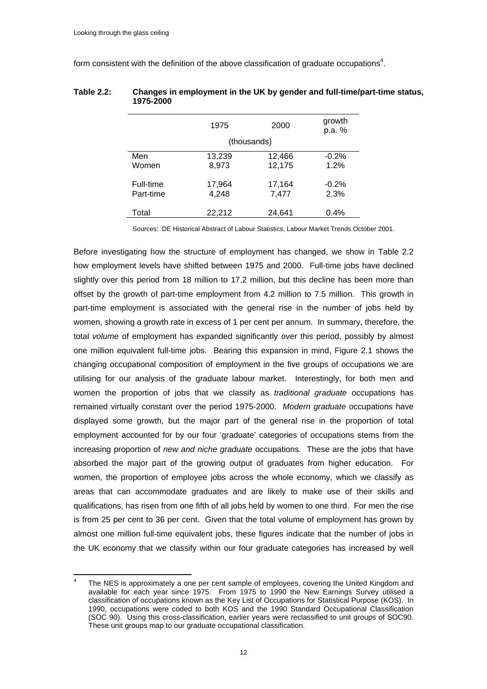form consistent with the definition of the above classification of graduate occupations<sup>4</sup>.

|                        | 1975            | 2000             | growth<br>p.a. % |
|------------------------|-----------------|------------------|------------------|
|                        | (thousands)     |                  |                  |
| Men<br>Women           | 13,239<br>8,973 | 12,466<br>12,175 | $-0.2%$<br>1.2%  |
| Full-time<br>Part-time | 17,964<br>4,248 | 17,164<br>7,477  | $-0.2%$<br>2.3%  |
| Total                  | 22,212          | 24,641           | $0.4\%$          |

## **Table 2.2: Changes in employment in the UK by gender and full-time/part-time status, 1975-2000**

Sources: DE Historical Abstract of Labour Statistics, Labour Market Trends October 2001.

Before investigating how the structure of employment has changed, we show in Table 2.2 how employment levels have shifted between 1975 and 2000. Full-time jobs have declined slightly over this period from 18 million to 17.2 million, but this decline has been more than offset by the growth of part-time employment from 4.2 million to 7.5 million. This growth in part-time employment is associated with the general rise in the number of jobs held by women, showing a growth rate in excess of 1 per cent per annum. In summary, therefore, the total *volume* of employment has expanded significantly over this period, possibly by almost one million equivalent full-time jobs. Bearing this expansion in mind, Figure 2.1 shows the changing occupational composition of employment in the five groups of occupations we are utilising for our analysis of the graduate labour market. Interestingly, for both men and women the proportion of jobs that we classify as *traditional graduate* occupations has remained virtually constant over the period 1975-2000. *Modern graduate* occupations have displayed some growth, but the major part of the general rise in the proportion of total employment accounted for by our four 'graduate' categories of occupations stems from the increasing proportion of *new and niche graduate* occupations. These are the jobs that have absorbed the major part of the growing output of graduates from higher education. For women, the proportion of employee jobs across the whole economy, which we classify as areas that can accommodate graduates and are likely to make use of their skills and qualifications, has risen from one fifth of all jobs held by women to one third. For men the rise is from 25 per cent to 36 per cent. Given that the total volume of employment has grown by almost one million full-time equivalent jobs, these figures indicate that the number of jobs in the UK economy that we classify within our four graduate categories has increased by well

 $\frac{1}{4}$  The NES is approximately a one per cent sample of employees, covering the United Kingdom and available for each year since 1975. From 1975 to 1990 the New Earnings Survey utilised a classification of occupations known as the Key List of Occupations for Statistical Purpose (KOS). In 1990, occupations were coded to both KOS and the 1990 Standard Occupational Classification (SOC 90). Using this cross-classification, earlier years were reclassified to unit groups of SOC90. These unit groups map to our graduate occupational classification.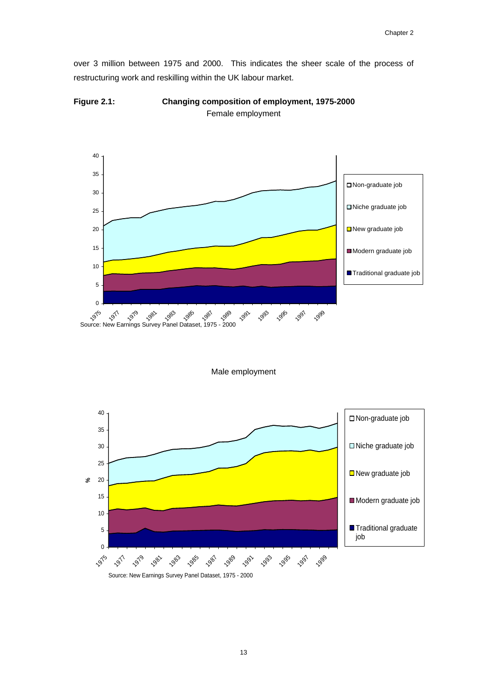over 3 million between 1975 and 2000. This indicates the sheer scale of the process of restructuring work and reskilling within the UK labour market.



**Figure 2.1: Changing composition of employment, 1975-2000**  Female employment

Male employment

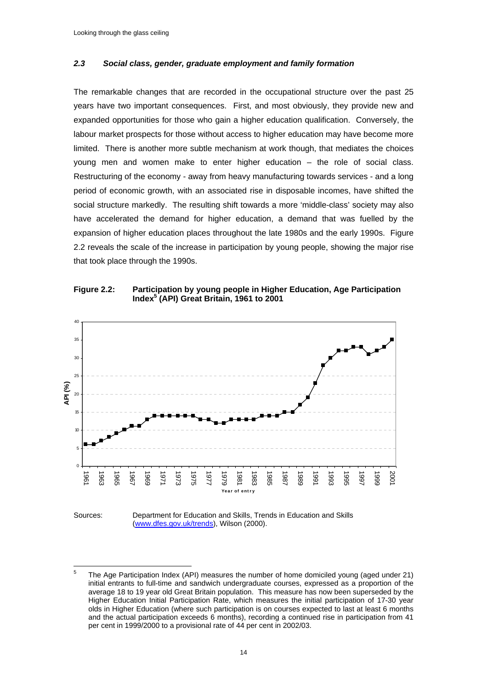#### *2.3 Social class, gender, graduate employment and family formation*

The remarkable changes that are recorded in the occupational structure over the past 25 years have two important consequences. First, and most obviously, they provide new and expanded opportunities for those who gain a higher education qualification. Conversely, the labour market prospects for those without access to higher education may have become more limited. There is another more subtle mechanism at work though, that mediates the choices young men and women make to enter higher education – the role of social class. Restructuring of the economy - away from heavy manufacturing towards services - and a long period of economic growth, with an associated rise in disposable incomes, have shifted the social structure markedly. The resulting shift towards a more 'middle-class' society may also have accelerated the demand for higher education, a demand that was fuelled by the expansion of higher education places throughout the late 1980s and the early 1990s. Figure 2.2 reveals the scale of the increase in participation by young people, showing the major rise that took place through the 1990s.

**Figure 2.2: Participation by young people in Higher Education, Age Participation Index5 (API) Great Britain, 1961 to 2001** 



Sources: Department for Education and Skills, Trends in Education and Skills (www.dfes.gov.uk/trends), Wilson (2000).

<sup>-&</sup>lt;br>5 The Age Participation Index (API) measures the number of home domiciled young (aged under 21) initial entrants to full-time and sandwich undergraduate courses, expressed as a proportion of the average 18 to 19 year old Great Britain population. This measure has now been superseded by the Higher Education Initial Participation Rate, which measures the initial participation of 17-30 year olds in Higher Education (where such participation is on courses expected to last at least 6 months and the actual participation exceeds 6 months), recording a continued rise in participation from 41 per cent in 1999/2000 to a provisional rate of 44 per cent in 2002/03.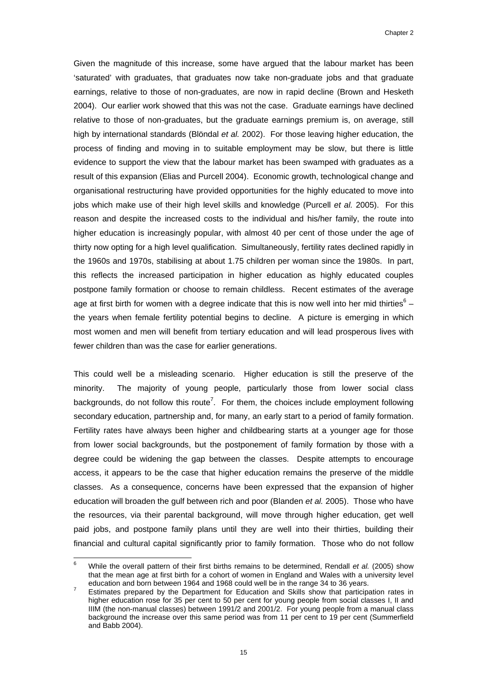Given the magnitude of this increase, some have argued that the labour market has been 'saturated' with graduates, that graduates now take non-graduate jobs and that graduate earnings, relative to those of non-graduates, are now in rapid decline (Brown and Hesketh 2004). Our earlier work showed that this was not the case. Graduate earnings have declined relative to those of non-graduates, but the graduate earnings premium is, on average, still high by international standards (Blöndal *et al.* 2002). For those leaving higher education, the process of finding and moving in to suitable employment may be slow, but there is little evidence to support the view that the labour market has been swamped with graduates as a result of this expansion (Elias and Purcell 2004). Economic growth, technological change and organisational restructuring have provided opportunities for the highly educated to move into jobs which make use of their high level skills and knowledge (Purcell *et al.* 2005). For this reason and despite the increased costs to the individual and his/her family, the route into higher education is increasingly popular, with almost 40 per cent of those under the age of thirty now opting for a high level qualification. Simultaneously, fertility rates declined rapidly in the 1960s and 1970s, stabilising at about 1.75 children per woman since the 1980s. In part, this reflects the increased participation in higher education as highly educated couples postpone family formation or choose to remain childless. Recent estimates of the average age at first birth for women with a degree indicate that this is now well into her mid thirties<sup>6</sup> – the years when female fertility potential begins to decline. A picture is emerging in which most women and men will benefit from tertiary education and will lead prosperous lives with fewer children than was the case for earlier generations.

This could well be a misleading scenario. Higher education is still the preserve of the minority. The majority of young people, particularly those from lower social class backgrounds, do not follow this route<sup>7</sup>. For them, the choices include employment following secondary education, partnership and, for many, an early start to a period of family formation. Fertility rates have always been higher and childbearing starts at a younger age for those from lower social backgrounds, but the postponement of family formation by those with a degree could be widening the gap between the classes. Despite attempts to encourage access, it appears to be the case that higher education remains the preserve of the middle classes. As a consequence, concerns have been expressed that the expansion of higher education will broaden the gulf between rich and poor (Blanden *et al.* 2005). Those who have the resources, via their parental background, will move through higher education, get well paid jobs, and postpone family plans until they are well into their thirties, building their financial and cultural capital significantly prior to family formation. Those who do not follow

<sup>-&</sup>lt;br>6 While the overall pattern of their first births remains to be determined, Rendall *et al.* (2005) show that the mean age at first birth for a cohort of women in England and Wales with a university level

education and born between 1964 and 1968 could well be in the range 34 to 36 years.<br>Estimates prepared by the Department for Education and Skills show that participation rates in higher education rose for 35 per cent to 50 per cent for young people from social classes I, II and IIIM (the non-manual classes) between 1991/2 and 2001/2. For young people from a manual class background the increase over this same period was from 11 per cent to 19 per cent (Summerfield and Babb 2004).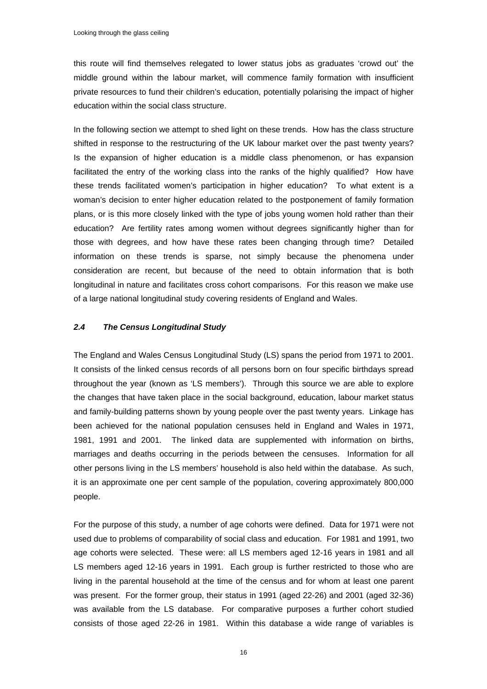this route will find themselves relegated to lower status jobs as graduates 'crowd out' the middle ground within the labour market, will commence family formation with insufficient private resources to fund their children's education, potentially polarising the impact of higher education within the social class structure.

In the following section we attempt to shed light on these trends. How has the class structure shifted in response to the restructuring of the UK labour market over the past twenty years? Is the expansion of higher education is a middle class phenomenon, or has expansion facilitated the entry of the working class into the ranks of the highly qualified? How have these trends facilitated women's participation in higher education? To what extent is a woman's decision to enter higher education related to the postponement of family formation plans, or is this more closely linked with the type of jobs young women hold rather than their education? Are fertility rates among women without degrees significantly higher than for those with degrees, and how have these rates been changing through time? Detailed information on these trends is sparse, not simply because the phenomena under consideration are recent, but because of the need to obtain information that is both longitudinal in nature and facilitates cross cohort comparisons. For this reason we make use of a large national longitudinal study covering residents of England and Wales.

#### *2.4 The Census Longitudinal Study*

The England and Wales Census Longitudinal Study (LS) spans the period from 1971 to 2001. It consists of the linked census records of all persons born on four specific birthdays spread throughout the year (known as 'LS members'). Through this source we are able to explore the changes that have taken place in the social background, education, labour market status and family-building patterns shown by young people over the past twenty years. Linkage has been achieved for the national population censuses held in England and Wales in 1971, 1981, 1991 and 2001. The linked data are supplemented with information on births, marriages and deaths occurring in the periods between the censuses. Information for all other persons living in the LS members' household is also held within the database. As such, it is an approximate one per cent sample of the population, covering approximately 800,000 people.

For the purpose of this study, a number of age cohorts were defined. Data for 1971 were not used due to problems of comparability of social class and education. For 1981 and 1991, two age cohorts were selected. These were: all LS members aged 12-16 years in 1981 and all LS members aged 12-16 years in 1991. Each group is further restricted to those who are living in the parental household at the time of the census and for whom at least one parent was present. For the former group, their status in 1991 (aged 22-26) and 2001 (aged 32-36) was available from the LS database. For comparative purposes a further cohort studied consists of those aged 22-26 in 1981. Within this database a wide range of variables is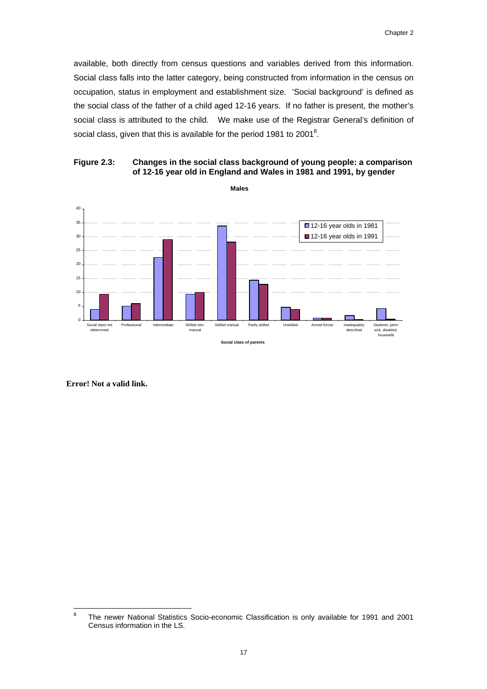available, both directly from census questions and variables derived from this information. Social class falls into the latter category, being constructed from information in the census on occupation, status in employment and establishment size. 'Social background' is defined as the social class of the father of a child aged 12-16 years. If no father is present, the mother's social class is attributed to the child. We make use of the Registrar General's definition of social class, given that this is available for the period 1981 to 2001<sup>8</sup>.





**Error! Not a valid link.**

 $\frac{1}{8}$  The newer National Statistics Socio-economic Classification is only available for 1991 and 2001 Census information in the LS.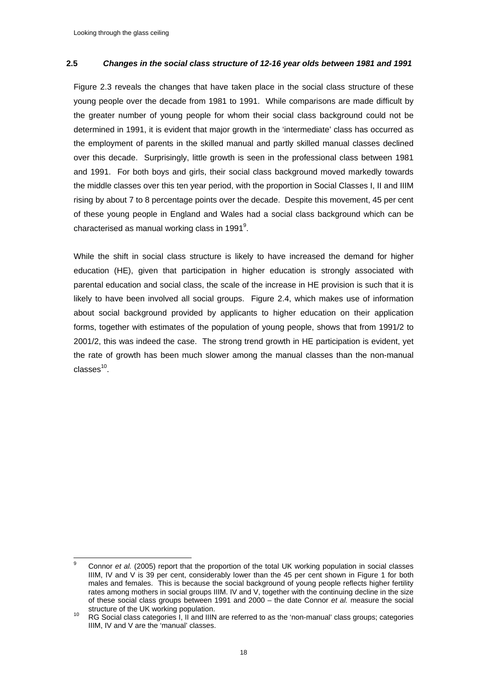### **2.5** *Changes in the social class structure of 12-16 year olds between 1981 and 1991*

Figure 2.3 reveals the changes that have taken place in the social class structure of these young people over the decade from 1981 to 1991. While comparisons are made difficult by the greater number of young people for whom their social class background could not be determined in 1991, it is evident that major growth in the 'intermediate' class has occurred as the employment of parents in the skilled manual and partly skilled manual classes declined over this decade. Surprisingly, little growth is seen in the professional class between 1981 and 1991. For both boys and girls, their social class background moved markedly towards the middle classes over this ten year period, with the proportion in Social Classes I, II and IIIM rising by about 7 to 8 percentage points over the decade. Despite this movement, 45 per cent of these young people in England and Wales had a social class background which can be characterised as manual working class in 1991 $^9$ .

While the shift in social class structure is likely to have increased the demand for higher education (HE), given that participation in higher education is strongly associated with parental education and social class, the scale of the increase in HE provision is such that it is likely to have been involved all social groups. Figure 2.4, which makes use of information about social background provided by applicants to higher education on their application forms, together with estimates of the population of young people, shows that from 1991/2 to 2001/2, this was indeed the case. The strong trend growth in HE participation is evident, yet the rate of growth has been much slower among the manual classes than the non-manual  $classes<sup>10</sup>$ .

<sup>-&</sup>lt;br>9 Connor *et al.* (2005) report that the proportion of the total UK working population in social classes IIIM, IV and V is 39 per cent, considerably lower than the 45 per cent shown in Figure 1 for both males and females. This is because the social background of young people reflects higher fertility rates among mothers in social groups IIIM. IV and V, together with the continuing decline in the size of these social class groups between 1991 and 2000 – the date Connor *et al.* measure the social structure of the UK working population.<br><sup>10</sup> RG Social class categories I, II and IIIN are referred to as the 'non-manual' class groups; categories

IIIM, IV and V are the 'manual' classes.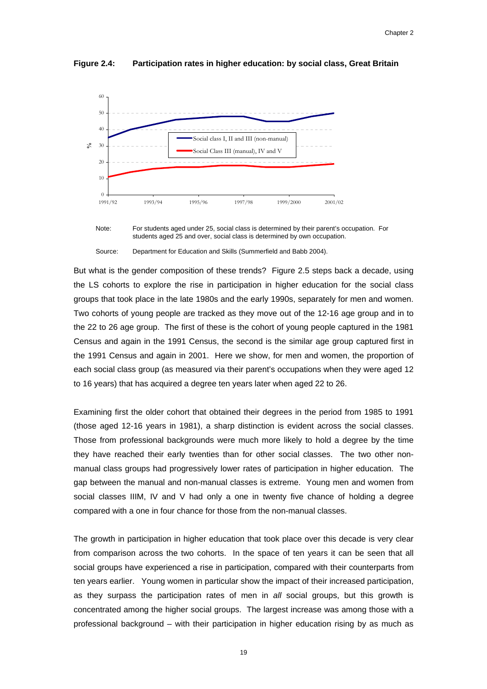

#### **Figure 2.4: Participation rates in higher education: by social class, Great Britain**



Note: For students aged under 25, social class is determined by their parent's occupation. For

But what is the gender composition of these trends? Figure 2.5 steps back a decade, using the LS cohorts to explore the rise in participation in higher education for the social class groups that took place in the late 1980s and the early 1990s, separately for men and women. Two cohorts of young people are tracked as they move out of the 12-16 age group and in to the 22 to 26 age group. The first of these is the cohort of young people captured in the 1981 Census and again in the 1991 Census, the second is the similar age group captured first in the 1991 Census and again in 2001. Here we show, for men and women, the proportion of each social class group (as measured via their parent's occupations when they were aged 12 to 16 years) that has acquired a degree ten years later when aged 22 to 26.

Examining first the older cohort that obtained their degrees in the period from 1985 to 1991 (those aged 12-16 years in 1981), a sharp distinction is evident across the social classes. Those from professional backgrounds were much more likely to hold a degree by the time they have reached their early twenties than for other social classes. The two other nonmanual class groups had progressively lower rates of participation in higher education. The gap between the manual and non-manual classes is extreme. Young men and women from social classes IIIM, IV and V had only a one in twenty five chance of holding a degree compared with a one in four chance for those from the non-manual classes.

The growth in participation in higher education that took place over this decade is very clear from comparison across the two cohorts. In the space of ten years it can be seen that all social groups have experienced a rise in participation, compared with their counterparts from ten years earlier. Young women in particular show the impact of their increased participation, as they surpass the participation rates of men in *all* social groups, but this growth is concentrated among the higher social groups. The largest increase was among those with a professional background – with their participation in higher education rising by as much as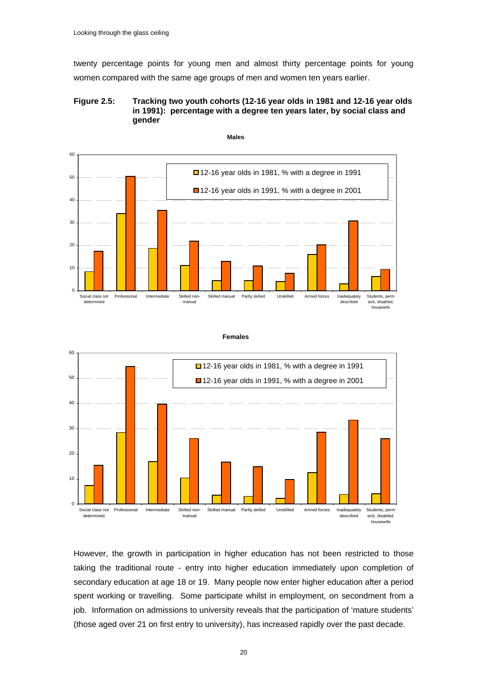twenty percentage points for young men and almost thirty percentage points for young women compared with the same age groups of men and women ten years earlier.

#### **Figure 2.5: Tracking two youth cohorts (12-16 year olds in 1981 and 12-16 year olds in 1991): percentage with a degree ten years later, by social class and gender**



#### **Females**



However, the growth in participation in higher education has not been restricted to those taking the traditional route - entry into higher education immediately upon completion of secondary education at age 18 or 19. Many people now enter higher education after a period spent working or travelling. Some participate whilst in employment, on secondment from a job. Information on admissions to university reveals that the participation of 'mature students' (those aged over 21 on first entry to university), has increased rapidly over the past decade.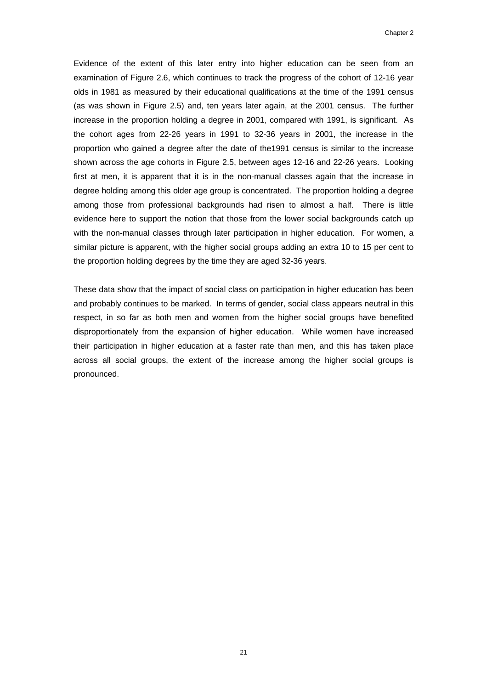Chapter 2

Evidence of the extent of this later entry into higher education can be seen from an examination of Figure 2.6, which continues to track the progress of the cohort of 12-16 year olds in 1981 as measured by their educational qualifications at the time of the 1991 census (as was shown in Figure 2.5) and, ten years later again, at the 2001 census. The further increase in the proportion holding a degree in 2001, compared with 1991, is significant. As the cohort ages from 22-26 years in 1991 to 32-36 years in 2001, the increase in the proportion who gained a degree after the date of the1991 census is similar to the increase shown across the age cohorts in Figure 2.5, between ages 12-16 and 22-26 years. Looking first at men, it is apparent that it is in the non-manual classes again that the increase in degree holding among this older age group is concentrated. The proportion holding a degree among those from professional backgrounds had risen to almost a half. There is little evidence here to support the notion that those from the lower social backgrounds catch up with the non-manual classes through later participation in higher education. For women, a similar picture is apparent, with the higher social groups adding an extra 10 to 15 per cent to the proportion holding degrees by the time they are aged 32-36 years.

These data show that the impact of social class on participation in higher education has been and probably continues to be marked. In terms of gender, social class appears neutral in this respect, in so far as both men and women from the higher social groups have benefited disproportionately from the expansion of higher education. While women have increased their participation in higher education at a faster rate than men, and this has taken place across all social groups, the extent of the increase among the higher social groups is pronounced.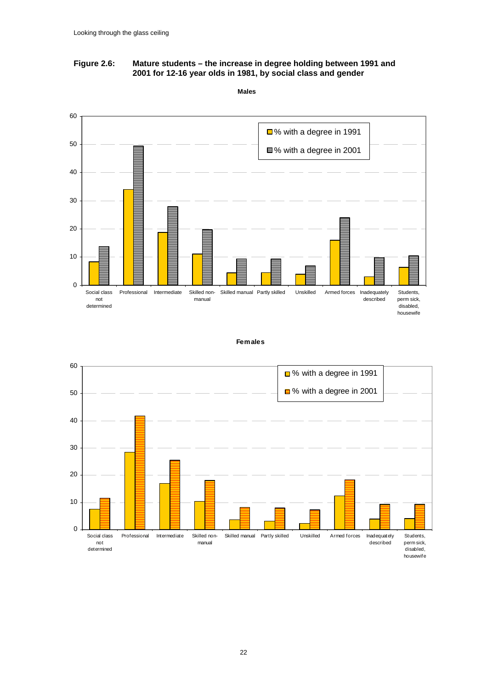## **Figure 2.6: Mature students – the increase in degree holding between 1991 and 2001 for 12-16 year olds in 1981, by social class and gender**



#### **Females**



**Males**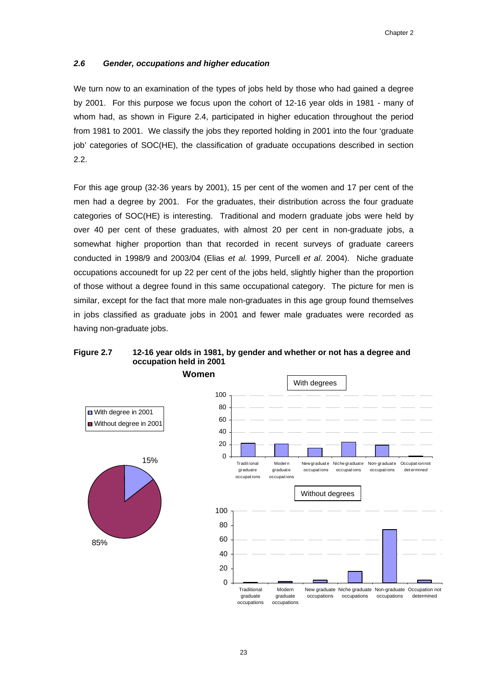## *2.6 Gender, occupations and higher education*

We turn now to an examination of the types of jobs held by those who had gained a degree by 2001. For this purpose we focus upon the cohort of 12-16 year olds in 1981 - many of whom had, as shown in Figure 2.4, participated in higher education throughout the period from 1981 to 2001. We classify the jobs they reported holding in 2001 into the four 'graduate job' categories of SOC(HE), the classification of graduate occupations described in section 2.2.

For this age group (32-36 years by 2001), 15 per cent of the women and 17 per cent of the men had a degree by 2001. For the graduates, their distribution across the four graduate categories of SOC(HE) is interesting. Traditional and modern graduate jobs were held by over 40 per cent of these graduates, with almost 20 per cent in non-graduate jobs, a somewhat higher proportion than that recorded in recent surveys of graduate careers conducted in 1998/9 and 2003/04 (Elias *et al.* 1999, Purcell *et al*. 2004). Niche graduate occupations accounedt for up 22 per cent of the jobs held, slightly higher than the proportion of those without a degree found in this same occupational category. The picture for men is similar, except for the fact that more male non-graduates in this age group found themselves in jobs classified as graduate jobs in 2001 and fewer male graduates were recorded as having non-graduate jobs.

## **Figure 2.7 12-16 year olds in 1981, by gender and whether or not has a degree and occupation held in 2001**

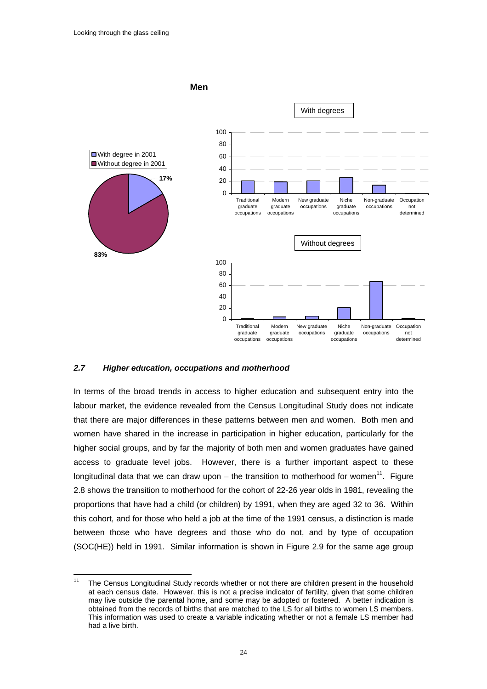

#### *2.7 Higher education, occupations and motherhood*

In terms of the broad trends in access to higher education and subsequent entry into the labour market, the evidence revealed from the Census Longitudinal Study does not indicate that there are major differences in these patterns between men and women. Both men and women have shared in the increase in participation in higher education, particularly for the higher social groups, and by far the majority of both men and women graduates have gained access to graduate level jobs. However, there is a further important aspect to these longitudinal data that we can draw upon – the transition to motherhood for women<sup>11</sup>. Figure 2.8 shows the transition to motherhood for the cohort of 22-26 year olds in 1981, revealing the proportions that have had a child (or children) by 1991, when they are aged 32 to 36. Within this cohort, and for those who held a job at the time of the 1991 census, a distinction is made between those who have degrees and those who do not, and by type of occupation (SOC(HE)) held in 1991. Similar information is shown in Figure 2.9 for the same age group

 $11$ 11 The Census Longitudinal Study records whether or not there are children present in the household at each census date. However, this is not a precise indicator of fertility, given that some children may live outside the parental home, and some may be adopted or fostered. A better indication is obtained from the records of births that are matched to the LS for all births to women LS members. This information was used to create a variable indicating whether or not a female LS member had had a live birth.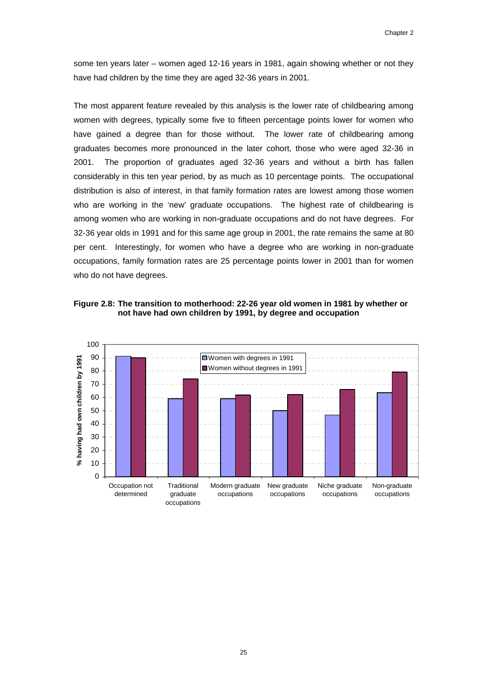some ten years later – women aged 12-16 years in 1981, again showing whether or not they have had children by the time they are aged 32-36 years in 2001.

The most apparent feature revealed by this analysis is the lower rate of childbearing among women with degrees, typically some five to fifteen percentage points lower for women who have gained a degree than for those without. The lower rate of childbearing among graduates becomes more pronounced in the later cohort, those who were aged 32-36 in 2001. The proportion of graduates aged 32-36 years and without a birth has fallen considerably in this ten year period, by as much as 10 percentage points. The occupational distribution is also of interest, in that family formation rates are lowest among those women who are working in the 'new' graduate occupations. The highest rate of childbearing is among women who are working in non-graduate occupations and do not have degrees. For 32-36 year olds in 1991 and for this same age group in 2001, the rate remains the same at 80 per cent. Interestingly, for women who have a degree who are working in non-graduate occupations, family formation rates are 25 percentage points lower in 2001 than for women who do not have degrees.

**Figure 2.8: The transition to motherhood: 22-26 year old women in 1981 by whether or not have had own children by 1991, by degree and occupation** 

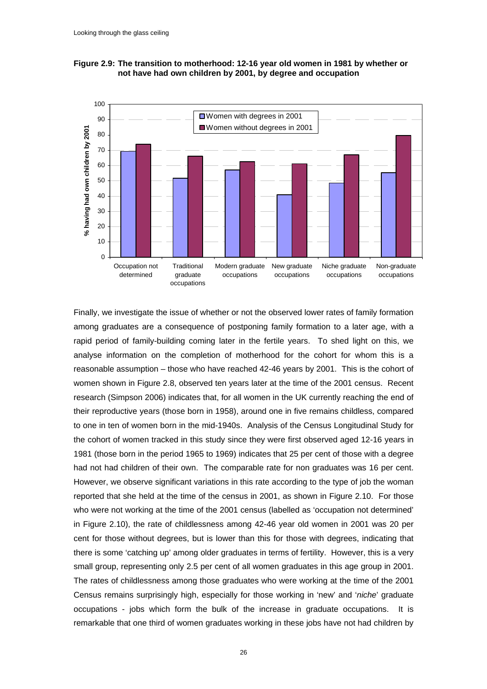



Finally, we investigate the issue of whether or not the observed lower rates of family formation among graduates are a consequence of postponing family formation to a later age, with a rapid period of family-building coming later in the fertile years. To shed light on this, we analyse information on the completion of motherhood for the cohort for whom this is a reasonable assumption – those who have reached 42-46 years by 2001. This is the cohort of women shown in Figure 2.8, observed ten years later at the time of the 2001 census. Recent research (Simpson 2006) indicates that, for all women in the UK currently reaching the end of their reproductive years (those born in 1958), around one in five remains childless, compared to one in ten of women born in the mid-1940s. Analysis of the Census Longitudinal Study for the cohort of women tracked in this study since they were first observed aged 12-16 years in 1981 (those born in the period 1965 to 1969) indicates that 25 per cent of those with a degree had not had children of their own. The comparable rate for non graduates was 16 per cent. However, we observe significant variations in this rate according to the type of job the woman reported that she held at the time of the census in 2001, as shown in Figure 2.10. For those who were not working at the time of the 2001 census (labelled as 'occupation not determined' in Figure 2.10), the rate of childlessness among 42-46 year old women in 2001 was 20 per cent for those without degrees, but is lower than this for those with degrees, indicating that there is some 'catching up' among older graduates in terms of fertility. However, this is a very small group, representing only 2.5 per cent of all women graduates in this age group in 2001. The rates of childlessness among those graduates who were working at the time of the 2001 Census remains surprisingly high, especially for those working in 'new' and '*niche*' graduate occupations - jobs which form the bulk of the increase in graduate occupations. It is remarkable that one third of women graduates working in these jobs have not had children by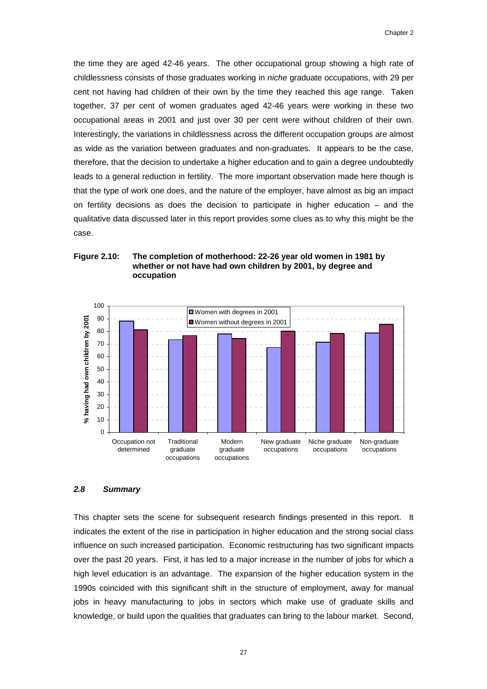the time they are aged 42-46 years. The other occupational group showing a high rate of childlessness consists of those graduates working in *niche* graduate occupations, with 29 per cent not having had children of their own by the time they reached this age range. Taken together, 37 per cent of women graduates aged 42-46 years were working in these two occupational areas in 2001 and just over 30 per cent were without children of their own. Interestingly, the variations in childlessness across the different occupation groups are almost as wide as the variation between graduates and non-graduates. It appears to be the case, therefore, that the decision to undertake a higher education and to gain a degree undoubtedly leads to a general reduction in fertility. The more important observation made here though is that the type of work one does, and the nature of the employer, have almost as big an impact on fertility decisions as does the decision to participate in higher education  $-$  and the qualitative data discussed later in this report provides some clues as to why this might be the case.





#### *2.8 Summary*

This chapter sets the scene for subsequent research findings presented in this report. It indicates the extent of the rise in participation in higher education and the strong social class influence on such increased participation. Economic restructuring has two significant impacts over the past 20 years. First, it has led to a major increase in the number of jobs for which a high level education is an advantage. The expansion of the higher education system in the 1990s coincided with this significant shift in the structure of employment, away for manual jobs in heavy manufacturing to jobs in sectors which make use of graduate skills and knowledge, or build upon the qualities that graduates can bring to the labour market. Second,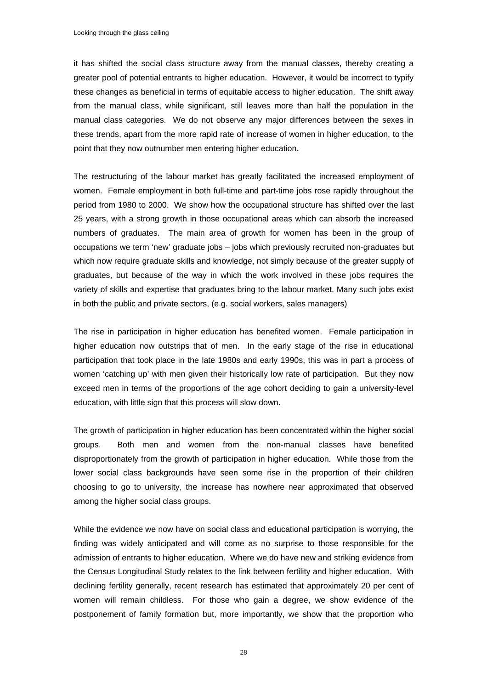it has shifted the social class structure away from the manual classes, thereby creating a greater pool of potential entrants to higher education. However, it would be incorrect to typify these changes as beneficial in terms of equitable access to higher education. The shift away from the manual class, while significant, still leaves more than half the population in the manual class categories. We do not observe any major differences between the sexes in these trends, apart from the more rapid rate of increase of women in higher education, to the point that they now outnumber men entering higher education.

The restructuring of the labour market has greatly facilitated the increased employment of women. Female employment in both full-time and part-time jobs rose rapidly throughout the period from 1980 to 2000. We show how the occupational structure has shifted over the last 25 years, with a strong growth in those occupational areas which can absorb the increased numbers of graduates. The main area of growth for women has been in the group of occupations we term 'new' graduate jobs – jobs which previously recruited non-graduates but which now require graduate skills and knowledge, not simply because of the greater supply of graduates, but because of the way in which the work involved in these jobs requires the variety of skills and expertise that graduates bring to the labour market. Many such jobs exist in both the public and private sectors, (e.g. social workers, sales managers)

The rise in participation in higher education has benefited women. Female participation in higher education now outstrips that of men. In the early stage of the rise in educational participation that took place in the late 1980s and early 1990s, this was in part a process of women 'catching up' with men given their historically low rate of participation. But they now exceed men in terms of the proportions of the age cohort deciding to gain a university-level education, with little sign that this process will slow down.

The growth of participation in higher education has been concentrated within the higher social groups. Both men and women from the non-manual classes have benefited disproportionately from the growth of participation in higher education. While those from the lower social class backgrounds have seen some rise in the proportion of their children choosing to go to university, the increase has nowhere near approximated that observed among the higher social class groups.

While the evidence we now have on social class and educational participation is worrying, the finding was widely anticipated and will come as no surprise to those responsible for the admission of entrants to higher education. Where we do have new and striking evidence from the Census Longitudinal Study relates to the link between fertility and higher education. With declining fertility generally, recent research has estimated that approximately 20 per cent of women will remain childless. For those who gain a degree, we show evidence of the postponement of family formation but, more importantly, we show that the proportion who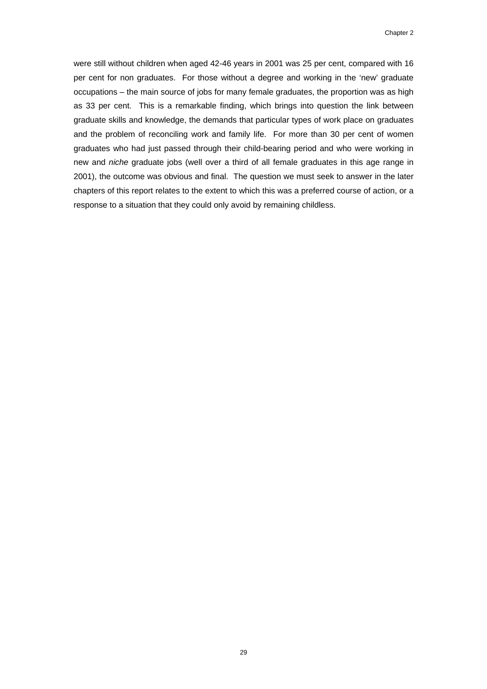were still without children when aged 42-46 years in 2001 was 25 per cent, compared with 16 per cent for non graduates. For those without a degree and working in the 'new' graduate occupations – the main source of jobs for many female graduates, the proportion was as high as 33 per cent. This is a remarkable finding, which brings into question the link between graduate skills and knowledge, the demands that particular types of work place on graduates and the problem of reconciling work and family life. For more than 30 per cent of women graduates who had just passed through their child-bearing period and who were working in new and *niche* graduate jobs (well over a third of all female graduates in this age range in 2001), the outcome was obvious and final. The question we must seek to answer in the later chapters of this report relates to the extent to which this was a preferred course of action, or a response to a situation that they could only avoid by remaining childless.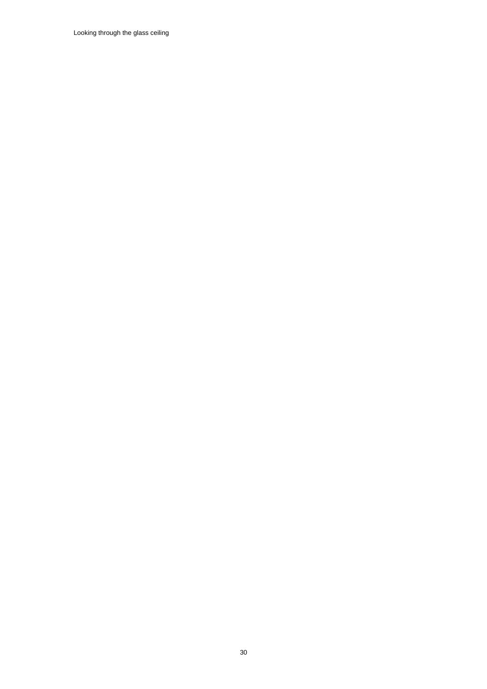Looking through the glass ceiling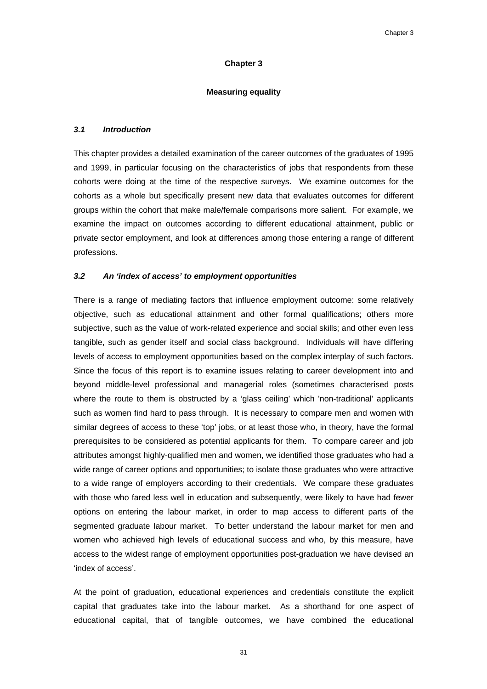#### **Chapter 3**

#### **Measuring equality**

### *3.1 Introduction*

This chapter provides a detailed examination of the career outcomes of the graduates of 1995 and 1999, in particular focusing on the characteristics of jobs that respondents from these cohorts were doing at the time of the respective surveys. We examine outcomes for the cohorts as a whole but specifically present new data that evaluates outcomes for different groups within the cohort that make male/female comparisons more salient. For example, we examine the impact on outcomes according to different educational attainment, public or private sector employment, and look at differences among those entering a range of different professions.

### *3.2 An 'index of access' to employment opportunities*

There is a range of mediating factors that influence employment outcome: some relatively objective, such as educational attainment and other formal qualifications; others more subjective, such as the value of work-related experience and social skills; and other even less tangible, such as gender itself and social class background. Individuals will have differing levels of access to employment opportunities based on the complex interplay of such factors. Since the focus of this report is to examine issues relating to career development into and beyond middle-level professional and managerial roles (sometimes characterised posts where the route to them is obstructed by a 'glass ceiling' which 'non-traditional' applicants such as women find hard to pass through. It is necessary to compare men and women with similar degrees of access to these 'top' jobs, or at least those who, in theory, have the formal prerequisites to be considered as potential applicants for them. To compare career and job attributes amongst highly-qualified men and women, we identified those graduates who had a wide range of career options and opportunities; to isolate those graduates who were attractive to a wide range of employers according to their credentials. We compare these graduates with those who fared less well in education and subsequently, were likely to have had fewer options on entering the labour market, in order to map access to different parts of the segmented graduate labour market. To better understand the labour market for men and women who achieved high levels of educational success and who, by this measure, have access to the widest range of employment opportunities post-graduation we have devised an 'index of access'.

At the point of graduation, educational experiences and credentials constitute the explicit capital that graduates take into the labour market. As a shorthand for one aspect of educational capital, that of tangible outcomes, we have combined the educational

31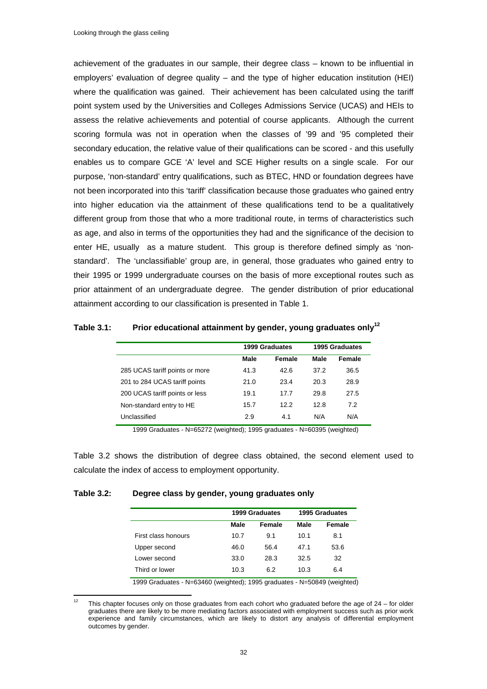achievement of the graduates in our sample, their degree class – known to be influential in employers' evaluation of degree quality – and the type of higher education institution (HEI) where the qualification was gained. Their achievement has been calculated using the tariff point system used by the Universities and Colleges Admissions Service (UCAS) and HEIs to assess the relative achievements and potential of course applicants. Although the current scoring formula was not in operation when the classes of '99 and '95 completed their secondary education, the relative value of their qualifications can be scored - and this usefully enables us to compare GCE 'A' level and SCE Higher results on a single scale. For our purpose, 'non-standard' entry qualifications, such as BTEC, HND or foundation degrees have not been incorporated into this 'tariff' classification because those graduates who gained entry into higher education via the attainment of these qualifications tend to be a qualitatively different group from those that who a more traditional route, in terms of characteristics such as age, and also in terms of the opportunities they had and the significance of the decision to enter HE, usually as a mature student. This group is therefore defined simply as 'nonstandard'. The 'unclassifiable' group are, in general, those graduates who gained entry to their 1995 or 1999 undergraduate courses on the basis of more exceptional routes such as prior attainment of an undergraduate degree. The gender distribution of prior educational attainment according to our classification is presented in Table 1.

# Table 3.1: Prior educational attainment by gender, young graduates only<sup>12</sup>

|                                |                | 1999 Graduates | 1995 Graduates |        |  |
|--------------------------------|----------------|----------------|----------------|--------|--|
|                                | Male<br>Female |                | Male           | Female |  |
| 285 UCAS tariff points or more | 41.3           | 42.6           | 37.2           | 36.5   |  |
| 201 to 284 UCAS tariff points  | 21.0           | 23.4           | 20.3           | 28.9   |  |
| 200 UCAS tariff points or less | 19.1           | 17.7           | 29.8           | 27.5   |  |
| Non-standard entry to HE       | 15.7           | 12.2           | 12.8           | 7.2    |  |
| Unclassified                   | 2.9            | 4.1            | N/A            | N/A    |  |

1999 Graduates - N=65272 (weighted); 1995 graduates - N=60395 (weighted)

Table 3.2 shows the distribution of degree class obtained, the second element used to calculate the index of access to employment opportunity.

#### **Table 3.2: Degree class by gender, young graduates only**

|                     |      | 1999 Graduates |      | 1995 Graduates |
|---------------------|------|----------------|------|----------------|
|                     | Male | Female         |      | Female         |
| First class honours | 10.7 | 9.1            | 10.1 | 8.1            |
| Upper second        | 46.0 | 56.4           | 47.1 | 53.6           |
| Lower second        | 33.0 | 28.3           | 32.5 | 32             |
| Third or lower      | 10.3 | 6.2            | 10.3 | 6.4            |

1999 Graduates - N=63460 (weighted); 1995 graduates - N=50849 (weighted)

 $12<sup>12</sup>$ This chapter focuses only on those graduates from each cohort who graduated before the age of  $24 -$  for older graduates there are likely to be more mediating factors associated with employment success such as prior work experience and family circumstances, which are likely to distort any analysis of differential employment outcomes by gender.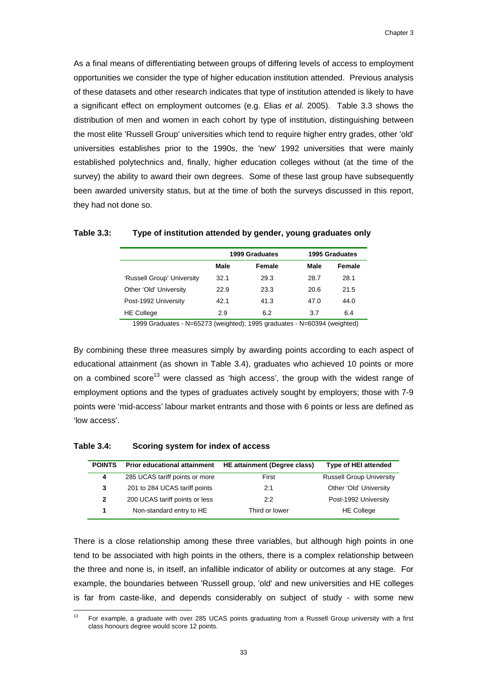As a final means of differentiating between groups of differing levels of access to employment opportunities we consider the type of higher education institution attended. Previous analysis of these datasets and other research indicates that type of institution attended is likely to have a significant effect on employment outcomes (e.g. Elias *et al.* 2005). Table 3.3 shows the distribution of men and women in each cohort by type of institution, distinguishing between the most elite 'Russell Group' universities which tend to require higher entry grades, other 'old' universities establishes prior to the 1990s, the 'new' 1992 universities that were mainly established polytechnics and, finally, higher education colleges without (at the time of the survey) the ability to award their own degrees. Some of these last group have subsequently been awarded university status, but at the time of both the surveys discussed in this report, they had not done so.

|                            |                | 1999 Graduates |      | <b>1995 Graduates</b> |
|----------------------------|----------------|----------------|------|-----------------------|
|                            | Male<br>Female |                | Male | Female                |
| 'Russell Group' University | 32.1           | 29.3           | 28.7 | 28.1                  |
| Other 'Old' University     | 22.9           | 23.3           | 20.6 | 21.5                  |
| Post-1992 University       | 42.1           | 41.3           | 47.0 | 44.0                  |
| <b>HE College</b>          | 2.9            | 6.2            | 3.7  | 6.4                   |

### **Table 3.3: Type of institution attended by gender, young graduates only**

1999 Graduates - N=65273 (weighted); 1995 graduates - N=60394 (weighted)

By combining these three measures simply by awarding points according to each aspect of educational attainment (as shown in Table 3.4), graduates who achieved 10 points or more on a combined score<sup>13</sup> were classed as 'high access', the group with the widest range of employment options and the types of graduates actively sought by employers; those with 7-9 points were 'mid-access' labour market entrants and those with 6 points or less are defined as 'low access'.

 $\overline{a}$ 

| <b>POINTS</b> | <b>Prior educational attainment</b> | <b>HE attainment (Degree class)</b> | <b>Type of HEI attended</b>     |
|---------------|-------------------------------------|-------------------------------------|---------------------------------|
| 4             | 285 UCAS tariff points or more      | First                               | <b>Russell Group University</b> |
| 3             | 201 to 284 UCAS tariff points       | 2:1                                 | Other 'Old' University          |
| $\mathbf{2}$  | 200 UCAS tariff points or less      | 2:2                                 | Post-1992 University            |
|               | Non-standard entry to HE            | Third or lower                      | <b>HE College</b>               |

There is a close relationship among these three variables, but although high points in one tend to be associated with high points in the others, there is a complex relationship between the three and none is, in itself, an infallible indicator of ability or outcomes at any stage. For example, the boundaries between 'Russell group, 'old' and new universities and HE colleges is far from caste-like, and depends considerably on subject of study - with some new

<sup>13</sup> For example, a graduate with over 285 UCAS points graduating from a Russell Group university with a first class honours degree would score 12 points.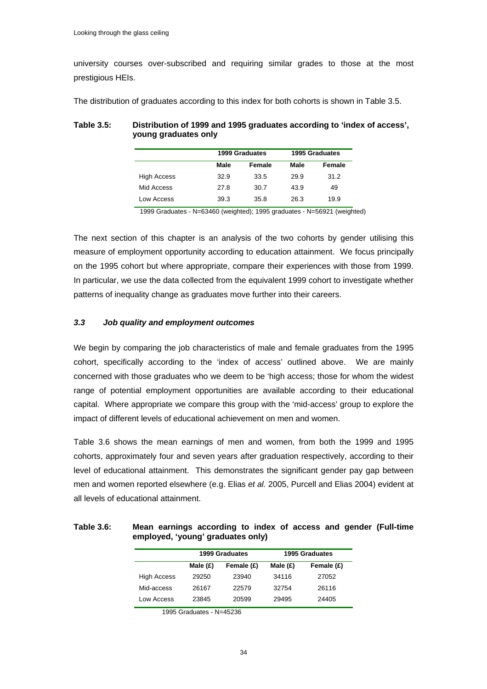university courses over-subscribed and requiring similar grades to those at the most prestigious HEIs.

The distribution of graduates according to this index for both cohorts is shown in Table 3.5.

|                    |      | 1999 Graduates | 1995 Graduates |        |  |
|--------------------|------|----------------|----------------|--------|--|
|                    | Male | Female         | Male           | Female |  |
| <b>High Access</b> | 32.9 | 33.5           | 29.9           | 31.2   |  |
| Mid Access         | 27.8 | 30.7           | 43.9           | 49     |  |

Low Access 39.3 35.8 26.3 19.9

## **Table 3.5: Distribution of 1999 and 1995 graduates according to 'index of access', young graduates only**

1999 Graduates - N=63460 (weighted); 1995 graduates - N=56921 (weighted)

The next section of this chapter is an analysis of the two cohorts by gender utilising this measure of employment opportunity according to education attainment. We focus principally on the 1995 cohort but where appropriate, compare their experiences with those from 1999. In particular, we use the data collected from the equivalent 1999 cohort to investigate whether patterns of inequality change as graduates move further into their careers.

## *3.3 Job quality and employment outcomes*

We begin by comparing the job characteristics of male and female graduates from the 1995 cohort, specifically according to the 'index of access' outlined above. We are mainly concerned with those graduates who we deem to be 'high access; those for whom the widest range of potential employment opportunities are available according to their educational capital. Where appropriate we compare this group with the 'mid-access' group to explore the impact of different levels of educational achievement on men and women.

Table 3.6 shows the mean earnings of men and women, from both the 1999 and 1995 cohorts, approximately four and seven years after graduation respectively, according to their level of educational attainment. This demonstrates the significant gender pay gap between men and women reported elsewhere (e.g. Elias *et al.* 2005, Purcell and Elias 2004) evident at all levels of educational attainment.

### **Table 3.6: Mean earnings according to index of access and gender (Full-time employed, 'young' graduates only)**

|                    |                          | 1999 Graduates |            | 1995 Graduates |
|--------------------|--------------------------|----------------|------------|----------------|
|                    | Female (£)<br>Male $(E)$ |                | Male $(E)$ | Female $(E)$   |
| <b>High Access</b> | 29250                    | 23940          | 34116      | 27052          |
| Mid-access         | 26167                    | 22579          | 32754      | 26116          |
| Low Access         | 23845                    | 20599          | 29495      | 24405          |

1995 Graduates - N=45236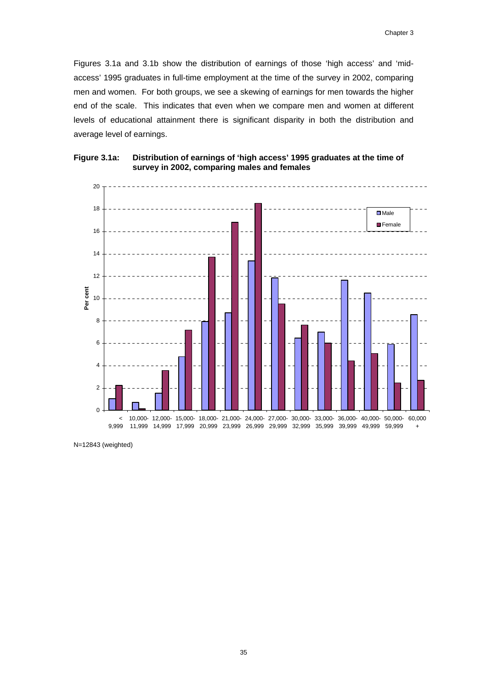Figures 3.1a and 3.1b show the distribution of earnings of those 'high access' and 'midaccess' 1995 graduates in full-time employment at the time of the survey in 2002, comparing men and women. For both groups, we see a skewing of earnings for men towards the higher end of the scale. This indicates that even when we compare men and women at different levels of educational attainment there is significant disparity in both the distribution and average level of earnings.





N=12843 (weighted)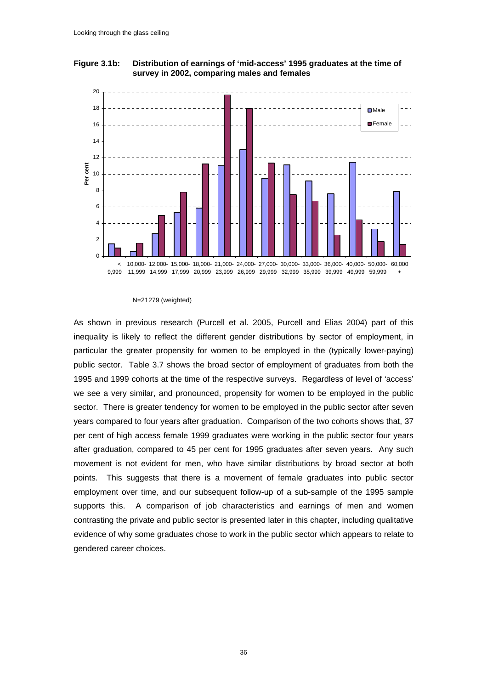



#### N=21279 (weighted)

As shown in previous research (Purcell et al. 2005, Purcell and Elias 2004) part of this inequality is likely to reflect the different gender distributions by sector of employment, in particular the greater propensity for women to be employed in the (typically lower-paying) public sector. Table 3.7 shows the broad sector of employment of graduates from both the 1995 and 1999 cohorts at the time of the respective surveys. Regardless of level of 'access' we see a very similar, and pronounced, propensity for women to be employed in the public sector. There is greater tendency for women to be employed in the public sector after seven years compared to four years after graduation. Comparison of the two cohorts shows that, 37 per cent of high access female 1999 graduates were working in the public sector four years after graduation, compared to 45 per cent for 1995 graduates after seven years. Any such movement is not evident for men, who have similar distributions by broad sector at both points. This suggests that there is a movement of female graduates into public sector employment over time, and our subsequent follow-up of a sub-sample of the 1995 sample supports this. A comparison of job characteristics and earnings of men and women contrasting the private and public sector is presented later in this chapter, including qualitative evidence of why some graduates chose to work in the public sector which appears to relate to gendered career choices.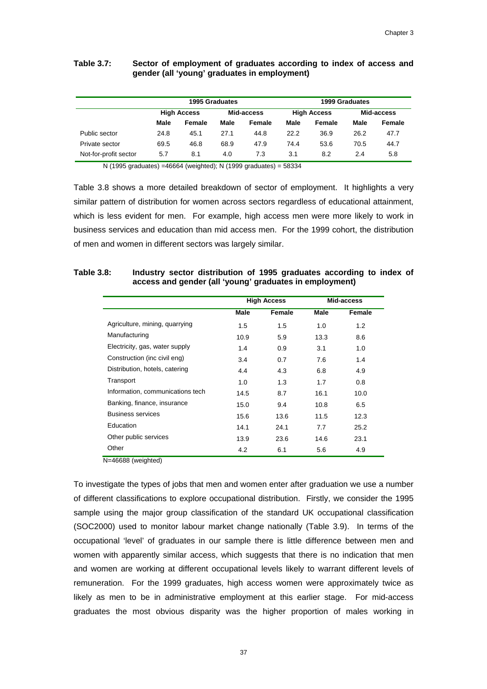### **Table 3.7: Sector of employment of graduates according to index of access and gender (all 'young' graduates in employment)**

|                       | 1995 Graduates     |        |            |        |      |                    | 1999 Graduates |            |
|-----------------------|--------------------|--------|------------|--------|------|--------------------|----------------|------------|
|                       | <b>High Access</b> |        | Mid-access |        |      | <b>High Access</b> |                | Mid-access |
|                       | Male               | Female | Male       | Female | Male | Female             | Male           | Female     |
| Public sector         | 24.8               | 45.1   | 27.1       | 44.8   | 22.2 | 36.9               | 26.2           | 47.7       |
| Private sector        | 69.5               | 46.8   | 68.9       | 47.9   | 74.4 | 53.6               | 70.5           | 44.7       |
| Not-for-profit sector | 5.7                | 8.1    | 4.0        | 7.3    | 3.1  | 8.2                | 2.4            | 5.8        |

N (1995 graduates) =46664 (weighted); N (1999 graduates) = 58334

Table 3.8 shows a more detailed breakdown of sector of employment. It highlights a very similar pattern of distribution for women across sectors regardless of educational attainment, which is less evident for men. For example, high access men were more likely to work in business services and education than mid access men. For the 1999 cohort, the distribution of men and women in different sectors was largely similar.

|                                  |      | <b>High Access</b> | Mid-access  |        |  |
|----------------------------------|------|--------------------|-------------|--------|--|
|                                  | Male | Female             | <b>Male</b> | Female |  |
| Agriculture, mining, quarrying   | 1.5  | 1.5                | 1.0         | 1.2    |  |
| Manufacturing                    | 10.9 | 5.9                | 13.3        | 8.6    |  |
| Electricity, gas, water supply   | 1.4  | 0.9                | 3.1         | 1.0    |  |
| Construction (inc civil eng)     | 3.4  | 0.7                | 7.6         | 1.4    |  |
| Distribution, hotels, catering   | 4.4  | 4.3                | 6.8         | 4.9    |  |
| Transport                        | 1.0  | 1.3                | 1.7         | 0.8    |  |
| Information, communications tech | 14.5 | 8.7                | 16.1        | 10.0   |  |
| Banking, finance, insurance      | 15.0 | 9.4                | 10.8        | 6.5    |  |
| <b>Business services</b>         | 15.6 | 13.6               | 11.5        | 12.3   |  |
| Education                        | 14.1 | 24.1               | 7.7         | 25.2   |  |
| Other public services            | 13.9 | 23.6               | 14.6        | 23.1   |  |
| Other                            | 4.2  | 6.1                | 5.6         | 4.9    |  |

#### **Table 3.8: Industry sector distribution of 1995 graduates according to index of access and gender (all 'young' graduates in employment)**

N=46688 (weighted)

To investigate the types of jobs that men and women enter after graduation we use a number of different classifications to explore occupational distribution. Firstly, we consider the 1995 sample using the major group classification of the standard UK occupational classification (SOC2000) used to monitor labour market change nationally (Table 3.9). In terms of the occupational 'level' of graduates in our sample there is little difference between men and women with apparently similar access, which suggests that there is no indication that men and women are working at different occupational levels likely to warrant different levels of remuneration. For the 1999 graduates, high access women were approximately twice as likely as men to be in administrative employment at this earlier stage. For mid-access graduates the most obvious disparity was the higher proportion of males working in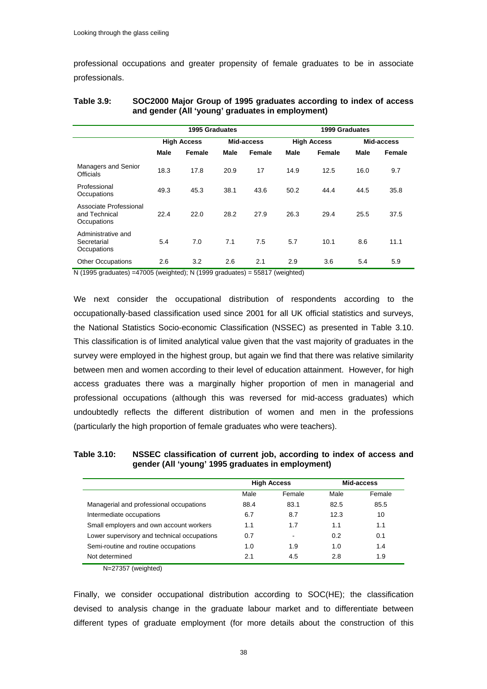professional occupations and greater propensity of female graduates to be in associate professionals.

|                                                        | <b>1995 Graduates</b> |        |            | <b>1999 Graduates</b> |      |                    |            |        |
|--------------------------------------------------------|-----------------------|--------|------------|-----------------------|------|--------------------|------------|--------|
|                                                        | <b>High Access</b>    |        | Mid-access |                       |      | <b>High Access</b> | Mid-access |        |
|                                                        | Male                  | Female | Male       | Female                | Male | Female             | Male       | Female |
| Managers and Senior<br><b>Officials</b>                | 18.3                  | 17.8   | 20.9       | 17                    | 14.9 | 12.5               | 16.0       | 9.7    |
| Professional<br>Occupations                            | 49.3                  | 45.3   | 38.1       | 43.6                  | 50.2 | 44.4               | 44.5       | 35.8   |
| Associate Professional<br>and Technical<br>Occupations | 22.4                  | 22.0   | 28.2       | 27.9                  | 26.3 | 29.4               | 25.5       | 37.5   |
| Administrative and<br>Secretarial<br>Occupations       | 5.4                   | 7.0    | 7.1        | 7.5                   | 5.7  | 10.1               | 8.6        | 11.1   |
| <b>Other Occupations</b>                               | 2.6                   | 3.2    | 2.6        | 2.1                   | 2.9  | 3.6                | 5.4        | 5.9    |

### **Table 3.9: SOC2000 Major Group of 1995 graduates according to index of access and gender (All 'young' graduates in employment)**

 $N$  (1995 graduates) =47005 (weighted); N (1999 graduates) = 55817 (weighted)

We next consider the occupational distribution of respondents according to the occupationally-based classification used since 2001 for all UK official statistics and surveys, the National Statistics Socio-economic Classification (NSSEC) as presented in Table 3.10. This classification is of limited analytical value given that the vast majority of graduates in the survey were employed in the highest group, but again we find that there was relative similarity between men and women according to their level of education attainment. However, for high access graduates there was a marginally higher proportion of men in managerial and professional occupations (although this was reversed for mid-access graduates) which undoubtedly reflects the different distribution of women and men in the professions (particularly the high proportion of female graduates who were teachers).

### **Table 3.10: NSSEC classification of current job, according to index of access and gender (All 'young' 1995 graduates in employment)**

|                                             | <b>High Access</b> |                          |      | Mid-access |
|---------------------------------------------|--------------------|--------------------------|------|------------|
|                                             | Male               | Female                   | Male | Female     |
| Managerial and professional occupations     | 88.4               | 83.1                     | 82.5 | 85.5       |
| Intermediate occupations                    | 6.7                | 8.7                      | 12.3 | 10         |
| Small employers and own account workers     | 1.1                | 1.7                      | 1.1  | 1.1        |
| Lower supervisory and technical occupations | 0.7                | $\overline{\phantom{0}}$ | 0.2  | 0.1        |
| Semi-routine and routine occupations        | 1.0                | 1.9                      | 1.0  | 1.4        |
| Not determined                              | 2.1                | 4.5                      | 2.8  | 1.9        |

N=27357 (weighted)

Finally, we consider occupational distribution according to SOC(HE); the classification devised to analysis change in the graduate labour market and to differentiate between different types of graduate employment (for more details about the construction of this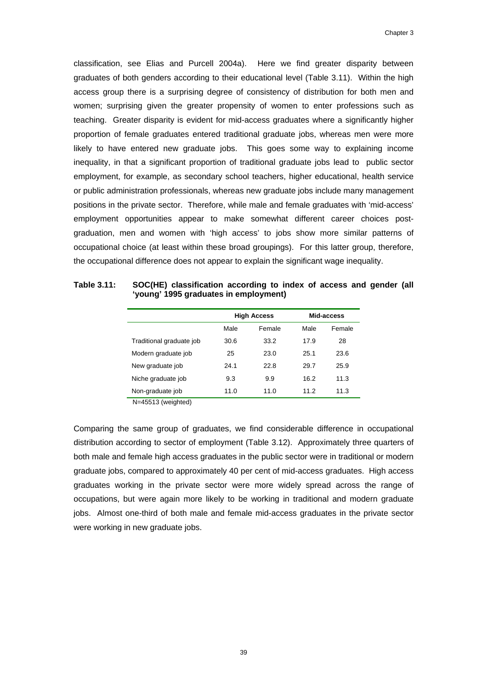classification, see Elias and Purcell 2004a). Here we find greater disparity between graduates of both genders according to their educational level (Table 3.11). Within the high access group there is a surprising degree of consistency of distribution for both men and women; surprising given the greater propensity of women to enter professions such as teaching. Greater disparity is evident for mid-access graduates where a significantly higher proportion of female graduates entered traditional graduate jobs, whereas men were more likely to have entered new graduate jobs. This goes some way to explaining income inequality, in that a significant proportion of traditional graduate jobs lead to public sector employment, for example, as secondary school teachers, higher educational, health service or public administration professionals, whereas new graduate jobs include many management positions in the private sector. Therefore, while male and female graduates with 'mid-access' employment opportunities appear to make somewhat different career choices postgraduation, men and women with 'high access' to jobs show more similar patterns of occupational choice (at least within these broad groupings). For this latter group, therefore, the occupational difference does not appear to explain the significant wage inequality.

|                          |                | <b>High Access</b> |      | Mid-access |
|--------------------------|----------------|--------------------|------|------------|
|                          | Male<br>Female |                    | Male | Female     |
| Traditional graduate job | 30.6           | 33.2               | 17.9 | 28         |
| Modern graduate job      | 25             | 23.0               | 25.1 | 23.6       |
| New graduate job         | 24.1           | 22.8               | 29.7 | 25.9       |
| Niche graduate job       | 9.3            | 9.9                | 16.2 | 11.3       |
| Non-graduate job         | 11.0           | 11.0               | 11.2 | 11.3       |

**Table 3.11: SOC(HE) classification according to index of access and gender (all 'young' 1995 graduates in employment)** 

N=45513 (weighted)

Comparing the same group of graduates, we find considerable difference in occupational distribution according to sector of employment (Table 3.12). Approximately three quarters of both male and female high access graduates in the public sector were in traditional or modern graduate jobs, compared to approximately 40 per cent of mid-access graduates. High access graduates working in the private sector were more widely spread across the range of occupations, but were again more likely to be working in traditional and modern graduate jobs. Almost one-third of both male and female mid-access graduates in the private sector were working in new graduate jobs.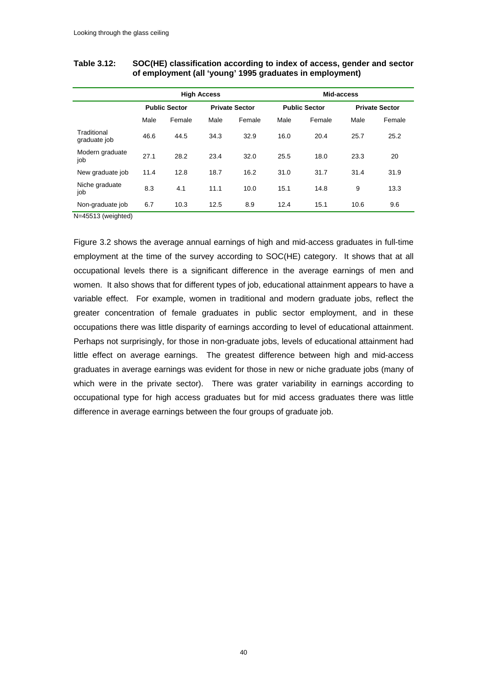|                             | <b>High Access</b> |                      |      |                       |      | Mid-access           |      |                       |
|-----------------------------|--------------------|----------------------|------|-----------------------|------|----------------------|------|-----------------------|
|                             |                    | <b>Public Sector</b> |      | <b>Private Sector</b> |      | <b>Public Sector</b> |      | <b>Private Sector</b> |
|                             | Male               | Female               | Male | Female                | Male | Female               | Male | Female                |
| Traditional<br>graduate job | 46.6               | 44.5                 | 34.3 | 32.9                  | 16.0 | 20.4                 | 25.7 | 25.2                  |
| Modern graduate<br>job      | 27.1               | 28.2                 | 23.4 | 32.0                  | 25.5 | 18.0                 | 23.3 | 20                    |
| New graduate job            | 11.4               | 12.8                 | 18.7 | 16.2                  | 31.0 | 31.7                 | 31.4 | 31.9                  |
| Niche graduate<br>job       | 8.3                | 4.1                  | 11.1 | 10.0                  | 15.1 | 14.8                 | 9    | 13.3                  |
| Non-graduate job            | 6.7                | 10.3                 | 12.5 | 8.9                   | 12.4 | 15.1                 | 10.6 | 9.6                   |

| Table 3.12: | SOC(HE) classification according to index of access, gender and sector |
|-------------|------------------------------------------------------------------------|
|             | of employment (all 'young' 1995 graduates in employment)               |

N=45513 (weighted)

Figure 3.2 shows the average annual earnings of high and mid-access graduates in full-time employment at the time of the survey according to SOC(HE) category. It shows that at all occupational levels there is a significant difference in the average earnings of men and women. It also shows that for different types of job, educational attainment appears to have a variable effect. For example, women in traditional and modern graduate jobs, reflect the greater concentration of female graduates in public sector employment, and in these occupations there was little disparity of earnings according to level of educational attainment. Perhaps not surprisingly, for those in non-graduate jobs, levels of educational attainment had little effect on average earnings. The greatest difference between high and mid-access graduates in average earnings was evident for those in new or niche graduate jobs (many of which were in the private sector). There was grater variability in earnings according to occupational type for high access graduates but for mid access graduates there was little difference in average earnings between the four groups of graduate job.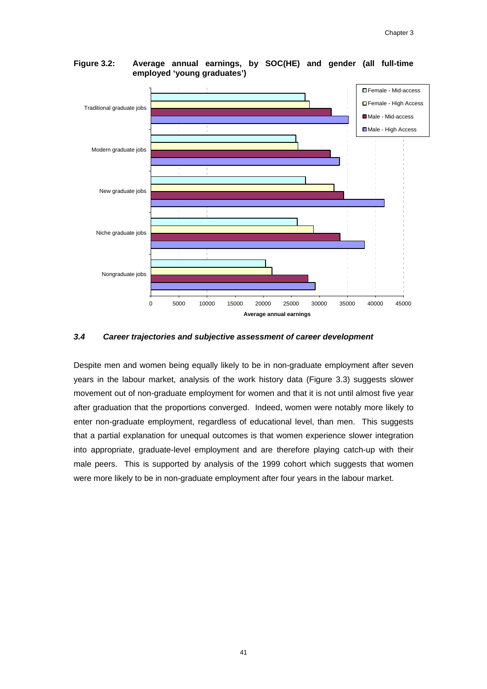

**Figure 3.2: Average annual earnings, by SOC(HE) and gender (all full-time employed 'young graduates')** 

#### *3.4 Career trajectories and subjective assessment of career development*

Despite men and women being equally likely to be in non-graduate employment after seven years in the labour market, analysis of the work history data (Figure 3.3) suggests slower movement out of non-graduate employment for women and that it is not until almost five year after graduation that the proportions converged. Indeed, women were notably more likely to enter non-graduate employment, regardless of educational level, than men. This suggests that a partial explanation for unequal outcomes is that women experience slower integration into appropriate, graduate-level employment and are therefore playing catch-up with their male peers. This is supported by analysis of the 1999 cohort which suggests that women were more likely to be in non-graduate employment after four years in the labour market.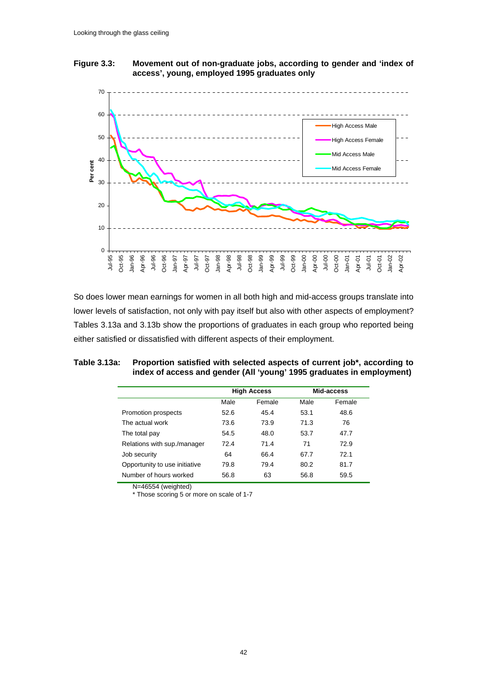**Figure 3.3: Movement out of non-graduate jobs, according to gender and 'index of access', young, employed 1995 graduates only** 



So does lower mean earnings for women in all both high and mid-access groups translate into lower levels of satisfaction, not only with pay itself but also with other aspects of employment? Tables 3.13a and 3.13b show the proportions of graduates in each group who reported being either satisfied or dissatisfied with different aspects of their employment.

|                               | <b>High Access</b> |        | Mid-access |        |
|-------------------------------|--------------------|--------|------------|--------|
|                               | Male               | Female | Male       | Female |
| Promotion prospects           | 52.6               | 45.4   | 53.1       | 48.6   |
| The actual work               | 73.6               | 73.9   | 71.3       | 76     |
| The total pay                 | 54.5               | 48.0   | 53.7       | 47.7   |
| Relations with sup./manager   | 72.4               | 71.4   | 71         | 72.9   |
| Job security                  | 64                 | 66.4   | 67.7       | 72.1   |
| Opportunity to use initiative | 79.8               | 79.4   | 80.2       | 81.7   |

Number of hours worked 56.8 63 56.8 59.5

**Table 3.13a: Proportion satisfied with selected aspects of current job\*, according to index of access and gender (All 'young' 1995 graduates in employment)** 

N=46554 (weighted)

\* Those scoring 5 or more on scale of 1-7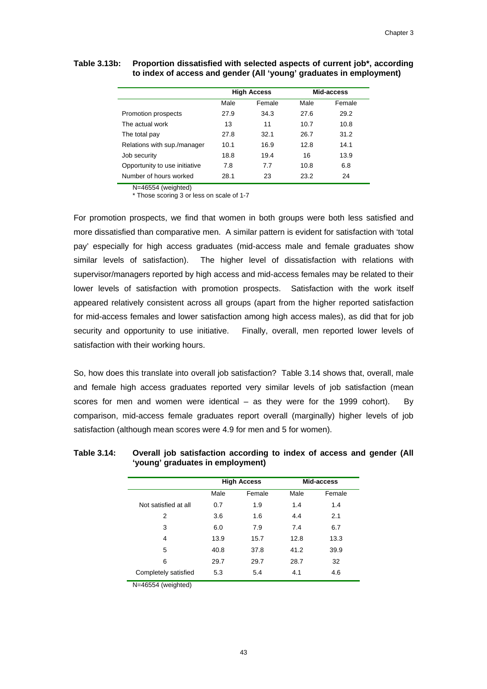|                               | <b>High Access</b> |        |      | Mid-access |
|-------------------------------|--------------------|--------|------|------------|
|                               | Male               | Female | Male | Female     |
| Promotion prospects           | 27.9               | 34.3   | 27.6 | 29.2       |
| The actual work               | 13                 | 11     | 10.7 | 10.8       |
| The total pay                 | 27.8               | 32.1   | 26.7 | 31.2       |
| Relations with sup./manager   | 10.1               | 16.9   | 12.8 | 14.1       |
| Job security                  | 18.8               | 19.4   | 16   | 13.9       |
| Opportunity to use initiative | 7.8                | 7.7    | 10.8 | 6.8        |
| Number of hours worked        | 28.1               | 23     | 23.2 | 24         |

## **Table 3.13b: Proportion dissatisfied with selected aspects of current job\*, according to index of access and gender (All 'young' graduates in employment)**

N=46554 (weighted)

\* Those scoring 3 or less on scale of 1-7

For promotion prospects, we find that women in both groups were both less satisfied and more dissatisfied than comparative men. A similar pattern is evident for satisfaction with 'total pay' especially for high access graduates (mid-access male and female graduates show similar levels of satisfaction). The higher level of dissatisfaction with relations with supervisor/managers reported by high access and mid-access females may be related to their lower levels of satisfaction with promotion prospects. Satisfaction with the work itself appeared relatively consistent across all groups (apart from the higher reported satisfaction for mid-access females and lower satisfaction among high access males), as did that for job security and opportunity to use initiative. Finally, overall, men reported lower levels of satisfaction with their working hours.

So, how does this translate into overall job satisfaction? Table 3.14 shows that, overall, male and female high access graduates reported very similar levels of job satisfaction (mean scores for men and women were identical – as they were for the 1999 cohort). By comparison, mid-access female graduates report overall (marginally) higher levels of job satisfaction (although mean scores were 4.9 for men and 5 for women).

|                      |      | <b>High Access</b> |      | Mid-access |
|----------------------|------|--------------------|------|------------|
|                      | Male | Female             | Male | Female     |
| Not satisfied at all | 0.7  | 1.9                | 1.4  | 1.4        |
| 2                    | 3.6  | 1.6                | 4.4  | 2.1        |
| 3                    | 6.0  | 7.9                | 7.4  | 6.7        |
| 4                    | 13.9 | 15.7               | 12.8 | 13.3       |
| 5                    | 40.8 | 37.8               | 41.2 | 39.9       |
| 6                    | 29.7 | 29.7               | 28.7 | 32         |
| Completely satisfied | 5.3  | 5.4                | 4.1  | 4.6        |
|                      |      |                    |      |            |

## **Table 3.14: Overall job satisfaction according to index of access and gender (All 'young' graduates in employment)**

N=46554 (weighted)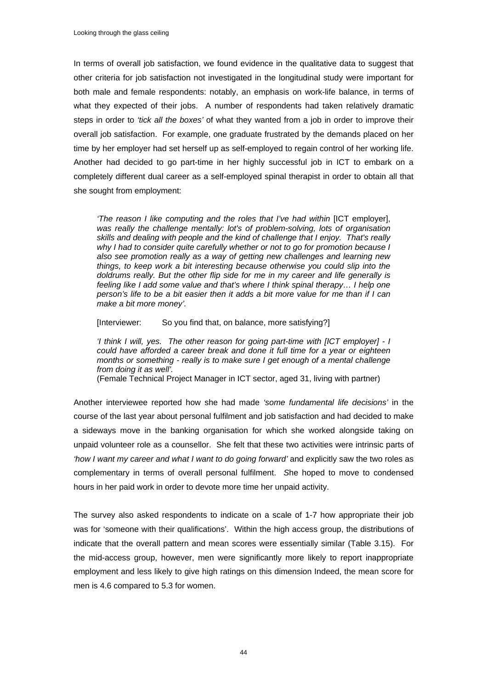In terms of overall job satisfaction, we found evidence in the qualitative data to suggest that other criteria for job satisfaction not investigated in the longitudinal study were important for both male and female respondents: notably, an emphasis on work-life balance, in terms of what they expected of their jobs. A number of respondents had taken relatively dramatic steps in order to *'tick all the boxes'* of what they wanted from a job in order to improve their overall job satisfaction. For example, one graduate frustrated by the demands placed on her time by her employer had set herself up as self-employed to regain control of her working life. Another had decided to go part-time in her highly successful job in ICT to embark on a completely different dual career as a self-employed spinal therapist in order to obtain all that she sought from employment:

*'The reason I like computing and the roles that I've had within* [ICT employer], *was really the challenge mentally: lot's of problem-solving, lots of organisation skills and dealing with people and the kind of challenge that I enjoy. That's really why I had to consider quite carefully whether or not to go for promotion because I also see promotion really as a way of getting new challenges and learning new things, to keep work a bit interesting because otherwise you could slip into the doldrums really. But the other flip side for me in my career and life generally is feeling like I add some value and that's where I think spinal therapy… I help one person's life to be a bit easier then it adds a bit more value for me than if I can make a bit more money'.* 

[Interviewer: So you find that, on balance, more satisfying?]

*'I think I will, yes. The other reason for going part-time with [ICT employer] - I could have afforded a career break and done it full time for a year or eighteen months or something - really is to make sure I get enough of a mental challenge from doing it as well'.* 

(Female Technical Project Manager in ICT sector, aged 31, living with partner)

Another interviewee reported how she had made *'some fundamental life decisions'* in the course of the last year about personal fulfilment and job satisfaction and had decided to make a sideways move in the banking organisation for which she worked alongside taking on unpaid volunteer role as a counsellor. She felt that these two activities were intrinsic parts of *'how I want my career and what I want to do going forward'* and *explicitly saw the two roles as* complementary in terms of overall personal fulfilment. *S*he hoped to move to condensed hours in her paid work in order to devote more time her unpaid activity.

The survey also asked respondents to indicate on a scale of 1-7 how appropriate their job was for 'someone with their qualifications'. Within the high access group, the distributions of indicate that the overall pattern and mean scores were essentially similar (Table 3.15). For the mid-access group, however, men were significantly more likely to report inappropriate employment and less likely to give high ratings on this dimension Indeed, the mean score for men is 4.6 compared to 5.3 for women.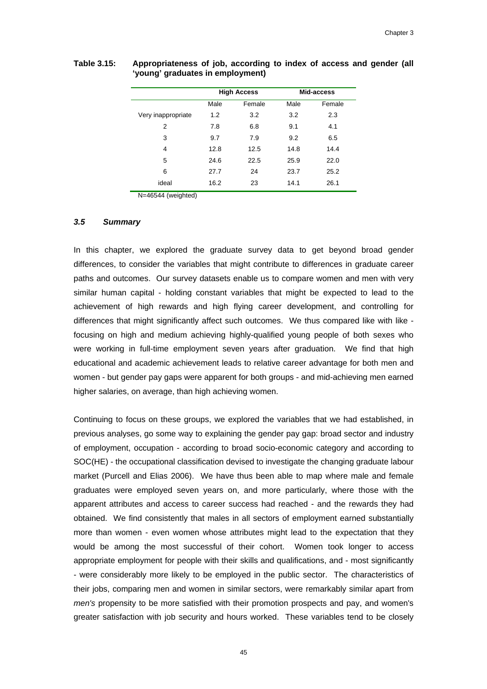|                    |      | <b>High Access</b> |      | Mid-access |
|--------------------|------|--------------------|------|------------|
|                    | Male | Female             | Male | Female     |
| Very inappropriate | 1.2  | 3.2                | 3.2  | 2.3        |
| 2                  | 7.8  | 6.8                | 9.1  | 4.1        |
| 3                  | 9.7  | 7.9                | 9.2  | 6.5        |
| 4                  | 12.8 | 12.5               | 14.8 | 14.4       |
| 5                  | 24.6 | 22.5               | 25.9 | 22.0       |
| 6                  | 27.7 | 24                 | 23.7 | 25.2       |
| ideal              | 16.2 | 23                 | 14.1 | 26.1       |

**Table 3.15: Appropriateness of job, according to index of access and gender (all 'young' graduates in employment)** 

N=46544 (weighted)

#### *3.5 Summary*

In this chapter, we explored the graduate survey data to get beyond broad gender differences, to consider the variables that might contribute to differences in graduate career paths and outcomes. Our survey datasets enable us to compare women and men with very similar human capital - holding constant variables that might be expected to lead to the achievement of high rewards and high flying career development, and controlling for differences that might significantly affect such outcomes. We thus compared like with like focusing on high and medium achieving highly-qualified young people of both sexes who were working in full-time employment seven years after graduation. We find that high educational and academic achievement leads to relative career advantage for both men and women - but gender pay gaps were apparent for both groups - and mid-achieving men earned higher salaries, on average, than high achieving women.

Continuing to focus on these groups, we explored the variables that we had established, in previous analyses, go some way to explaining the gender pay gap: broad sector and industry of employment, occupation - according to broad socio-economic category and according to SOC(HE) - the occupational classification devised to investigate the changing graduate labour market (Purcell and Elias 2006). We have thus been able to map where male and female graduates were employed seven years on, and more particularly, where those with the apparent attributes and access to career success had reached - and the rewards they had obtained. We find consistently that males in all sectors of employment earned substantially more than women - even women whose attributes might lead to the expectation that they would be among the most successful of their cohort. Women took longer to access appropriate employment for people with their skills and qualifications, and - most significantly - were considerably more likely to be employed in the public sector. The characteristics of their jobs, comparing men and women in similar sectors, were remarkably similar apart from *men's* propensity to be more satisfied with their promotion prospects and pay, and women's greater satisfaction with job security and hours worked. These variables tend to be closely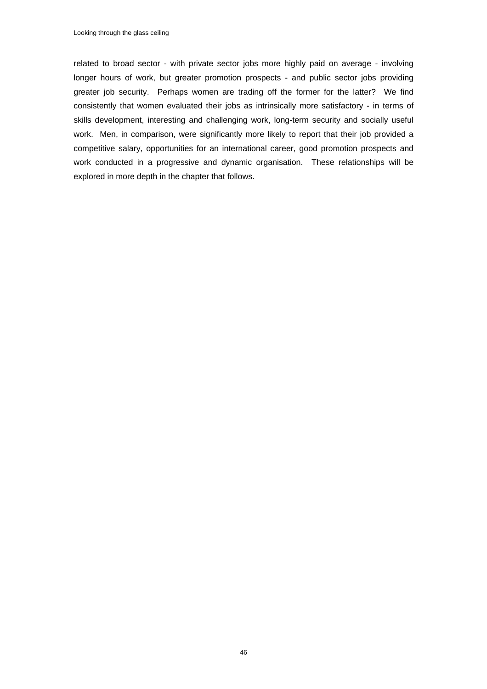related to broad sector - with private sector jobs more highly paid on average - involving longer hours of work, but greater promotion prospects - and public sector jobs providing greater job security. Perhaps women are trading off the former for the latter? We find consistently that women evaluated their jobs as intrinsically more satisfactory - in terms of skills development, interesting and challenging work, long-term security and socially useful work. Men, in comparison, were significantly more likely to report that their job provided a competitive salary, opportunities for an international career, good promotion prospects and work conducted in a progressive and dynamic organisation. These relationships will be explored in more depth in the chapter that follows.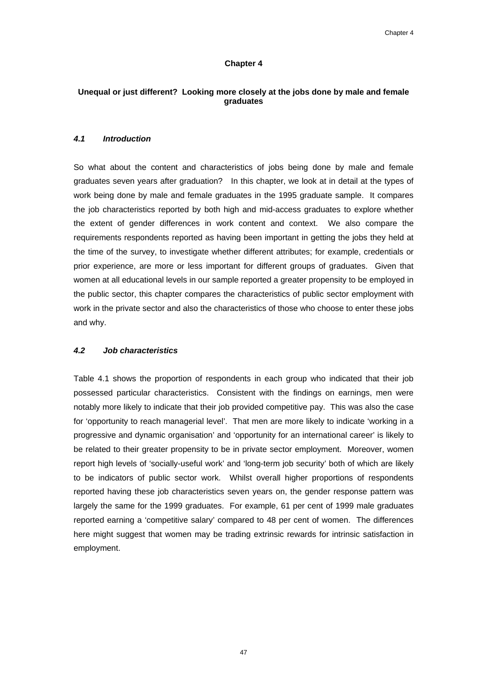#### **Chapter 4**

## **Unequal or just different? Looking more closely at the jobs done by male and female graduates**

### *4.1 Introduction*

So what about the content and characteristics of jobs being done by male and female graduates seven years after graduation? In this chapter, we look at in detail at the types of work being done by male and female graduates in the 1995 graduate sample. It compares the job characteristics reported by both high and mid-access graduates to explore whether the extent of gender differences in work content and context. We also compare the requirements respondents reported as having been important in getting the jobs they held at the time of the survey, to investigate whether different attributes; for example, credentials or prior experience, are more or less important for different groups of graduates. Given that women at all educational levels in our sample reported a greater propensity to be employed in the public sector, this chapter compares the characteristics of public sector employment with work in the private sector and also the characteristics of those who choose to enter these jobs and why.

#### *4.2 Job characteristics*

Table 4.1 shows the proportion of respondents in each group who indicated that their job possessed particular characteristics. Consistent with the findings on earnings, men were notably more likely to indicate that their job provided competitive pay. This was also the case for 'opportunity to reach managerial level'. That men are more likely to indicate 'working in a progressive and dynamic organisation' and 'opportunity for an international career' is likely to be related to their greater propensity to be in private sector employment. Moreover, women report high levels of 'socially-useful work' and 'long-term job security' both of which are likely to be indicators of public sector work. Whilst overall higher proportions of respondents reported having these job characteristics seven years on, the gender response pattern was largely the same for the 1999 graduates. For example, 61 per cent of 1999 male graduates reported earning a 'competitive salary' compared to 48 per cent of women. The differences here might suggest that women may be trading extrinsic rewards for intrinsic satisfaction in employment.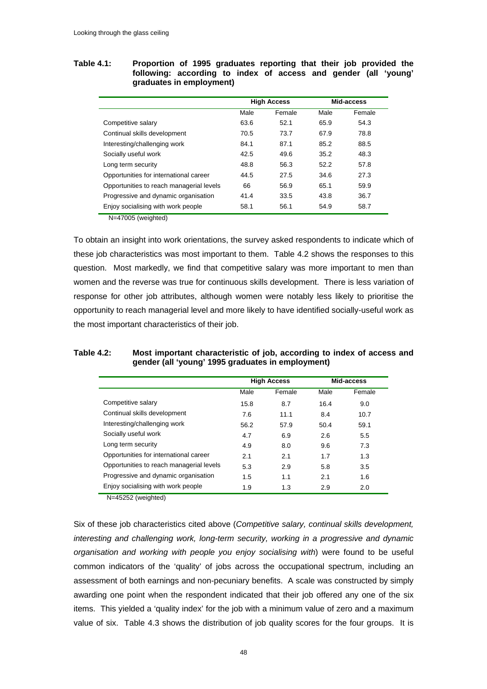**Table 4.1: Proportion of 1995 graduates reporting that their job provided the following: according to index of access and gender (all 'young' graduates in employment)** 

|                                          |      | <b>High Access</b> |      | Mid-access |
|------------------------------------------|------|--------------------|------|------------|
|                                          | Male | Female             | Male | Female     |
| Competitive salary                       | 63.6 | 52.1               | 65.9 | 54.3       |
| Continual skills development             | 70.5 | 73.7               | 67.9 | 78.8       |
| Interesting/challenging work             | 84.1 | 87.1               | 85.2 | 88.5       |
| Socially useful work                     | 42.5 | 49.6               | 35.2 | 48.3       |
| Long term security                       | 48.8 | 56.3               | 52.2 | 57.8       |
| Opportunities for international career   | 44.5 | 27.5               | 34.6 | 27.3       |
| Opportunities to reach managerial levels | 66   | 56.9               | 65.1 | 59.9       |
| Progressive and dynamic organisation     | 41.4 | 33.5               | 43.8 | 36.7       |
| Enjoy socialising with work people       | 58.1 | 56.1               | 54.9 | 58.7       |

N=47005 (weighted)

To obtain an insight into work orientations, the survey asked respondents to indicate which of these job characteristics was most important to them. Table 4.2 shows the responses to this question. Most markedly, we find that competitive salary was more important to men than women and the reverse was true for continuous skills development. There is less variation of response for other job attributes, although women were notably less likely to prioritise the opportunity to reach managerial level and more likely to have identified socially-useful work as the most important characteristics of their job.

|                                          | <b>High Access</b> |        |      | Mid-access |
|------------------------------------------|--------------------|--------|------|------------|
|                                          | Male               | Female | Male | Female     |
| Competitive salary                       | 15.8               | 8.7    | 16.4 | 9.0        |
| Continual skills development             | 7.6                | 11.1   | 8.4  | 10.7       |
| Interesting/challenging work             | 56.2               | 57.9   | 50.4 | 59.1       |
| Socially useful work                     | 4.7                | 6.9    | 2.6  | 5.5        |
| Long term security                       | 4.9                | 8.0    | 9.6  | 7.3        |
| Opportunities for international career   | 2.1                | 2.1    | 1.7  | 1.3        |
| Opportunities to reach managerial levels | 5.3                | 2.9    | 5.8  | 3.5        |
| Progressive and dynamic organisation     | 1.5                | 1.1    | 2.1  | 1.6        |
| Enjoy socialising with work people       | 1.9                | 1.3    | 2.9  | 2.0        |

### **Table 4.2: Most important characteristic of job, according to index of access and gender (all 'young' 1995 graduates in employment)**

N=45252 (weighted)

Six of these job characteristics cited above (*Competitive salary, continual skills development, interesting and challenging work, long-term security, working in a progressive and dynamic organisation and working with people you enjoy socialising with*) were found to be useful common indicators of the 'quality' of jobs across the occupational spectrum, including an assessment of both earnings and non-pecuniary benefits. A scale was constructed by simply awarding one point when the respondent indicated that their job offered any one of the six items. This yielded a 'quality index' for the job with a minimum value of zero and a maximum value of six. Table 4.3 shows the distribution of job quality scores for the four groups. It is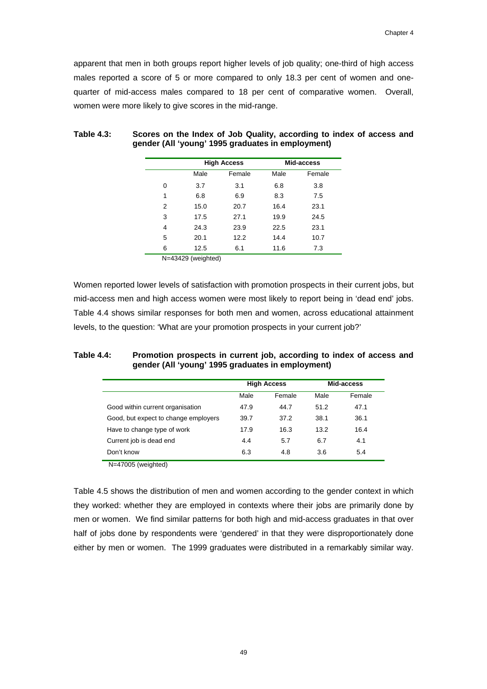apparent that men in both groups report higher levels of job quality; one-third of high access males reported a score of 5 or more compared to only 18.3 per cent of women and onequarter of mid-access males compared to 18 per cent of comparative women. Overall, women were more likely to give scores in the mid-range.

|   |      | <b>High Access</b> |      | Mid-access |
|---|------|--------------------|------|------------|
|   | Male | Female             | Male | Female     |
| 0 | 3.7  | 3.1                | 6.8  | 3.8        |
| 1 | 6.8  | 6.9                | 8.3  | 7.5        |
| 2 | 15.0 | 20.7               | 16.4 | 23.1       |
| 3 | 17.5 | 27.1               | 19.9 | 24.5       |
| 4 | 24.3 | 23.9               | 22.5 | 23.1       |
| 5 | 20.1 | 12.2               | 14.4 | 10.7       |
| 6 | 12.5 | 6.1                | 11.6 | 7.3        |

## **Table 4.3: Scores on the Index of Job Quality, according to index of access and gender (All 'young' 1995 graduates in employment)**

N=43429 (weighted)

Women reported lower levels of satisfaction with promotion prospects in their current jobs, but mid-access men and high access women were most likely to report being in 'dead end' jobs. Table 4.4 shows similar responses for both men and women, across educational attainment levels, to the question: 'What are your promotion prospects in your current job?'

## **Table 4.4: Promotion prospects in current job, according to index of access and gender (All 'young' 1995 graduates in employment)**

|                                      | <b>High Access</b> |        |      | Mid-access |
|--------------------------------------|--------------------|--------|------|------------|
|                                      | Male               | Female | Male | Female     |
| Good within current organisation     | 47.9               | 44.7   | 51.2 | 47.1       |
| Good, but expect to change employers | 39.7               | 37.2   | 38.1 | 36.1       |
| Have to change type of work          | 17.9               | 16.3   | 13.2 | 16.4       |
| Current job is dead end              | 4.4                | 5.7    | 6.7  | 4.1        |
| Don't know                           | 6.3                | 4.8    | 3.6  | 5.4        |

N=47005 (weighted)

Table 4.5 shows the distribution of men and women according to the gender context in which they worked: whether they are employed in contexts where their jobs are primarily done by men or women. We find similar patterns for both high and mid-access graduates in that over half of jobs done by respondents were 'gendered' in that they were disproportionately done either by men or women. The 1999 graduates were distributed in a remarkably similar way.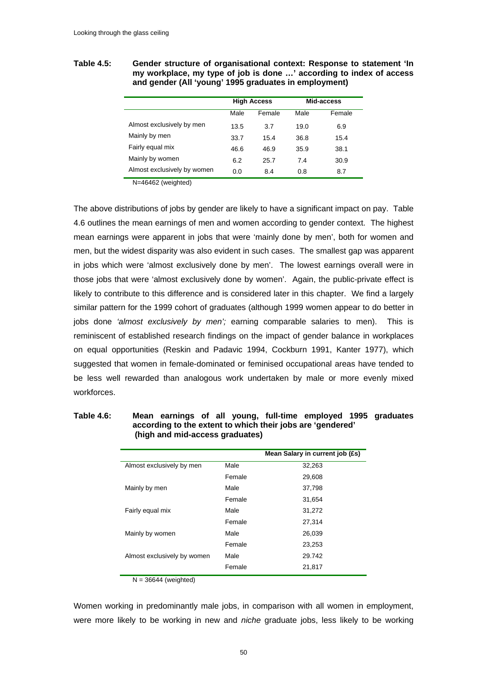**Table 4.5: Gender structure of organisational context: Response to statement 'In my workplace, my type of job is done …' according to index of access and gender (All 'young' 1995 graduates in employment)** 

|                             |      | <b>High Access</b> |      | Mid-access |
|-----------------------------|------|--------------------|------|------------|
|                             | Male | Female             | Male | Female     |
| Almost exclusively by men   | 13.5 | 3.7                | 19.0 | 6.9        |
| Mainly by men               | 33.7 | 15.4               | 36.8 | 15.4       |
| Fairly equal mix            | 46.6 | 46.9               | 35.9 | 38.1       |
| Mainly by women             | 6.2  | 25.7               | 7.4  | 30.9       |
| Almost exclusively by women | 0.0  | 8.4                | 0.8  | 8.7        |

N=46462 (weighted)

The above distributions of jobs by gender are likely to have a significant impact on pay. Table 4.6 outlines the mean earnings of men and women according to gender context. The highest mean earnings were apparent in jobs that were 'mainly done by men', both for women and men, but the widest disparity was also evident in such cases. The smallest gap was apparent in jobs which were 'almost exclusively done by men'. The lowest earnings overall were in those jobs that were 'almost exclusively done by women'. Again, the public-private effect is likely to contribute to this difference and is considered later in this chapter. We find a largely similar pattern for the 1999 cohort of graduates (although 1999 women appear to do better in jobs done *'almost exclusively by men';* earning comparable salaries to men). This is reminiscent of established research findings on the impact of gender balance in workplaces on equal opportunities (Reskin and Padavic 1994, Cockburn 1991, Kanter 1977), which suggested that women in female-dominated or feminised occupational areas have tended to be less well rewarded than analogous work undertaken by male or more evenly mixed workforces.

|                             |        | Mean Salary in current job (£s) |
|-----------------------------|--------|---------------------------------|
| Almost exclusively by men   | Male   | 32,263                          |
|                             | Female | 29,608                          |
| Mainly by men               | Male   | 37,798                          |
|                             | Female | 31,654                          |
| Fairly equal mix            | Male   | 31,272                          |
|                             | Female | 27,314                          |
| Mainly by women             | Male   | 26,039                          |
|                             | Female | 23,253                          |
| Almost exclusively by women | Male   | 29.742                          |
|                             | Female | 21.817                          |

## **Table 4.6: Mean earnings of all young, full-time employed 1995 graduates according to the extent to which their jobs are 'gendered' (high and mid-access graduates)**

 $N = 36644$  (weighted)

Women working in predominantly male jobs, in comparison with all women in employment, were more likely to be working in new and *niche* graduate jobs, less likely to be working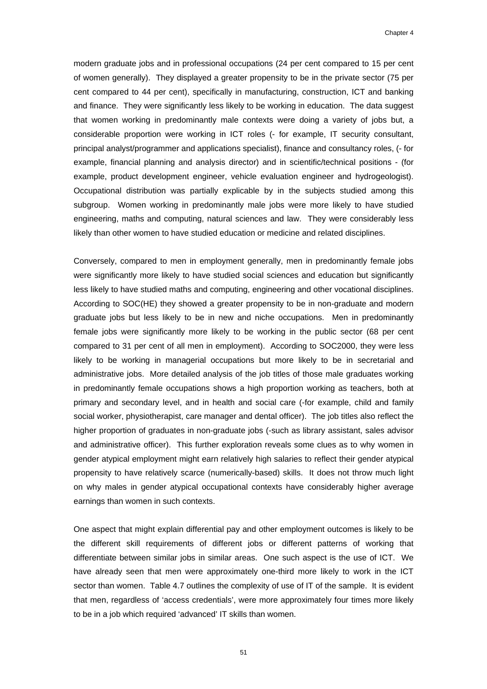modern graduate jobs and in professional occupations (24 per cent compared to 15 per cent of women generally). They displayed a greater propensity to be in the private sector (75 per cent compared to 44 per cent), specifically in manufacturing, construction, ICT and banking and finance. They were significantly less likely to be working in education. The data suggest that women working in predominantly male contexts were doing a variety of jobs but, a considerable proportion were working in ICT roles (- for example, IT security consultant, principal analyst/programmer and applications specialist), finance and consultancy roles, (- for example, financial planning and analysis director) and in scientific/technical positions - (for example, product development engineer, vehicle evaluation engineer and hydrogeologist). Occupational distribution was partially explicable by in the subjects studied among this subgroup. Women working in predominantly male jobs were more likely to have studied engineering, maths and computing, natural sciences and law. They were considerably less likely than other women to have studied education or medicine and related disciplines.

Conversely, compared to men in employment generally, men in predominantly female jobs were significantly more likely to have studied social sciences and education but significantly less likely to have studied maths and computing, engineering and other vocational disciplines. According to SOC(HE) they showed a greater propensity to be in non-graduate and modern graduate jobs but less likely to be in new and niche occupations. Men in predominantly female jobs were significantly more likely to be working in the public sector (68 per cent compared to 31 per cent of all men in employment). According to SOC2000, they were less likely to be working in managerial occupations but more likely to be in secretarial and administrative jobs. More detailed analysis of the job titles of those male graduates working in predominantly female occupations shows a high proportion working as teachers, both at primary and secondary level, and in health and social care (-for example, child and family social worker, physiotherapist, care manager and dental officer). The job titles also reflect the higher proportion of graduates in non-graduate jobs (-such as library assistant, sales advisor and administrative officer). This further exploration reveals some clues as to why women in gender atypical employment might earn relatively high salaries to reflect their gender atypical propensity to have relatively scarce (numerically-based) skills. It does not throw much light on why males in gender atypical occupational contexts have considerably higher average earnings than women in such contexts.

One aspect that might explain differential pay and other employment outcomes is likely to be the different skill requirements of different jobs or different patterns of working that differentiate between similar jobs in similar areas. One such aspect is the use of ICT. We have already seen that men were approximately one-third more likely to work in the ICT sector than women. Table 4.7 outlines the complexity of use of IT of the sample. It is evident that men, regardless of 'access credentials', were more approximately four times more likely to be in a job which required 'advanced' IT skills than women.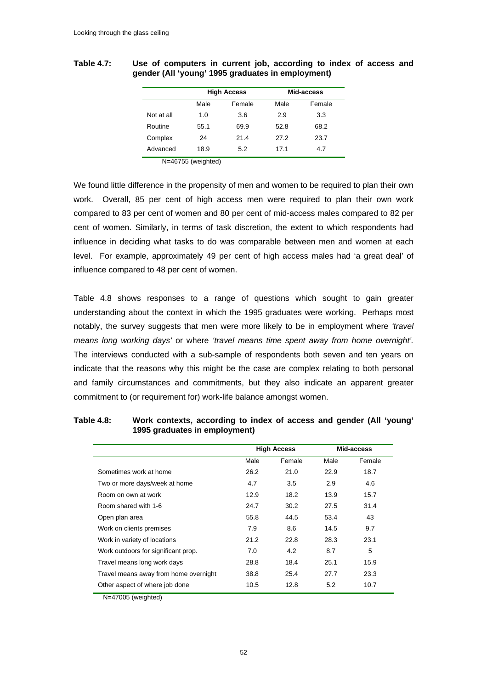|            |                    | <b>High Access</b> |      | Mid-access |
|------------|--------------------|--------------------|------|------------|
|            | Male               | Female             | Male | Female     |
| Not at all | 1.0                | 3.6                | 2.9  | 3.3        |
| Routine    | 55.1               | 69.9               | 52.8 | 68.2       |
| Complex    | 24                 | 21.4               | 27.2 | 23.7       |
| Advanced   | 18.9               | 5.2                | 17.1 | 4.7        |
|            | N=46755 (weighted) |                    |      |            |

## **Table 4.7: Use of computers in current job, according to index of access and gender (All 'young' 1995 graduates in employment)**

We found little difference in the propensity of men and women to be required to plan their own work. Overall, 85 per cent of high access men were required to plan their own work compared to 83 per cent of women and 80 per cent of mid-access males compared to 82 per cent of women. Similarly, in terms of task discretion, the extent to which respondents had influence in deciding what tasks to do was comparable between men and women at each level. For example, approximately 49 per cent of high access males had 'a great deal' of influence compared to 48 per cent of women.

Table 4.8 shows responses to a range of questions which sought to gain greater understanding about the context in which the 1995 graduates were working. Perhaps most notably, the survey suggests that men were more likely to be in employment where *'travel means long working days'* or where *'travel means time spent away from home overnight'.*  The interviews conducted with a sub-sample of respondents both seven and ten years on indicate that the reasons why this might be the case are complex relating to both personal and family circumstances and commitments, but they also indicate an apparent greater commitment to (or requirement for) work-life balance amongst women.

|                                       |      | <b>High Access</b> |      | Mid-access |
|---------------------------------------|------|--------------------|------|------------|
|                                       | Male | Female             | Male | Female     |
| Sometimes work at home                | 26.2 | 21.0               | 22.9 | 18.7       |
| Two or more days/week at home         | 4.7  | 3.5                | 2.9  | 4.6        |
| Room on own at work                   | 12.9 | 18.2               | 13.9 | 15.7       |
| Room shared with 1-6                  | 24.7 | 30.2               | 27.5 | 31.4       |
| Open plan area                        | 55.8 | 44.5               | 53.4 | 43         |
| Work on clients premises              | 7.9  | 8.6                | 14.5 | 9.7        |
| Work in variety of locations          | 21.2 | 22.8               | 28.3 | 23.1       |
| Work outdoors for significant prop.   | 7.0  | 4.2                | 8.7  | 5          |
| Travel means long work days           | 28.8 | 18.4               | 25.1 | 15.9       |
| Travel means away from home overnight | 38.8 | 25.4               | 27.7 | 23.3       |
| Other aspect of where job done        | 10.5 | 12.8               | 5.2  | 10.7       |

**Table 4.8: Work contexts, according to index of access and gender (All 'young' 1995 graduates in employment)** 

N=47005 (weighted)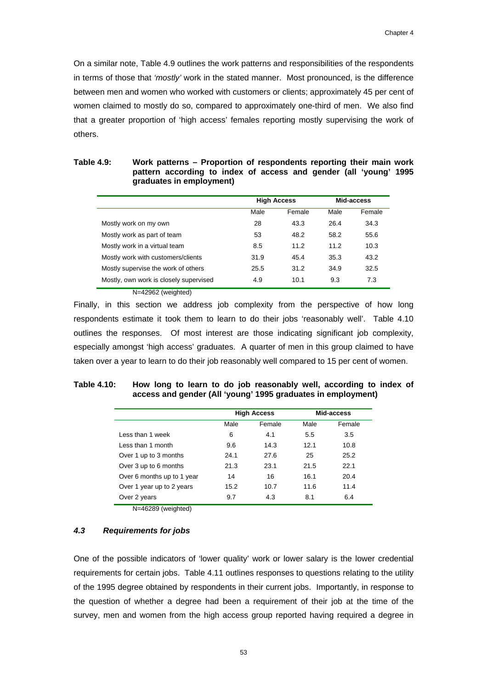On a similar note, Table 4.9 outlines the work patterns and responsibilities of the respondents in terms of those that *'mostly'* work in the stated manner. Most pronounced, is the difference between men and women who worked with customers or clients; approximately 45 per cent of women claimed to mostly do so, compared to approximately one-third of men. We also find that a greater proportion of 'high access' females reporting mostly supervising the work of others.

|                                        |      | <b>High Access</b> |      | Mid-access |
|----------------------------------------|------|--------------------|------|------------|
|                                        | Male | Female             | Male | Female     |
| Mostly work on my own                  | 28   | 43.3               | 26.4 | 34.3       |
| Mostly work as part of team            | 53   | 48.2               | 58.2 | 55.6       |
| Mostly work in a virtual team          | 8.5  | 11.2               | 11.2 | 10.3       |
| Mostly work with customers/clients     | 31.9 | 45.4               | 35.3 | 43.2       |
| Mostly supervise the work of others    | 25.5 | 31.2               | 34.9 | 32.5       |
| Mostly, own work is closely supervised | 4.9  | 10.1               | 9.3  | 7.3        |

### **Table 4.9: Work patterns – Proportion of respondents reporting their main work pattern according to index of access and gender (all 'young' 1995 graduates in employment)**

Finally, in this section we address job complexity from the perspective of how long respondents estimate it took them to learn to do their jobs 'reasonably well'. Table 4.10 outlines the responses. Of most interest are those indicating significant job complexity, especially amongst 'high access' graduates. A quarter of men in this group claimed to have taken over a year to learn to do their job reasonably well compared to 15 per cent of women.

|                            |      | <b>High Access</b> |      | Mid-access |
|----------------------------|------|--------------------|------|------------|
|                            | Male | Female             | Male | Female     |
| I ess than 1 week          | 6    | 4.1                | 5.5  | 3.5        |
| I ess than 1 month         | 9.6  | 14.3               | 12.1 | 10.8       |
| Over 1 up to 3 months      | 24.1 | 27.6               | 25   | 25.2       |
| Over 3 up to 6 months      | 21.3 | 23.1               | 21.5 | 22.1       |
| Over 6 months up to 1 year | 14   | 16                 | 16.1 | 20.4       |
| Over 1 year up to 2 years  | 15.2 | 10.7               | 11.6 | 11.4       |
| Over 2 years               | 9.7  | 4.3                | 8.1  | 6.4        |

| Table 4.10: | How long to learn to do job reasonably well, according to index of |
|-------------|--------------------------------------------------------------------|
|             | access and gender (All 'young' 1995 graduates in employment)       |

N=46289 (weighted)

#### *4.3 Requirements for jobs*

One of the possible indicators of 'lower quality' work or lower salary is the lower credential requirements for certain jobs. Table 4.11 outlines responses to questions relating to the utility of the 1995 degree obtained by respondents in their current jobs. Importantly, in response to the question of whether a degree had been a requirement of their job at the time of the survey, men and women from the high access group reported having required a degree in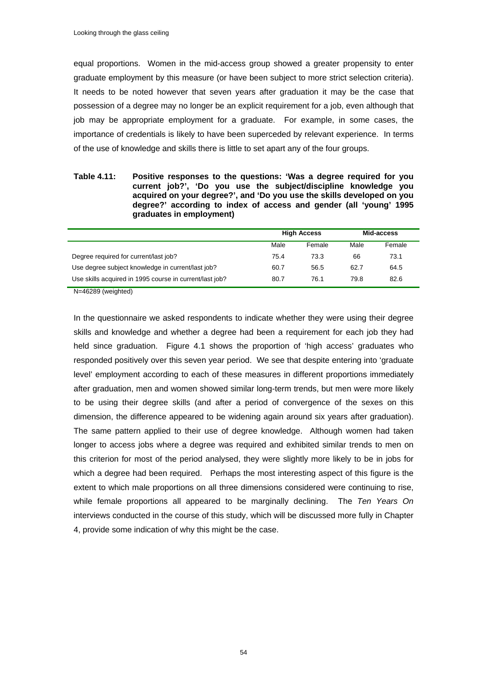equal proportions. Women in the mid-access group showed a greater propensity to enter graduate employment by this measure (or have been subject to more strict selection criteria). It needs to be noted however that seven years after graduation it may be the case that possession of a degree may no longer be an explicit requirement for a job, even although that job may be appropriate employment for a graduate. For example, in some cases, the importance of credentials is likely to have been superceded by relevant experience. In terms of the use of knowledge and skills there is little to set apart any of the four groups.

**Table 4.11: Positive responses to the questions: 'Was a degree required for you current job?', 'Do you use the subject/discipline knowledge you acquired on your degree?', and 'Do you use the skills developed on you degree?' according to index of access and gender (all 'young' 1995 graduates in employment)** 

|                                                         |      | <b>High Access</b> |      | Mid-access |
|---------------------------------------------------------|------|--------------------|------|------------|
|                                                         | Male | Female             | Male | Female     |
| Degree required for current/last job?                   | 75.4 | 73.3               | 66   | 73.1       |
| Use degree subject knowledge in current/last job?       | 60.7 | 56.5               | 62.7 | 64.5       |
| Use skills acquired in 1995 course in current/last job? | 80.7 | 76.1               | 79.8 | 82.6       |

N=46289 (weighted)

In the questionnaire we asked respondents to indicate whether they were using their degree skills and knowledge and whether a degree had been a requirement for each job they had held since graduation. Figure 4.1 shows the proportion of 'high access' graduates who responded positively over this seven year period. We see that despite entering into 'graduate level' employment according to each of these measures in different proportions immediately after graduation, men and women showed similar long-term trends, but men were more likely to be using their degree skills (and after a period of convergence of the sexes on this dimension, the difference appeared to be widening again around six years after graduation). The same pattern applied to their use of degree knowledge. Although women had taken longer to access jobs where a degree was required and exhibited similar trends to men on this criterion for most of the period analysed, they were slightly more likely to be in jobs for which a degree had been required. Perhaps the most interesting aspect of this figure is the extent to which male proportions on all three dimensions considered were continuing to rise, while female proportions all appeared to be marginally declining. The *Ten Years On* interviews conducted in the course of this study, which will be discussed more fully in Chapter 4, provide some indication of why this might be the case.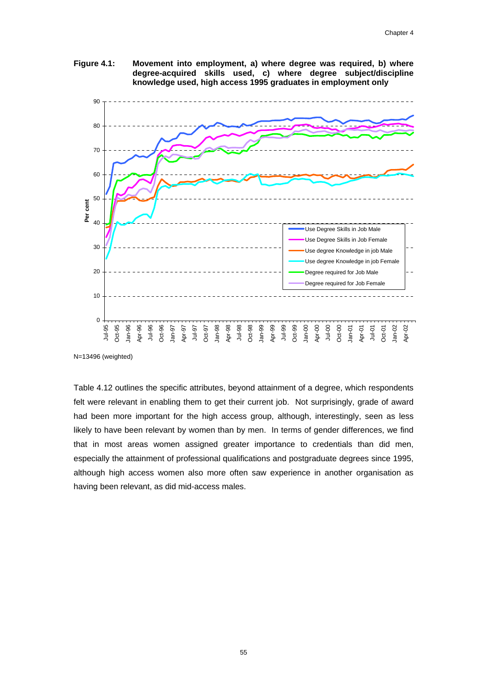



N=13496 (weighted)

Table 4.12 outlines the specific attributes, beyond attainment of a degree, which respondents felt were relevant in enabling them to get their current job. Not surprisingly, grade of award had been more important for the high access group, although, interestingly, seen as less likely to have been relevant by women than by men. In terms of gender differences, we find that in most areas women assigned greater importance to credentials than did men, especially the attainment of professional qualifications and postgraduate degrees since 1995, although high access women also more often saw experience in another organisation as having been relevant, as did mid-access males.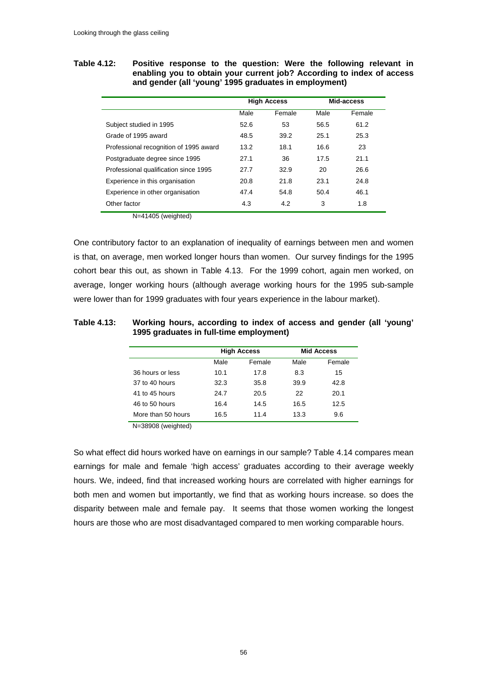**Table 4.12: Positive response to the question: Were the following relevant in enabling you to obtain your current job? According to index of access and gender (all 'young' 1995 graduates in employment)** 

|                                        |      | <b>High Access</b> |      | Mid-access |
|----------------------------------------|------|--------------------|------|------------|
|                                        | Male | Female             | Male | Female     |
| Subject studied in 1995                | 52.6 | 53                 | 56.5 | 61.2       |
| Grade of 1995 award                    | 48.5 | 39.2               | 25.1 | 25.3       |
| Professional recognition of 1995 award | 13.2 | 18.1               | 16.6 | 23         |
| Postgraduate degree since 1995         | 27.1 | 36                 | 17.5 | 21.1       |
| Professional qualification since 1995  | 27.7 | 32.9               | 20   | 26.6       |
| Experience in this organisation        | 20.8 | 21.8               | 23.1 | 24.8       |
| Experience in other organisation       | 47.4 | 54.8               | 50.4 | 46.1       |
| Other factor                           | 4.3  | 4.2                | 3    | 1.8        |

N=41405 (weighted)

One contributory factor to an explanation of inequality of earnings between men and women is that, on average, men worked longer hours than women. Our survey findings for the 1995 cohort bear this out, as shown in Table 4.13. For the 1999 cohort, again men worked, on average, longer working hours (although average working hours for the 1995 sub-sample were lower than for 1999 graduates with four years experience in the labour market).

|                    | <b>High Access</b> |        | <b>Mid Access</b> |        |  |
|--------------------|--------------------|--------|-------------------|--------|--|
|                    | Male               | Female | Male              | Female |  |
| 36 hours or less   | 10.1               | 17.8   | 8.3               | 15     |  |
| $37$ to $40$ hours | 32.3               | 35.8   | 39.9              | 42.8   |  |
| 41 to 45 hours     | 24.7               | 20.5   | 22                | 20.1   |  |
| 46 to 50 hours     | 16.4               | 14.5   | 16.5              | 12.5   |  |
| More than 50 hours | 16.5               | 11.4   | 13.3              | 9.6    |  |

**Table 4.13: Working hours, according to index of access and gender (all 'young' 1995 graduates in full-time employment)** 

N=38908 (weighted)

So what effect did hours worked have on earnings in our sample? Table 4.14 compares mean earnings for male and female 'high access' graduates according to their average weekly hours. We, indeed, find that increased working hours are correlated with higher earnings for both men and women but importantly, we find that as working hours increase. so does the disparity between male and female pay. It seems that those women working the longest hours are those who are most disadvantaged compared to men working comparable hours.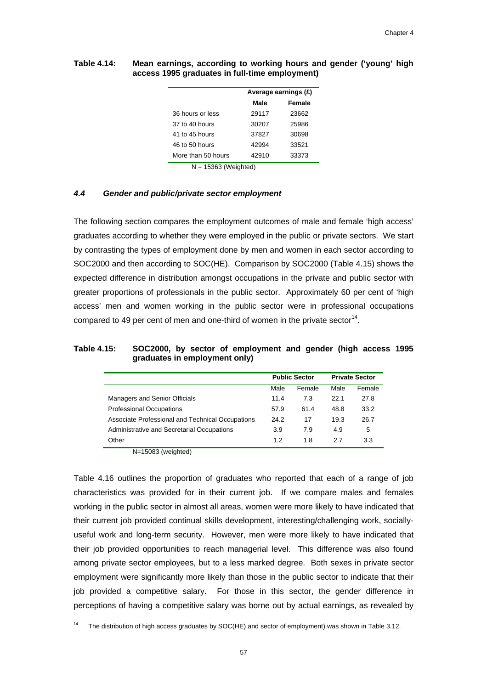## **Table 4.14: Mean earnings, according to working hours and gender ('young' high access 1995 graduates in full-time employment)**

|                                    |       | Average earnings (£) |
|------------------------------------|-------|----------------------|
|                                    | Male  | Female               |
| 36 hours or less                   | 29117 | 23662                |
| 37 to 40 hours                     | 30207 | 25986                |
| 41 to 45 hours                     | 37827 | 30698                |
| 46 to 50 hours                     | 42994 | 33521                |
| More than 50 hours                 | 42910 | 33373                |
| $15929$ ( <i>INI</i> ojahtod)<br>M |       |                      |

 $N = 15363$  (Weighted)

## *4.4 Gender and public/private sector employment*

The following section compares the employment outcomes of male and female 'high access' graduates according to whether they were employed in the public or private sectors. We start by contrasting the types of employment done by men and women in each sector according to SOC2000 and then according to SOC(HE). Comparison by SOC2000 (Table 4.15) shows the expected difference in distribution amongst occupations in the private and public sector with greater proportions of professionals in the public sector. Approximately 60 per cent of 'high access' men and women working in the public sector were in professional occupations compared to 49 per cent of men and one-third of women in the private sector<sup>14</sup>.

#### **Table 4.15: SOC2000, by sector of employment and gender (high access 1995 graduates in employment only)**

|                                                  |      | <b>Public Sector</b> |      | <b>Private Sector</b> |
|--------------------------------------------------|------|----------------------|------|-----------------------|
|                                                  | Male | Female               | Male | Female                |
| <b>Managers and Senior Officials</b>             | 11.4 | 7.3                  | 22.1 | 27.8                  |
| <b>Professional Occupations</b>                  | 57.9 | 61.4                 | 48.8 | 33.2                  |
| Associate Professional and Technical Occupations | 24.2 | 17                   | 19.3 | 26.7                  |
| Administrative and Secretarial Occupations       | 3.9  | 7.9                  | 4.9  | 5                     |
| Other                                            | 1.2  | 1.8                  | 2.7  | 3.3                   |

N=15083 (weighted)

 $\overline{a}$ 

Table 4.16 outlines the proportion of graduates who reported that each of a range of job characteristics was provided for in their current job. If we compare males and females working in the public sector in almost all areas, women were more likely to have indicated that their current job provided continual skills development, interesting/challenging work, sociallyuseful work and long-term security. However, men were more likely to have indicated that their job provided opportunities to reach managerial level. This difference was also found among private sector employees, but to a less marked degree. Both sexes in private sector employment were significantly more likely than those in the public sector to indicate that their job provided a competitive salary. For those in this sector, the gender difference in perceptions of having a competitive salary was borne out by actual earnings, as revealed by

The distribution of high access graduates by SOC(HE) and sector of employment) was shown in Table 3.12.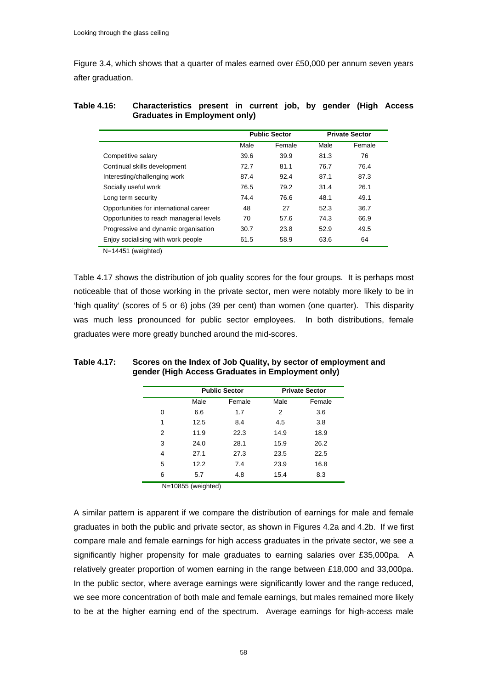Figure 3.4, which shows that a quarter of males earned over £50,000 per annum seven years after graduation.

| Table 4.16: | Characteristics present in current job, by gender (High Access |  |  |  |  |
|-------------|----------------------------------------------------------------|--|--|--|--|
|             | <b>Graduates in Employment only)</b>                           |  |  |  |  |

|                                          |      | <b>Public Sector</b> | <b>Private Sector</b> |        |
|------------------------------------------|------|----------------------|-----------------------|--------|
|                                          | Male | Female               | Male                  | Female |
| Competitive salary                       | 39.6 | 39.9                 | 81.3                  | 76     |
| Continual skills development             | 72.7 | 81.1                 | 76.7                  | 76.4   |
| Interesting/challenging work             | 87.4 | 92.4                 | 87.1                  | 87.3   |
| Socially useful work                     | 76.5 | 79.2                 | 31.4                  | 26.1   |
| Long term security                       | 74.4 | 76.6                 | 48.1                  | 49.1   |
| Opportunities for international career   | 48   | 27                   | 52.3                  | 36.7   |
| Opportunities to reach managerial levels | 70   | 57.6                 | 74.3                  | 66.9   |
| Progressive and dynamic organisation     | 30.7 | 23.8                 | 52.9                  | 49.5   |
| Enjoy socialising with work people       | 61.5 | 58.9                 | 63.6                  | 64     |
| $N=14451$ (weighted)                     |      |                      |                       |        |

Table 4.17 shows the distribution of job quality scores for the four groups. It is perhaps most noticeable that of those working in the private sector, men were notably more likely to be in 'high quality' (scores of 5 or 6) jobs (39 per cent) than women (one quarter). This disparity was much less pronounced for public sector employees. In both distributions, female graduates were more greatly bunched around the mid-scores.

|   |      | <b>Public Sector</b> |      | <b>Private Sector</b> |  |  |
|---|------|----------------------|------|-----------------------|--|--|
|   | Male | Female               | Male | Female                |  |  |
| 0 | 6.6  | 1.7                  | 2    | 3.6                   |  |  |
| 1 | 12.5 | 8.4                  | 4.5  | 3.8                   |  |  |
| 2 | 11.9 | 22.3                 | 14.9 | 18.9                  |  |  |
| 3 | 24.0 | 28.1                 | 15.9 | 26.2                  |  |  |
| 4 | 27.1 | 27.3                 | 23.5 | 22.5                  |  |  |
| 5 | 12.2 | 7.4                  | 23.9 | 16.8                  |  |  |
| 6 | 5.7  | 4.8                  | 15.4 | 8.3                   |  |  |

#### **Table 4.17: Scores on the Index of Job Quality, by sector of employment and gender (High Access Graduates in Employment only)**

N=10855 (weighted)

A similar pattern is apparent if we compare the distribution of earnings for male and female graduates in both the public and private sector, as shown in Figures 4.2a and 4.2b. If we first compare male and female earnings for high access graduates in the private sector, we see a significantly higher propensity for male graduates to earning salaries over £35,000pa. A relatively greater proportion of women earning in the range between £18,000 and 33,000pa. In the public sector, where average earnings were significantly lower and the range reduced, we see more concentration of both male and female earnings, but males remained more likely to be at the higher earning end of the spectrum. Average earnings for high-access male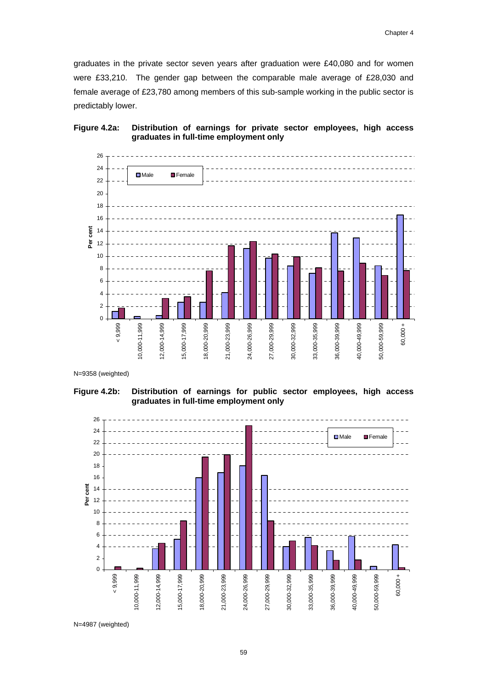graduates in the private sector seven years after graduation were £40,080 and for women were £33,210. The gender gap between the comparable male average of £28,030 and female average of £23,780 among members of this sub-sample working in the public sector is predictably lower.





N=9358 (weighted)





N=4987 (weighted)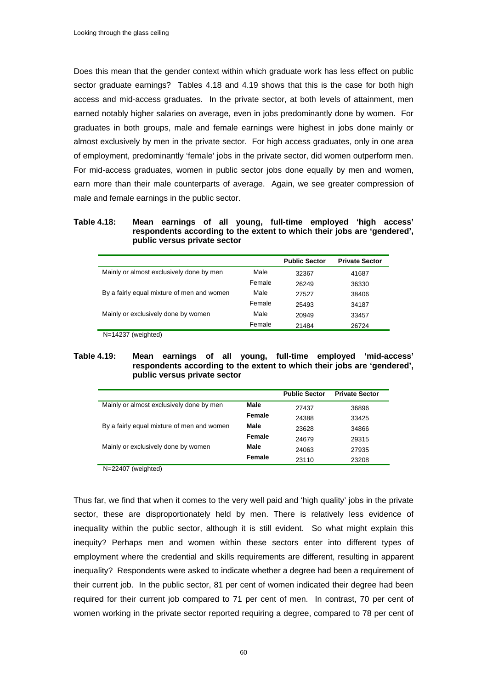Does this mean that the gender context within which graduate work has less effect on public sector graduate earnings? Tables 4.18 and 4.19 shows that this is the case for both high access and mid-access graduates. In the private sector, at both levels of attainment, men earned notably higher salaries on average, even in jobs predominantly done by women. For graduates in both groups, male and female earnings were highest in jobs done mainly or almost exclusively by men in the private sector. For high access graduates, only in one area of employment, predominantly 'female' jobs in the private sector, did women outperform men. For mid-access graduates, women in public sector jobs done equally by men and women, earn more than their male counterparts of average. Again, we see greater compression of male and female earnings in the public sector.

## **Table 4.18: Mean earnings of all young, full-time employed 'high access' respondents according to the extent to which their jobs are 'gendered', public versus private sector**

|                                            |        | <b>Public Sector</b> | <b>Private Sector</b> |
|--------------------------------------------|--------|----------------------|-----------------------|
| Mainly or almost exclusively done by men   | Male   | 32367                | 41687                 |
|                                            | Female | 26249                | 36330                 |
| By a fairly equal mixture of men and women | Male   | 27527                | 38406                 |
|                                            | Female | 25493                | 34187                 |
| Mainly or exclusively done by women        | Male   | 20949                | 33457                 |
|                                            | Female | 21484                | 26724                 |
| $N=14237$ (weighted)                       |        |                      |                       |

### **Table 4.19: Mean earnings of all young, full-time employed 'mid-access' respondents according to the extent to which their jobs are 'gendered', public versus private sector**

|                                             |        | <b>Public Sector</b> | <b>Private Sector</b> |
|---------------------------------------------|--------|----------------------|-----------------------|
| Mainly or almost exclusively done by men    | Male   | 27437                | 36896                 |
|                                             | Female | 24388                | 33425                 |
| By a fairly equal mixture of men and women  | Male   | 23628                | 34866                 |
|                                             | Female | 24679                | 29315                 |
| Mainly or exclusively done by women<br>Male |        | 24063                | 27935                 |
|                                             | Female | 23110                | 23208                 |

N=22407 (weighted)

Thus far, we find that when it comes to the very well paid and 'high quality' jobs in the private sector, these are disproportionately held by men. There is relatively less evidence of inequality within the public sector, although it is still evident. So what might explain this inequity? Perhaps men and women within these sectors enter into different types of employment where the credential and skills requirements are different, resulting in apparent inequality? Respondents were asked to indicate whether a degree had been a requirement of their current job. In the public sector, 81 per cent of women indicated their degree had been required for their current job compared to 71 per cent of men. In contrast, 70 per cent of women working in the private sector reported requiring a degree, compared to 78 per cent of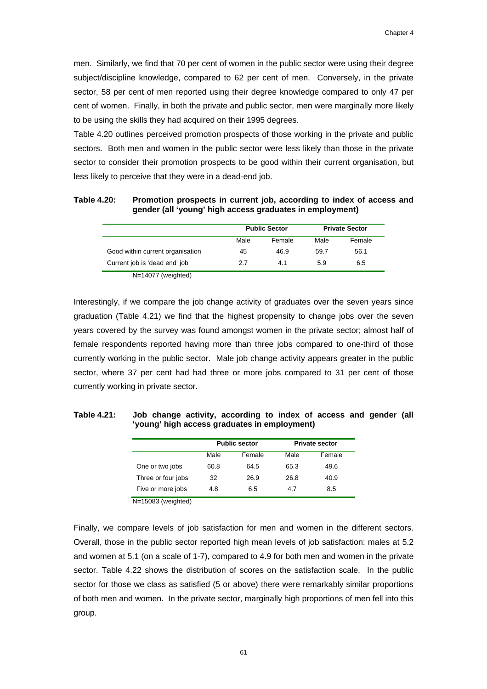men. Similarly, we find that 70 per cent of women in the public sector were using their degree subject/discipline knowledge, compared to 62 per cent of men. Conversely, in the private sector, 58 per cent of men reported using their degree knowledge compared to only 47 per cent of women. Finally, in both the private and public sector, men were marginally more likely to be using the skills they had acquired on their 1995 degrees.

Table 4.20 outlines perceived promotion prospects of those working in the private and public sectors. Both men and women in the public sector were less likely than those in the private sector to consider their promotion prospects to be good within their current organisation, but less likely to perceive that they were in a dead-end job.

**gender (all 'young' high access graduates in employment) Public Sector Private Sector Private Sector** 

**Table 4.20: Promotion prospects in current job, according to index of access and** 

|                                  | <b>Public Sector</b> |        | <b>Private Sector</b> |        |  |  |
|----------------------------------|----------------------|--------|-----------------------|--------|--|--|
|                                  | Male                 | Female | Male                  | Female |  |  |
| Good within current organisation | 45                   | 46.9   | 59.7                  | 56.1   |  |  |
| Current job is 'dead end' job    | 2.7                  | 4.1    | 5.9                   | 6.5    |  |  |
|                                  |                      |        |                       |        |  |  |

N=14077 (weighted)

Interestingly, if we compare the job change activity of graduates over the seven years since graduation (Table 4.21) we find that the highest propensity to change jobs over the seven years covered by the survey was found amongst women in the private sector; almost half of female respondents reported having more than three jobs compared to one-third of those currently working in the public sector. Male job change activity appears greater in the public sector, where 37 per cent had had three or more jobs compared to 31 per cent of those currently working in private sector.

## **Table 4.21: Job change activity, according to index of access and gender (all 'young' high access graduates in employment)**

|                    |      | <b>Public sector</b> |      | <b>Private sector</b> |
|--------------------|------|----------------------|------|-----------------------|
|                    | Male | Female               | Male | Female                |
| One or two jobs    | 60.8 | 64.5                 | 65.3 | 49.6                  |
| Three or four jobs | 32   | 26.9                 | 26.8 | 40.9                  |
| Five or more jobs  | 4.8  | 6.5                  | 4.7  | 8.5                   |

N=15083 (weighted)

Finally, we compare levels of job satisfaction for men and women in the different sectors. Overall, those in the public sector reported high mean levels of job satisfaction: males at 5.2 and women at 5.1 (on a scale of 1-7), compared to 4.9 for both men and women in the private sector. Table 4.22 shows the distribution of scores on the satisfaction scale. In the public sector for those we class as satisfied (5 or above) there were remarkably similar proportions of both men and women. In the private sector, marginally high proportions of men fell into this group.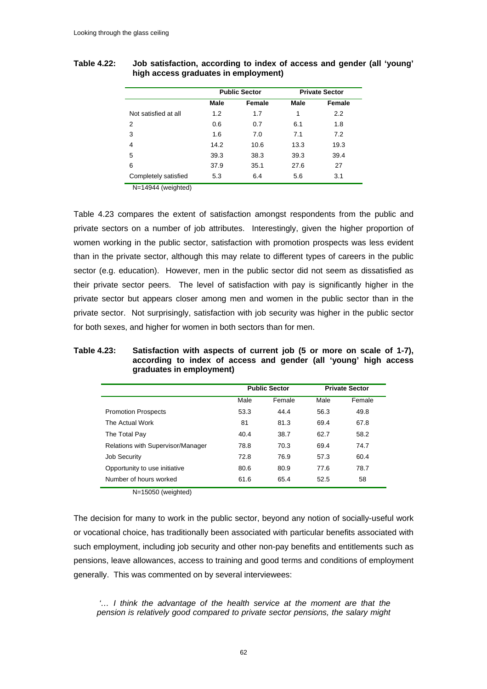|                      | <b>Public Sector</b> |        | <b>Private Sector</b> |        |
|----------------------|----------------------|--------|-----------------------|--------|
|                      | Male                 | Female | Male                  | Female |
| Not satisfied at all | 1.2                  | 1.7    | 1                     | 2.2    |
| 2                    | 0.6                  | 0.7    | 6.1                   | 1.8    |
| 3                    | 1.6                  | 7.0    | 7.1                   | 7.2    |
| 4                    | 14.2                 | 10.6   | 13.3                  | 19.3   |
| 5                    | 39.3                 | 38.3   | 39.3                  | 39.4   |
| 6                    | 37.9                 | 35.1   | 27.6                  | 27     |
| Completely satisfied | 5.3                  | 6.4    | 5.6                   | 3.1    |

## **Table 4.22: Job satisfaction, according to index of access and gender (all 'young' high access graduates in employment)**

N=14944 (weighted)

Table 4.23 compares the extent of satisfaction amongst respondents from the public and private sectors on a number of job attributes. Interestingly, given the higher proportion of women working in the public sector, satisfaction with promotion prospects was less evident than in the private sector, although this may relate to different types of careers in the public sector (e.g. education). However, men in the public sector did not seem as dissatisfied as their private sector peers. The level of satisfaction with pay is significantly higher in the private sector but appears closer among men and women in the public sector than in the private sector. Not surprisingly, satisfaction with job security was higher in the public sector for both sexes, and higher for women in both sectors than for men.

| Table 4.23: | Satisfaction with aspects of current job (5 or more on scale of 1-7), |
|-------------|-----------------------------------------------------------------------|
|             | according to index of access and gender (all 'young' high access      |
|             | graduates in employment)                                              |

|                                   | <b>Public Sector</b> |        | <b>Private Sector</b> |        |
|-----------------------------------|----------------------|--------|-----------------------|--------|
|                                   | Male                 | Female | Male                  | Female |
| <b>Promotion Prospects</b>        | 53.3                 | 44.4   | 56.3                  | 49.8   |
| The Actual Work                   | 81                   | 81.3   | 69.4                  | 67.8   |
| The Total Pay                     | 40.4                 | 38.7   | 62.7                  | 58.2   |
| Relations with Supervisor/Manager | 78.8                 | 70.3   | 69.4                  | 74.7   |
| <b>Job Security</b>               | 72.8                 | 76.9   | 57.3                  | 60.4   |
| Opportunity to use initiative     | 80.6                 | 80.9   | 77.6                  | 78.7   |
| Number of hours worked            | 61.6                 | 65.4   | 52.5                  | 58     |
|                                   |                      |        |                       |        |

N=15050 (weighted)

The decision for many to work in the public sector, beyond any notion of socially-useful work or vocational choice, has traditionally been associated with particular benefits associated with such employment, including job security and other non-pay benefits and entitlements such as pensions, leave allowances, access to training and good terms and conditions of employment generally. This was commented on by several interviewees:

 *'… I think the advantage of the health service at the moment are that the pension is relatively good compared to private sector pensions, the salary might*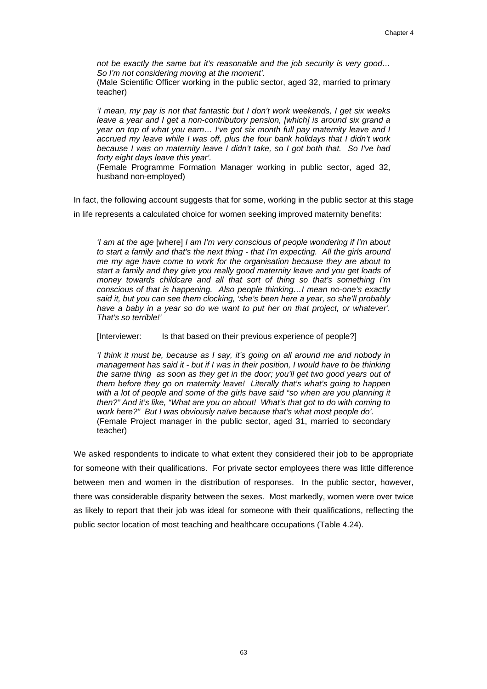*not be exactly the same but it's reasonable and the job security is very good… So I'm not considering moving at the moment'.* 

(Male Scientific Officer working in the public sector, aged 32, married to primary teacher)

*'I mean, my pay is not that fantastic but I don't work weekends, I get six weeks leave a year and I get a non-contributory pension, [which] is around six grand a year on top of what you earn… I've got six month full pay maternity leave and I accrued my leave while I was off, plus the four bank holidays that I didn't work because I was on maternity leave I didn't take, so I got both that. So I've had forty eight days leave this year'.* 

(Female Programme Formation Manager working in public sector, aged 32, husband non-employed)

In fact, the following account suggests that for some, working in the public sector at this stage in life represents a calculated choice for women seeking improved maternity benefits:

*'I am at the age* [where] *I am I'm very conscious of people wondering if I'm about to start a family and that's the next thing - that I'm expecting. All the girls around me my age have come to work for the organisation because they are about to start a family and they give you really good maternity leave and you get loads of money towards childcare and all that sort of thing so that's something I'm conscious of that is happening. Also people thinking…I mean no-one's exactly said it, but you can see them clocking, 'she's been here a year, so she'll probably*  have a baby in a year so do we want to put her on that project, or whatever'. *That's so terrible!'* 

[Interviewer: Is that based on their previous experience of people?]

*'I think it must be, because as I say, it's going on all around me and nobody in management has said it - but if I was in their position, I would have to be thinking the same thing as soon as they get in the door; you'll get two good years out of them before they go on maternity leave! Literally that's what's going to happen*  with a lot of people and some of the girls have said "so when are you planning it *then?" And it's like, "What are you on about! What's that got to do with coming to work here?" But I was obviously naïve because that's what most people do'.*  (Female Project manager in the public sector, aged 31, married to secondary teacher)

We asked respondents to indicate to what extent they considered their job to be appropriate for someone with their qualifications. For private sector employees there was little difference between men and women in the distribution of responses. In the public sector, however, there was considerable disparity between the sexes. Most markedly, women were over twice as likely to report that their job was ideal for someone with their qualifications, reflecting the public sector location of most teaching and healthcare occupations (Table 4.24).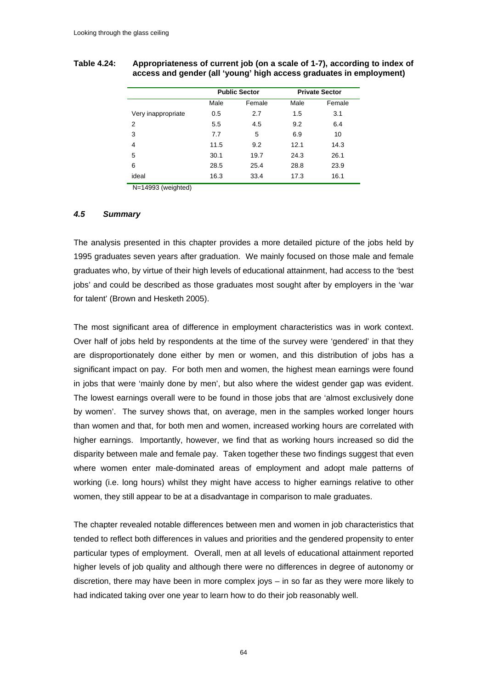## **Table 4.24: Appropriateness of current job (on a scale of 1-7), according to index of access and gender (all 'young' high access graduates in employment)**

|                    | <b>Public Sector</b> |        |      | <b>Private Sector</b> |
|--------------------|----------------------|--------|------|-----------------------|
|                    | Male                 | Female | Male | Female                |
| Very inappropriate | 0.5                  | 2.7    | 1.5  | 3.1                   |
| $\overline{2}$     | 5.5                  | 4.5    | 9.2  | 6.4                   |
| 3                  | 7.7                  | 5      | 6.9  | 10                    |
| 4                  | 11.5                 | 9.2    | 12.1 | 14.3                  |
| 5                  | 30.1                 | 19.7   | 24.3 | 26.1                  |
| 6                  | 28.5                 | 25.4   | 28.8 | 23.9                  |
| ideal              | 16.3                 | 33.4   | 17.3 | 16.1                  |

N=14993 (weighted)

#### *4.5 Summary*

The analysis presented in this chapter provides a more detailed picture of the jobs held by 1995 graduates seven years after graduation. We mainly focused on those male and female graduates who, by virtue of their high levels of educational attainment, had access to the 'best jobs' and could be described as those graduates most sought after by employers in the 'war for talent' (Brown and Hesketh 2005).

The most significant area of difference in employment characteristics was in work context. Over half of jobs held by respondents at the time of the survey were 'gendered' in that they are disproportionately done either by men or women, and this distribution of jobs has a significant impact on pay. For both men and women, the highest mean earnings were found in jobs that were 'mainly done by men', but also where the widest gender gap was evident. The lowest earnings overall were to be found in those jobs that are 'almost exclusively done by women'. The survey shows that, on average, men in the samples worked longer hours than women and that, for both men and women, increased working hours are correlated with higher earnings. Importantly, however, we find that as working hours increased so did the disparity between male and female pay. Taken together these two findings suggest that even where women enter male-dominated areas of employment and adopt male patterns of working (i.e. long hours) whilst they might have access to higher earnings relative to other women, they still appear to be at a disadvantage in comparison to male graduates.

The chapter revealed notable differences between men and women in job characteristics that tended to reflect both differences in values and priorities and the gendered propensity to enter particular types of employment. Overall, men at all levels of educational attainment reported higher levels of job quality and although there were no differences in degree of autonomy or discretion, there may have been in more complex joys – in so far as they were more likely to had indicated taking over one year to learn how to do their job reasonably well.

64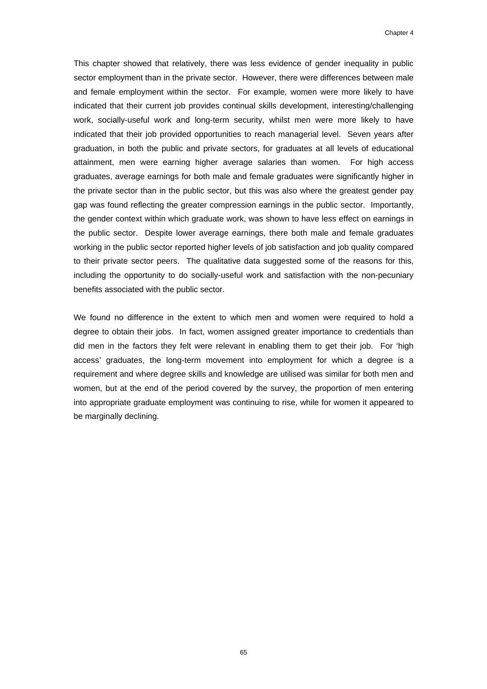This chapter showed that relatively, there was less evidence of gender inequality in public sector employment than in the private sector. However, there were differences between male and female employment within the sector. For example, women were more likely to have indicated that their current job provides continual skills development, interesting/challenging work, socially-useful work and long-term security, whilst men were more likely to have indicated that their job provided opportunities to reach managerial level. Seven years after graduation, in both the public and private sectors, for graduates at all levels of educational attainment, men were earning higher average salaries than women. For high access graduates, average earnings for both male and female graduates were significantly higher in the private sector than in the public sector, but this was also where the greatest gender pay gap was found reflecting the greater compression earnings in the public sector. Importantly, the gender context within which graduate work, was shown to have less effect on earnings in the public sector. Despite lower average earnings, there both male and female graduates working in the public sector reported higher levels of job satisfaction and job quality compared to their private sector peers. The qualitative data suggested some of the reasons for this, including the opportunity to do socially-useful work and satisfaction with the non-pecuniary benefits associated with the public sector.

We found no difference in the extent to which men and women were required to hold a degree to obtain their jobs. In fact, women assigned greater importance to credentials than did men in the factors they felt were relevant in enabling them to get their job. For 'high access' graduates, the long-term movement into employment for which a degree is a requirement and where degree skills and knowledge are utilised was similar for both men and women, but at the end of the period covered by the survey, the proportion of men entering into appropriate graduate employment was continuing to rise, while for women it appeared to be marginally declining.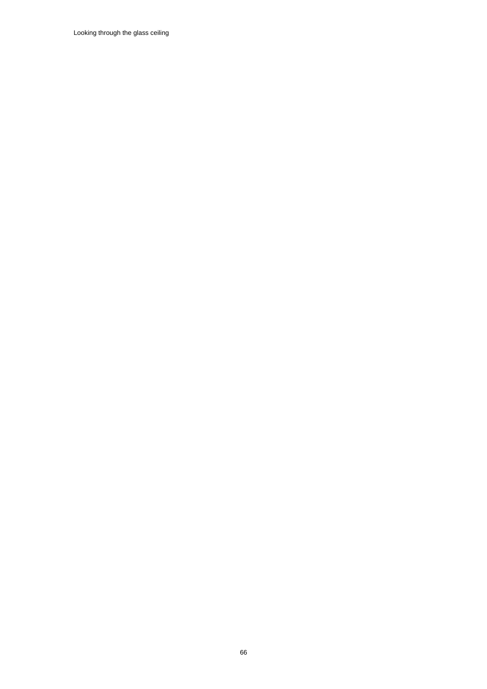Looking through the glass ceiling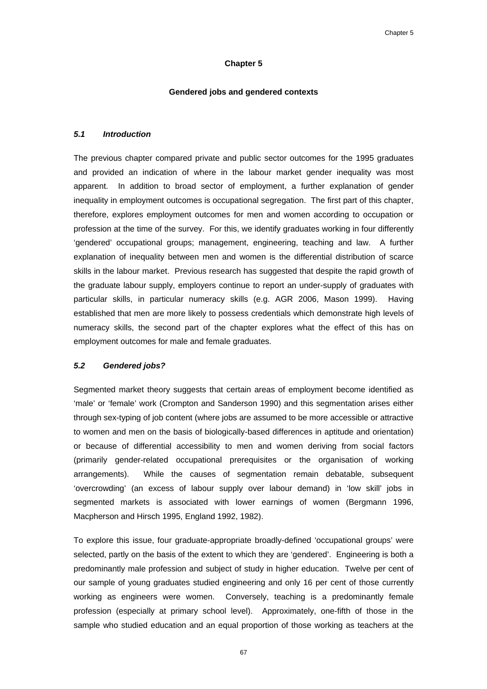### **Chapter 5**

#### **Gendered jobs and gendered contexts**

## *5.1 Introduction*

The previous chapter compared private and public sector outcomes for the 1995 graduates and provided an indication of where in the labour market gender inequality was most apparent. In addition to broad sector of employment, a further explanation of gender inequality in employment outcomes is occupational segregation. The first part of this chapter, therefore, explores employment outcomes for men and women according to occupation or profession at the time of the survey. For this, we identify graduates working in four differently 'gendered' occupational groups; management, engineering, teaching and law. A further explanation of inequality between men and women is the differential distribution of scarce skills in the labour market. Previous research has suggested that despite the rapid growth of the graduate labour supply, employers continue to report an under-supply of graduates with particular skills, in particular numeracy skills (e.g. AGR 2006, Mason 1999). Having established that men are more likely to possess credentials which demonstrate high levels of numeracy skills, the second part of the chapter explores what the effect of this has on employment outcomes for male and female graduates.

## *5.2 Gendered jobs?*

Segmented market theory suggests that certain areas of employment become identified as 'male' or 'female' work (Crompton and Sanderson 1990) and this segmentation arises either through sex-typing of job content (where jobs are assumed to be more accessible or attractive to women and men on the basis of biologically-based differences in aptitude and orientation) or because of differential accessibility to men and women deriving from social factors (primarily gender-related occupational prerequisites or the organisation of working arrangements). While the causes of segmentation remain debatable, subsequent 'overcrowding' (an excess of labour supply over labour demand) in 'low skill' jobs in segmented markets is associated with lower earnings of women (Bergmann 1996, Macpherson and Hirsch 1995, England 1992, 1982).

To explore this issue, four graduate-appropriate broadly-defined 'occupational groups' were selected, partly on the basis of the extent to which they are 'gendered'. Engineering is both a predominantly male profession and subject of study in higher education. Twelve per cent of our sample of young graduates studied engineering and only 16 per cent of those currently working as engineers were women. Conversely, teaching is a predominantly female profession (especially at primary school level). Approximately, one-fifth of those in the sample who studied education and an equal proportion of those working as teachers at the

67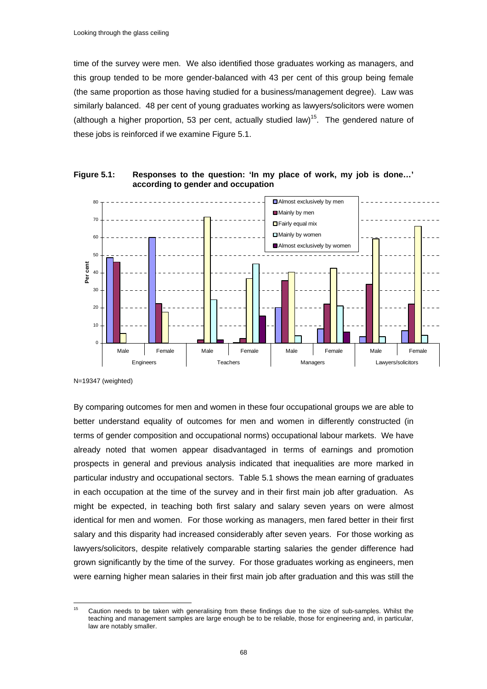time of the survey were men. We also identified those graduates working as managers, and this group tended to be more gender-balanced with 43 per cent of this group being female (the same proportion as those having studied for a business/management degree). Law was similarly balanced. 48 per cent of young graduates working as lawyers/solicitors were women (although a higher proportion, 53 per cent, actually studied law)<sup>15</sup>. The gendered nature of these jobs is reinforced if we examine Figure 5.1.





N=19347 (weighted)

By comparing outcomes for men and women in these four occupational groups we are able to better understand equality of outcomes for men and women in differently constructed (in terms of gender composition and occupational norms) occupational labour markets. We have already noted that women appear disadvantaged in terms of earnings and promotion prospects in general and previous analysis indicated that inequalities are more marked in particular industry and occupational sectors. Table 5.1 shows the mean earning of graduates in each occupation at the time of the survey and in their first main job after graduation. As might be expected, in teaching both first salary and salary seven years on were almost identical for men and women. For those working as managers, men fared better in their first salary and this disparity had increased considerably after seven years. For those working as lawyers/solicitors, despite relatively comparable starting salaries the gender difference had grown significantly by the time of the survey. For those graduates working as engineers, men were earning higher mean salaries in their first main job after graduation and this was still the

 $15$ Caution needs to be taken with generalising from these findings due to the size of sub-samples. Whilst the teaching and management samples are large enough be to be reliable, those for engineering and, in particular, law are notably smaller.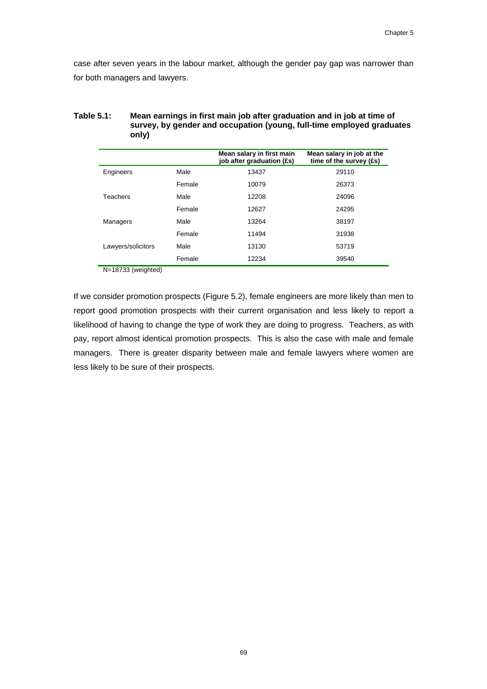case after seven years in the labour market, although the gender pay gap was narrower than for both managers and lawyers.

| only)     |        | survey, by gender and occupation (young, full-time employed graduate<br>Mean salary in first main<br>job after graduation (£s) | Mean salary in job at the<br>time of the survey (£s) |
|-----------|--------|--------------------------------------------------------------------------------------------------------------------------------|------------------------------------------------------|
| Engineers | Male   | 13437                                                                                                                          | 29110                                                |
|           | Female | 10079                                                                                                                          | 26373                                                |
| Teachers  | Male   | 12208                                                                                                                          | 24096                                                |
|           | Female | 12627                                                                                                                          | 24295                                                |
| Managers  | Male   | 13264                                                                                                                          | 38197                                                |

 Female 11494 31938 Lawyers/solicitors Male 13130 53719 Female 12234 39540

# **Table 5.1: Mean earnings in first main job after graduation and in job at time of survey, by gender and occupation (young, full-time employed graduates**

N=18733 (weighted)

If we consider promotion prospects (Figure 5.2), female engineers are more likely than men to report good promotion prospects with their current organisation and less likely to report a likelihood of having to change the type of work they are doing to progress. Teachers, as with pay, report almost identical promotion prospects. This is also the case with male and female managers. There is greater disparity between male and female lawyers where women are less likely to be sure of their prospects.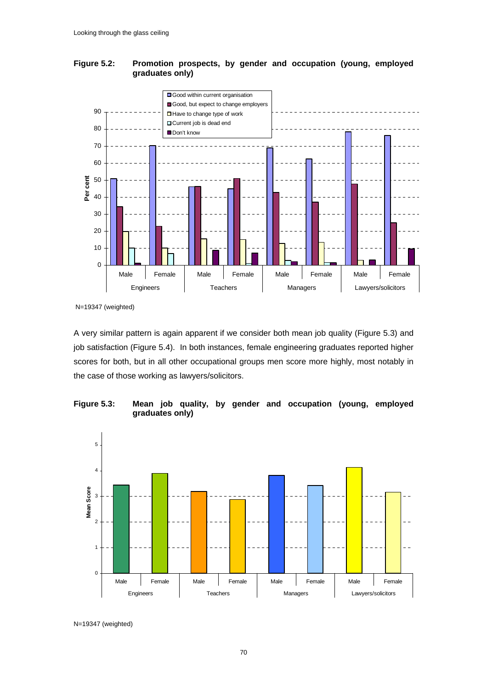

**Figure 5.2: Promotion prospects, by gender and occupation (young, employed graduates only)** 

N=19347 (weighted)

A very similar pattern is again apparent if we consider both mean job quality (Figure 5.3) and job satisfaction (Figure 5.4). In both instances, female engineering graduates reported higher scores for both, but in all other occupational groups men score more highly, most notably in the case of those working as lawyers/solicitors.





N=19347 (weighted)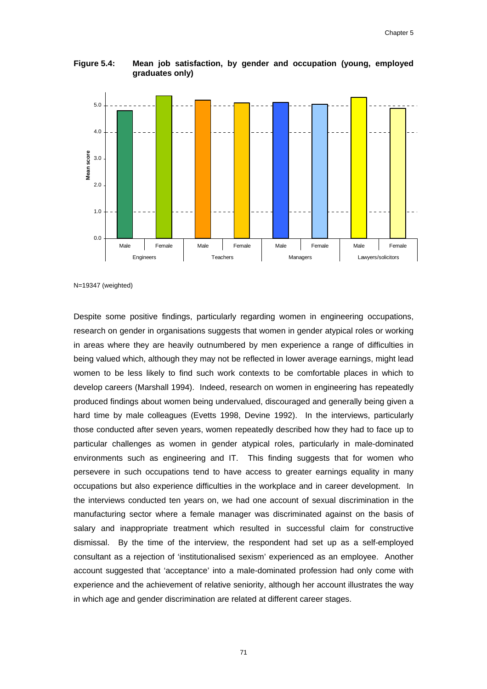



N=19347 (weighted)

Despite some positive findings, particularly regarding women in engineering occupations, research on gender in organisations suggests that women in gender atypical roles or working in areas where they are heavily outnumbered by men experience a range of difficulties in being valued which, although they may not be reflected in lower average earnings, might lead women to be less likely to find such work contexts to be comfortable places in which to develop careers (Marshall 1994). Indeed, research on women in engineering has repeatedly produced findings about women being undervalued, discouraged and generally being given a hard time by male colleagues (Evetts 1998, Devine 1992). In the interviews, particularly those conducted after seven years, women repeatedly described how they had to face up to particular challenges as women in gender atypical roles, particularly in male-dominated environments such as engineering and IT. This finding suggests that for women who persevere in such occupations tend to have access to greater earnings equality in many occupations but also experience difficulties in the workplace and in career development. In the interviews conducted ten years on, we had one account of sexual discrimination in the manufacturing sector where a female manager was discriminated against on the basis of salary and inappropriate treatment which resulted in successful claim for constructive dismissal. By the time of the interview, the respondent had set up as a self-employed consultant as a rejection of 'institutionalised sexism' experienced as an employee. Another account suggested that 'acceptance' into a male-dominated profession had only come with experience and the achievement of relative seniority, although her account illustrates the way in which age and gender discrimination are related at different career stages.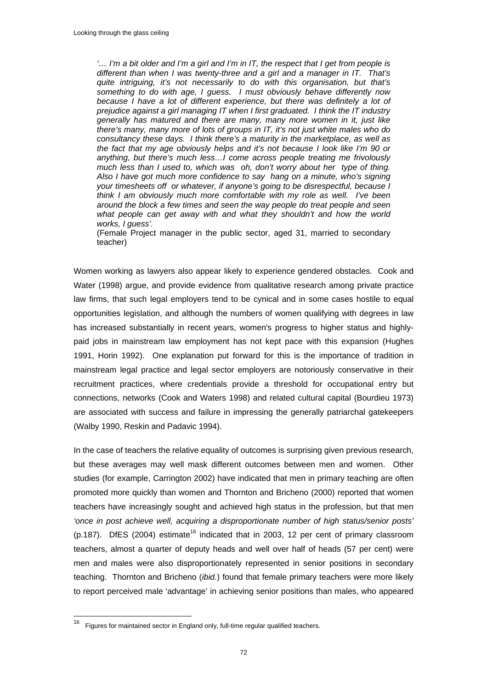*'… I'm a bit older and I'm a girl and I'm in IT, the respect that I get from people is different than when I was twenty-three and a girl and a manager in IT. That's quite intriguing, it's not necessarily to do with this organisation, but that's something to do with age, I guess. I must obviously behave differently now*  because I have a lot of different experience, but there was definitely a lot of *prejudice against a girl managing IT when I first graduated. I think the IT industry generally has matured and there are many, many more women in it, just like there's many, many more of lots of groups in IT, it's not just white males who do consultancy these days. I think there's a maturity in the marketplace, as well as the fact that my age obviously helps and it's not because I look like I'm 90 or anything, but there's much less…I come across people treating me frivolously much less than I used to, which was oh, don't worry about her type of thing. Also I have got much more confidence to say hang on a minute, who's signing your timesheets off or whatever, if anyone's going to be disrespectful, because I think I am obviously much more comfortable with my role as well. I've been around the block a few times and seen the way people do treat people and seen what people can get away with and what they shouldn't and how the world works, I guess'.* 

(Female Project manager in the public sector, aged 31, married to secondary teacher)

Women working as lawyers also appear likely to experience gendered obstacles. Cook and Water (1998) argue, and provide evidence from qualitative research among private practice law firms, that such legal employers tend to be cynical and in some cases hostile to equal opportunities legislation, and although the numbers of women qualifying with degrees in law has increased substantially in recent years, women's progress to higher status and highlypaid jobs in mainstream law employment has not kept pace with this expansion (Hughes 1991, Horin 1992). One explanation put forward for this is the importance of tradition in mainstream legal practice and legal sector employers are notoriously conservative in their recruitment practices, where credentials provide a threshold for occupational entry but connections, networks (Cook and Waters 1998) and related cultural capital (Bourdieu 1973) are associated with success and failure in impressing the generally patriarchal gatekeepers (Walby 1990, Reskin and Padavic 1994).

In the case of teachers the relative equality of outcomes is surprising given previous research, but these averages may well mask different outcomes between men and women. Other studies (for example, Carrington 2002) have indicated that men in primary teaching are often promoted more quickly than women and Thornton and Bricheno (2000) reported that women teachers have increasingly sought and achieved high status in the profession, but that men *'once in post achieve well, acquiring a disproportionate number of high status/senior posts'*   $(0.187)$ . DfES (2004) estimate<sup>16</sup> indicated that in 2003, 12 per cent of primary classroom teachers, almost a quarter of deputy heads and well over half of heads (57 per cent) were men and males were also disproportionately represented in senior positions in secondary teaching. Thornton and Bricheno (*ibid.*) found that female primary teachers were more likely to report perceived male 'advantage' in achieving senior positions than males, who appeared

 $\overline{a}$ 

 $16$  Figures for maintained sector in England only, full-time regular qualified teachers.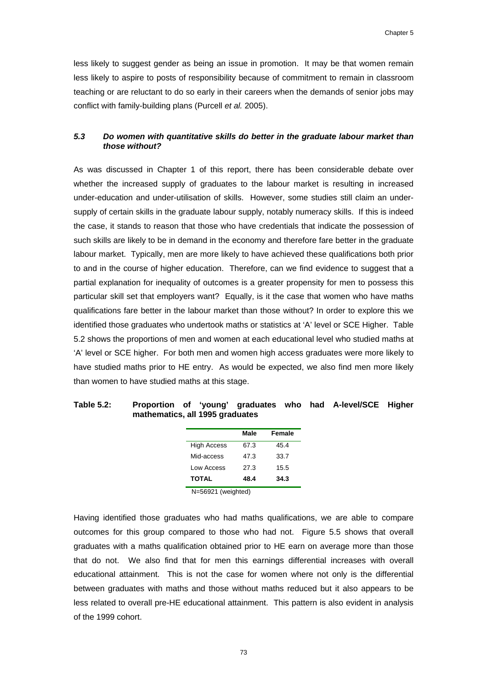less likely to suggest gender as being an issue in promotion. It may be that women remain less likely to aspire to posts of responsibility because of commitment to remain in classroom teaching or are reluctant to do so early in their careers when the demands of senior jobs may conflict with family-building plans (Purcell *et al.* 2005).

## *5.3 Do women with quantitative skills do better in the graduate labour market than those without?*

As was discussed in Chapter 1 of this report, there has been considerable debate over whether the increased supply of graduates to the labour market is resulting in increased under-education and under-utilisation of skills. However, some studies still claim an undersupply of certain skills in the graduate labour supply, notably numeracy skills. If this is indeed the case, it stands to reason that those who have credentials that indicate the possession of such skills are likely to be in demand in the economy and therefore fare better in the graduate labour market. Typically, men are more likely to have achieved these qualifications both prior to and in the course of higher education. Therefore, can we find evidence to suggest that a partial explanation for inequality of outcomes is a greater propensity for men to possess this particular skill set that employers want? Equally, is it the case that women who have maths qualifications fare better in the labour market than those without? In order to explore this we identified those graduates who undertook maths or statistics at 'A' level or SCE Higher. Table 5.2 shows the proportions of men and women at each educational level who studied maths at 'A' level or SCE higher. For both men and women high access graduates were more likely to have studied maths prior to HE entry. As would be expected, we also find men more likely than women to have studied maths at this stage.

# **Table 5.2: Proportion of 'young' graduates who had A-level/SCE Higher mathematics, all 1995 graduates**

|                    | Male | Female |  |
|--------------------|------|--------|--|
| <b>High Access</b> | 67.3 | 45.4   |  |
| Mid-access         | 47.3 | 33.7   |  |
| <b>Low Access</b>  | 27.3 | 15.5   |  |
| <b>TOTAL</b>       | 48.4 | 34.3   |  |
| $FOMA$ , $ff.HA$   |      |        |  |

N=56921 (weighted)

Having identified those graduates who had maths qualifications, we are able to compare outcomes for this group compared to those who had not. Figure 5.5 shows that overall graduates with a maths qualification obtained prior to HE earn on average more than those that do not. We also find that for men this earnings differential increases with overall educational attainment. This is not the case for women where not only is the differential between graduates with maths and those without maths reduced but it also appears to be less related to overall pre-HE educational attainment. This pattern is also evident in analysis of the 1999 cohort.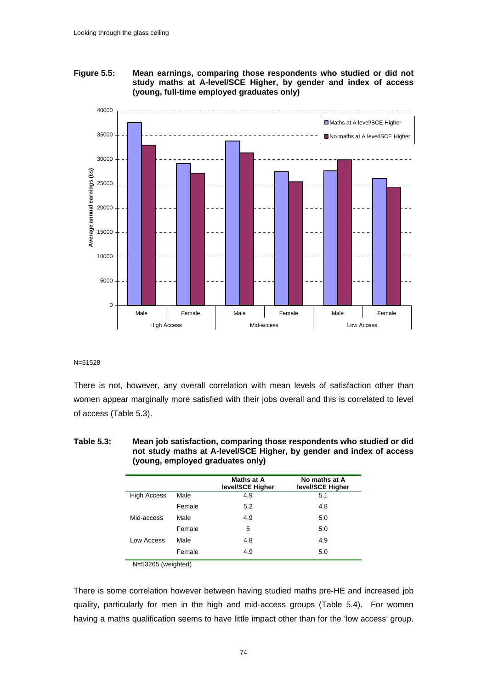**Figure 5.5: Mean earnings, comparing those respondents who studied or did not study maths at A-level/SCE Higher, by gender and index of access (young, full-time employed graduates only)** 



#### N=51528

There is not, however, any overall correlation with mean levels of satisfaction other than women appear marginally more satisfied with their jobs overall and this is correlated to level of access (Table 5.3).

## **Table 5.3: Mean job satisfaction, comparing those respondents who studied or did not study maths at A-level/SCE Higher, by gender and index of access (young, employed graduates only)**

|                    |        | Maths at A<br>level/SCE Higher | No maths at A<br>level/SCE Higher |
|--------------------|--------|--------------------------------|-----------------------------------|
| <b>High Access</b> | Male   | 4.9                            | 5.1                               |
|                    | Female | 5.2                            | 4.8                               |
| Mid-access         | Male   | 4.9                            | 5.0                               |
|                    | Female | 5                              | 5.0                               |
| Low Access         | Male   | 4.8                            | 4.9                               |
|                    | Female | 4.9                            | 5.0                               |

N=53265 (weighted)

There is some correlation however between having studied maths pre-HE and increased job quality, particularly for men in the high and mid-access groups (Table 5.4). For women having a maths qualification seems to have little impact other than for the 'low access' group.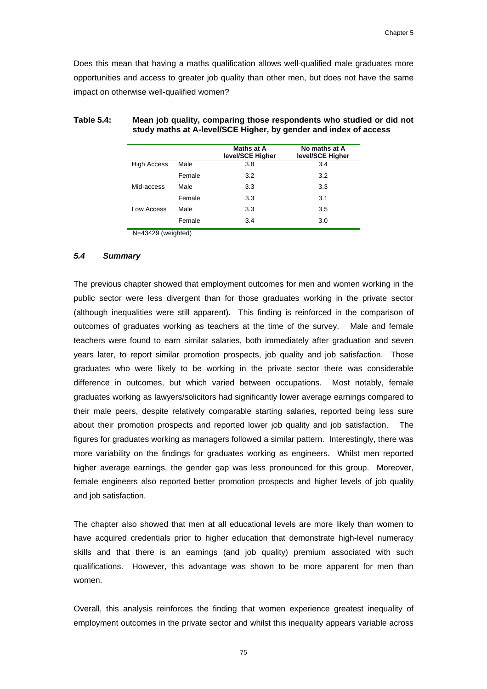Does this mean that having a maths qualification allows well-qualified male graduates more opportunities and access to greater job quality than other men, but does not have the same impact on otherwise well-qualified women?

|                    |        | Maths at A<br>level/SCE Higher | No maths at A<br>level/SCE Higher |
|--------------------|--------|--------------------------------|-----------------------------------|
| <b>High Access</b> | Male   | 3.8                            | 3.4                               |
|                    | Female | 3.2                            | 3.2                               |
| Mid-access         | Male   | 3.3                            | 3.3                               |
|                    | Female | 3.3                            | 3.1                               |
| Low Access         | Male   | 3.3                            | 3.5                               |
|                    | Female | 3.4                            | 3.0                               |

## **Table 5.4: Mean job quality, comparing those respondents who studied or did not study maths at A-level/SCE Higher, by gender and index of access**

N=43429 (weighted)

# *5.4 Summary*

The previous chapter showed that employment outcomes for men and women working in the public sector were less divergent than for those graduates working in the private sector (although inequalities were still apparent). This finding is reinforced in the comparison of outcomes of graduates working as teachers at the time of the survey. Male and female teachers were found to earn similar salaries, both immediately after graduation and seven years later, to report similar promotion prospects, job quality and job satisfaction. Those graduates who were likely to be working in the private sector there was considerable difference in outcomes, but which varied between occupations. Most notably, female graduates working as lawyers/solicitors had significantly lower average earnings compared to their male peers, despite relatively comparable starting salaries, reported being less sure about their promotion prospects and reported lower job quality and job satisfaction. The figures for graduates working as managers followed a similar pattern. Interestingly, there was more variability on the findings for graduates working as engineers. Whilst men reported higher average earnings, the gender gap was less pronounced for this group. Moreover, female engineers also reported better promotion prospects and higher levels of job quality and job satisfaction.

The chapter also showed that men at all educational levels are more likely than women to have acquired credentials prior to higher education that demonstrate high-level numeracy skills and that there is an earnings (and job quality) premium associated with such qualifications. However, this advantage was shown to be more apparent for men than women.

Overall, this analysis reinforces the finding that women experience greatest inequality of employment outcomes in the private sector and whilst this inequality appears variable across

75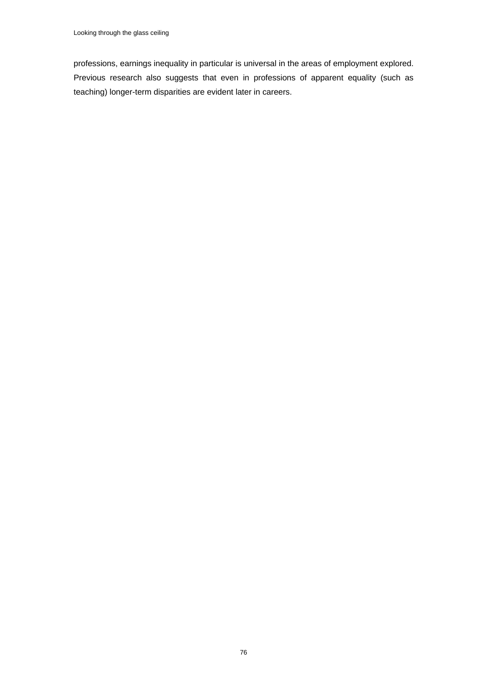professions, earnings inequality in particular is universal in the areas of employment explored. Previous research also suggests that even in professions of apparent equality (such as teaching) longer-term disparities are evident later in careers.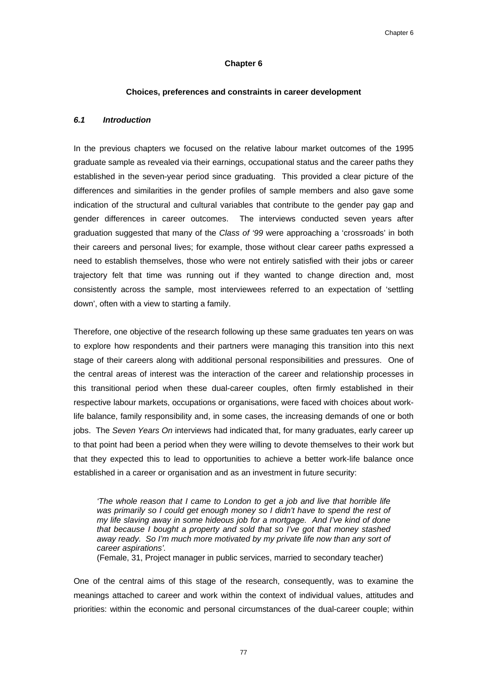## **Chapter 6**

#### **Choices, preferences and constraints in career development**

## *6.1 Introduction*

In the previous chapters we focused on the relative labour market outcomes of the 1995 graduate sample as revealed via their earnings, occupational status and the career paths they established in the seven-year period since graduating. This provided a clear picture of the differences and similarities in the gender profiles of sample members and also gave some indication of the structural and cultural variables that contribute to the gender pay gap and gender differences in career outcomes. The interviews conducted seven years after graduation suggested that many of the *Class of '99* were approaching a 'crossroads' in both their careers and personal lives; for example, those without clear career paths expressed a need to establish themselves, those who were not entirely satisfied with their jobs or career trajectory felt that time was running out if they wanted to change direction and, most consistently across the sample, most interviewees referred to an expectation of 'settling down', often with a view to starting a family.

Therefore, one objective of the research following up these same graduates ten years on was to explore how respondents and their partners were managing this transition into this next stage of their careers along with additional personal responsibilities and pressures. One of the central areas of interest was the interaction of the career and relationship processes in this transitional period when these dual-career couples, often firmly established in their respective labour markets, occupations or organisations, were faced with choices about worklife balance, family responsibility and, in some cases, the increasing demands of one or both jobs. The *Seven Years On* interviews had indicated that, for many graduates, early career up to that point had been a period when they were willing to devote themselves to their work but that they expected this to lead to opportunities to achieve a better work-life balance once established in a career or organisation and as an investment in future security:

*'The whole reason that I came to London to get a job and live that horrible life was primarily so I could get enough money so I didn't have to spend the rest of my life slaving away in some hideous job for a mortgage. And I've kind of done that because I bought a property and sold that so I've got that money stashed*  away ready. So I'm much more motivated by my private life now than any sort of *career aspirations'.* 

(Female, 31, Project manager in public services, married to secondary teacher)

One of the central aims of this stage of the research, consequently, was to examine the meanings attached to career and work within the context of individual values, attitudes and priorities: within the economic and personal circumstances of the dual-career couple; within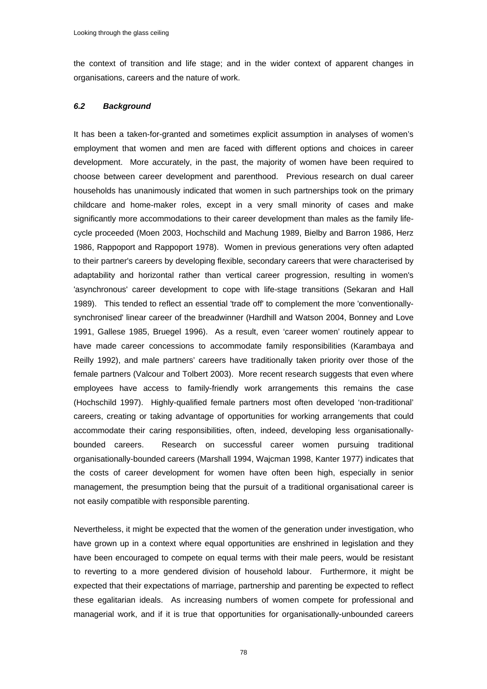the context of transition and life stage; and in the wider context of apparent changes in organisations, careers and the nature of work.

# *6.2 Background*

It has been a taken-for-granted and sometimes explicit assumption in analyses of women's employment that women and men are faced with different options and choices in career development. More accurately, in the past, the majority of women have been required to choose between career development and parenthood. Previous research on dual career households has unanimously indicated that women in such partnerships took on the primary childcare and home-maker roles, except in a very small minority of cases and make significantly more accommodations to their career development than males as the family lifecycle proceeded (Moen 2003, Hochschild and Machung 1989, Bielby and Barron 1986, Herz 1986, Rappoport and Rappoport 1978). Women in previous generations very often adapted to their partner's careers by developing flexible, secondary careers that were characterised by adaptability and horizontal rather than vertical career progression, resulting in women's 'asynchronous' career development to cope with life-stage transitions (Sekaran and Hall 1989). This tended to reflect an essential 'trade off' to complement the more 'conventionallysynchronised' linear career of the breadwinner (Hardhill and Watson 2004, Bonney and Love 1991, Gallese 1985, Bruegel 1996). As a result, even 'career women' routinely appear to have made career concessions to accommodate family responsibilities (Karambaya and Reilly 1992), and male partners' careers have traditionally taken priority over those of the female partners (Valcour and Tolbert 2003). More recent research suggests that even where employees have access to family-friendly work arrangements this remains the case (Hochschild 1997). Highly-qualified female partners most often developed 'non-traditional' careers, creating or taking advantage of opportunities for working arrangements that could accommodate their caring responsibilities, often, indeed, developing less organisationallybounded careers. Research on successful career women pursuing traditional organisationally-bounded careers (Marshall 1994, Wajcman 1998, Kanter 1977) indicates that the costs of career development for women have often been high, especially in senior management, the presumption being that the pursuit of a traditional organisational career is not easily compatible with responsible parenting.

Nevertheless, it might be expected that the women of the generation under investigation, who have grown up in a context where equal opportunities are enshrined in legislation and they have been encouraged to compete on equal terms with their male peers, would be resistant to reverting to a more gendered division of household labour. Furthermore, it might be expected that their expectations of marriage, partnership and parenting be expected to reflect these egalitarian ideals. As increasing numbers of women compete for professional and managerial work, and if it is true that opportunities for organisationally-unbounded careers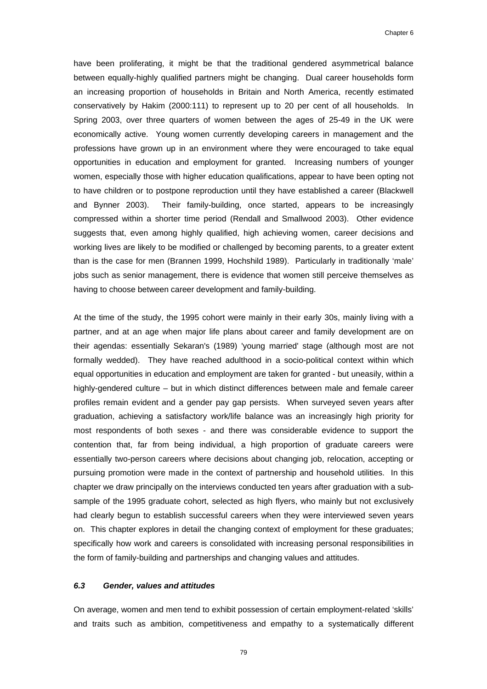have been proliferating, it might be that the traditional gendered asymmetrical balance between equally-highly qualified partners might be changing. Dual career households form an increasing proportion of households in Britain and North America, recently estimated conservatively by Hakim (2000:111) to represent up to 20 per cent of all households. In Spring 2003, over three quarters of women between the ages of 25-49 in the UK were economically active. Young women currently developing careers in management and the professions have grown up in an environment where they were encouraged to take equal opportunities in education and employment for granted. Increasing numbers of younger women, especially those with higher education qualifications, appear to have been opting not to have children or to postpone reproduction until they have established a career (Blackwell and Bynner 2003). Their family-building, once started, appears to be increasingly compressed within a shorter time period (Rendall and Smallwood 2003). Other evidence suggests that, even among highly qualified, high achieving women, career decisions and working lives are likely to be modified or challenged by becoming parents, to a greater extent than is the case for men (Brannen 1999, Hochshild 1989). Particularly in traditionally 'male' jobs such as senior management, there is evidence that women still perceive themselves as having to choose between career development and family-building.

At the time of the study, the 1995 cohort were mainly in their early 30s, mainly living with a partner, and at an age when major life plans about career and family development are on their agendas: essentially Sekaran's (1989) 'young married' stage (although most are not formally wedded). They have reached adulthood in a socio-political context within which equal opportunities in education and employment are taken for granted - but uneasily, within a highly-gendered culture – but in which distinct differences between male and female career profiles remain evident and a gender pay gap persists. When surveyed seven years after graduation, achieving a satisfactory work/life balance was an increasingly high priority for most respondents of both sexes - and there was considerable evidence to support the contention that, far from being individual, a high proportion of graduate careers were essentially two-person careers where decisions about changing job, relocation, accepting or pursuing promotion were made in the context of partnership and household utilities. In this chapter we draw principally on the interviews conducted ten years after graduation with a subsample of the 1995 graduate cohort, selected as high flyers, who mainly but not exclusively had clearly begun to establish successful careers when they were interviewed seven years on. This chapter explores in detail the changing context of employment for these graduates; specifically how work and careers is consolidated with increasing personal responsibilities in the form of family-building and partnerships and changing values and attitudes.

# *6.3 Gender, values and attitudes*

On average, women and men tend to exhibit possession of certain employment-related 'skills' and traits such as ambition, competitiveness and empathy to a systematically different

79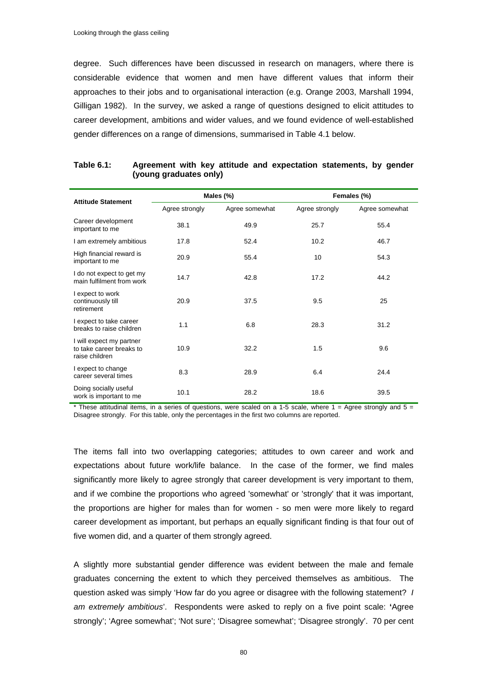degree. Such differences have been discussed in research on managers, where there is considerable evidence that women and men have different values that inform their approaches to their jobs and to organisational interaction (e.g. Orange 2003, Marshall 1994, Gilligan 1982). In the survey, we asked a range of questions designed to elicit attitudes to career development, ambitions and wider values, and we found evidence of well-established gender differences on a range of dimensions, summarised in Table 4.1 below.

| <b>Attitude Statement</b>                                              |                | Males (%)      |                | Females (%)    |  |
|------------------------------------------------------------------------|----------------|----------------|----------------|----------------|--|
|                                                                        | Agree strongly | Agree somewhat | Agree strongly | Agree somewhat |  |
| Career development<br>important to me                                  | 38.1           | 49.9           | 25.7           | 55.4           |  |
| I am extremely ambitious                                               | 17.8           | 52.4           | 10.2           | 46.7           |  |
| High financial reward is<br>important to me                            | 20.9           | 55.4           | 10             | 54.3           |  |
| I do not expect to get my<br>main fulfilment from work                 | 14.7           | 42.8           | 17.2           | 44.2           |  |
| I expect to work<br>continuously till<br>retirement                    | 20.9           | 37.5           | 9.5            | 25             |  |
| I expect to take career<br>breaks to raise children                    | 1.1            | 6.8            | 28.3           | 31.2           |  |
| I will expect my partner<br>to take career breaks to<br>raise children | 10.9           | 32.2           | 1.5            | 9.6            |  |
| I expect to change<br>career several times                             | 8.3            | 28.9           | 6.4            | 24.4           |  |
| Doing socially useful<br>work is important to me                       | 10.1           | 28.2           | 18.6           | 39.5           |  |

## **Table 6.1: Agreement with key attitude and expectation statements, by gender (young graduates only)**

 $*$  These attitudinal items, in a series of questions, were scaled on a 1-5 scale, where 1 = Agree strongly and 5 = Disagree strongly. For this table, only the percentages in the first two columns are reported.

The items fall into two overlapping categories; attitudes to own career and work and expectations about future work/life balance. In the case of the former, we find males significantly more likely to agree strongly that career development is very important to them, and if we combine the proportions who agreed 'somewhat' or 'strongly' that it was important, the proportions are higher for males than for women - so men were more likely to regard career development as important, but perhaps an equally significant finding is that four out of five women did, and a quarter of them strongly agreed.

A slightly more substantial gender difference was evident between the male and female graduates concerning the extent to which they perceived themselves as ambitious. The question asked was simply 'How far do you agree or disagree with the following statement? *I am extremely ambitious*'. Respondents were asked to reply on a five point scale: **'**Agree strongly'; 'Agree somewhat'; 'Not sure'; 'Disagree somewhat'; 'Disagree strongly'. 70 per cent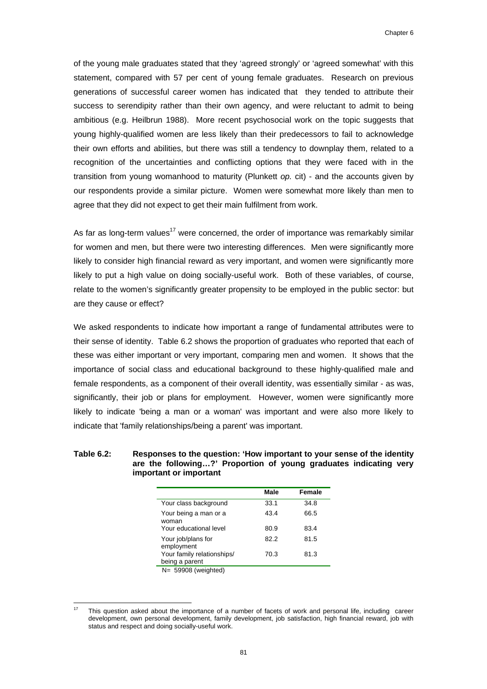Chapter 6

of the young male graduates stated that they 'agreed strongly' or 'agreed somewhat' with this statement, compared with 57 per cent of young female graduates. Research on previous generations of successful career women has indicated that they tended to attribute their success to serendipity rather than their own agency, and were reluctant to admit to being ambitious (e.g. Heilbrun 1988). More recent psychosocial work on the topic suggests that young highly-qualified women are less likely than their predecessors to fail to acknowledge their own efforts and abilities, but there was still a tendency to downplay them, related to a recognition of the uncertainties and conflicting options that they were faced with in the transition from young womanhood to maturity (Plunkett *op.* cit) - and the accounts given by our respondents provide a similar picture. Women were somewhat more likely than men to agree that they did not expect to get their main fulfilment from work.

As far as long-term values<sup>17</sup> were concerned, the order of importance was remarkably similar for women and men, but there were two interesting differences. Men were significantly more likely to consider high financial reward as very important, and women were significantly more likely to put a high value on doing socially-useful work. Both of these variables, of course, relate to the women's significantly greater propensity to be employed in the public sector: but are they cause or effect?

We asked respondents to indicate how important a range of fundamental attributes were to their sense of identity. Table 6.2 shows the proportion of graduates who reported that each of these was either important or very important, comparing men and women. It shows that the importance of social class and educational background to these highly-qualified male and female respondents, as a component of their overall identity, was essentially similar - as was, significantly, their job or plans for employment. However, women were significantly more likely to indicate 'being a man or a woman' was important and were also more likely to indicate that 'family relationships/being a parent' was important.

| Table 6.2: | Responses to the question: 'How important to your sense of the identity |  |  |  |
|------------|-------------------------------------------------------------------------|--|--|--|
|            | are the following?' Proportion of young graduates indicating very       |  |  |  |
|            | important or important                                                  |  |  |  |
|            |                                                                         |  |  |  |

|                                              | Male | Female |
|----------------------------------------------|------|--------|
| Your class background                        | 33.1 | 34.8   |
| Your being a man or a<br>woman               | 43.4 | 66.5   |
| Your educational level                       | 80.9 | 83.4   |
| Your job/plans for<br>employment             | 82.2 | 81.5   |
| Your family relationships/<br>being a parent | 70.3 | 81.3   |
|                                              |      |        |

 $N = 59908$  (weighted)

 $\overline{a}$ This question asked about the importance of a number of facets of work and personal life, including career development, own personal development, family development, job satisfaction, high financial reward, job with status and respect and doing socially-useful work.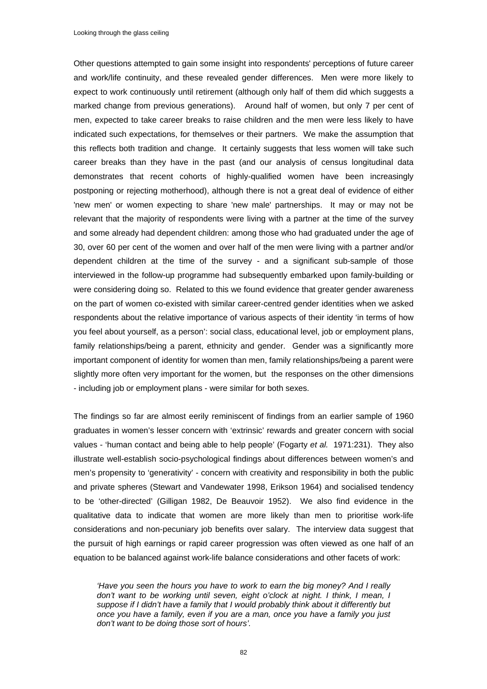Looking through the glass ceiling

Other questions attempted to gain some insight into respondents' perceptions of future career and work/life continuity, and these revealed gender differences. Men were more likely to expect to work continuously until retirement (although only half of them did which suggests a marked change from previous generations). Around half of women, but only 7 per cent of men, expected to take career breaks to raise children and the men were less likely to have indicated such expectations, for themselves or their partners. We make the assumption that this reflects both tradition and change. It certainly suggests that less women will take such career breaks than they have in the past (and our analysis of census longitudinal data demonstrates that recent cohorts of highly-qualified women have been increasingly postponing or rejecting motherhood), although there is not a great deal of evidence of either 'new men' or women expecting to share 'new male' partnerships. It may or may not be relevant that the majority of respondents were living with a partner at the time of the survey and some already had dependent children: among those who had graduated under the age of 30, over 60 per cent of the women and over half of the men were living with a partner and/or dependent children at the time of the survey - and a significant sub-sample of those interviewed in the follow-up programme had subsequently embarked upon family-building or were considering doing so. Related to this we found evidence that greater gender awareness on the part of women co-existed with similar career-centred gender identities when we asked respondents about the relative importance of various aspects of their identity 'in terms of how you feel about yourself, as a person': social class, educational level, job or employment plans, family relationships/being a parent, ethnicity and gender. Gender was a significantly more important component of identity for women than men, family relationships/being a parent were slightly more often very important for the women, but the responses on the other dimensions - including job or employment plans - were similar for both sexes.

The findings so far are almost eerily reminiscent of findings from an earlier sample of 1960 graduates in women's lesser concern with 'extrinsic' rewards and greater concern with social values - 'human contact and being able to help people' (Fogarty *et al.* 1971:231). They also illustrate well-establish socio-psychological findings about differences between women's and men's propensity to 'generativity' - concern with creativity and responsibility in both the public and private spheres (Stewart and Vandewater 1998, Erikson 1964) and socialised tendency to be 'other-directed' (Gilligan 1982, De Beauvoir 1952). We also find evidence in the qualitative data to indicate that women are more likely than men to prioritise work-life considerations and non-pecuniary job benefits over salary. The interview data suggest that the pursuit of high earnings or rapid career progression was often viewed as one half of an equation to be balanced against work-life balance considerations and other facets of work:

*'Have you seen the hours you have to work to earn the big money? And I really*  don't want to be working until seven, eight o'clock at night. I think, I mean, I *suppose if I didn't have a family that I would probably think about it differently but once you have a family, even if you are a man, once you have a family you just don't want to be doing those sort of hours'.*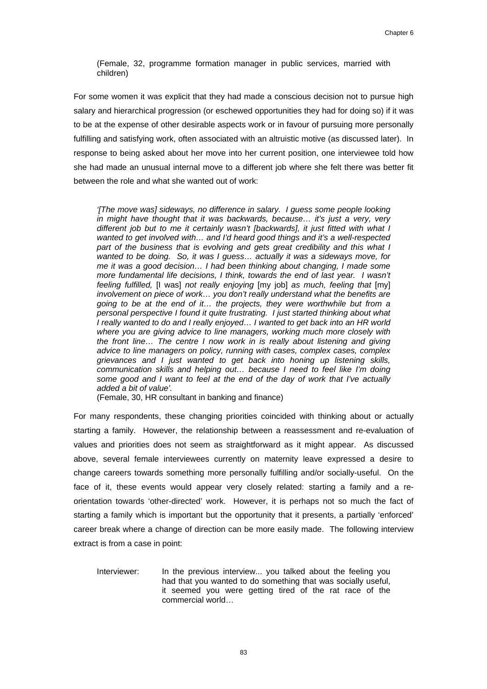(Female, 32, programme formation manager in public services, married with children)

For some women it was explicit that they had made a conscious decision not to pursue high salary and hierarchical progression (or eschewed opportunities they had for doing so) if it was to be at the expense of other desirable aspects work or in favour of pursuing more personally fulfilling and satisfying work, often associated with an altruistic motive (as discussed later). In response to being asked about her move into her current position, one interviewee told how she had made an unusual internal move to a different job where she felt there was better fit between the role and what she wanted out of work:

*'[The move was] sideways, no difference in salary. I guess some people looking in might have thought that it was backwards, because… it's just a very, very different job but to me it certainly wasn't [backwards], it just fitted with what I wanted to get involved with… and I'd heard good things and it's a well-respected*  part of the business that is evolving and gets great credibility and this what I *wanted to be doing. So, it was I guess… actually it was a sideways move, for me it was a good decision… I had been thinking about changing, I made some*  more fundamental life decisions. I think, towards the end of last year. I wasn't *feeling fulfilled,* [I was] *not really enjoying* [my job] *as much, feeling that* [my] *involvement on piece of work… you don't really understand what the benefits are going to be at the end of it… the projects, they were worthwhile but from a personal perspective I found it quite frustrating. I just started thinking about what I really wanted to do and I really enjoyed… I wanted to get back into an HR world where you are giving advice to line managers, working much more closely with the front line… The centre I now work in is really about listening and giving advice to line managers on policy, running with cases, complex cases, complex grievances and I just wanted to get back into honing up listening skills, communication skills and helping out… because I need to feel like I'm doing some good and I want to feel at the end of the day of work that I've actually added a bit of value'.* 

(Female, 30, HR consultant in banking and finance)

For many respondents, these changing priorities coincided with thinking about or actually starting a family. However, the relationship between a reassessment and re-evaluation of values and priorities does not seem as straightforward as it might appear. As discussed above, several female interviewees currently on maternity leave expressed a desire to change careers towards something more personally fulfilling and/or socially-useful. On the face of it, these events would appear very closely related: starting a family and a reorientation towards 'other-directed' work. However, it is perhaps not so much the fact of starting a family which is important but the opportunity that it presents, a partially 'enforced' career break where a change of direction can be more easily made. The following interview extract is from a case in point:

Interviewer: In the previous interview... you talked about the feeling you had that you wanted to do something that was socially useful, it seemed you were getting tired of the rat race of the commercial world…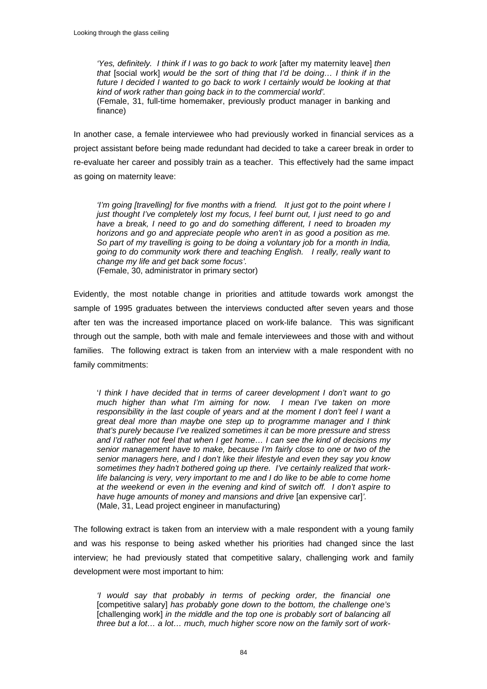*'Yes, definitely. I think if I was to go back to work* [after my maternity leave] *then that* [social work] *would be the sort of thing that I'd be doing… I think if in the future I decided I wanted to go back to work I certainly would be looking at that kind of work rather than going back in to the commercial world'.*  (Female, 31, full-time homemaker, previously product manager in banking and finance)

In another case, a female interviewee who had previously worked in financial services as a project assistant before being made redundant had decided to take a career break in order to re-evaluate her career and possibly train as a teacher. This effectively had the same impact as going on maternity leave:

*'I'm going [travelling] for five months with a friend. It just got to the point where I just thought I've completely lost my focus, I feel burnt out, I just need to go and have a break, I need to go and do something different, I need to broaden my horizons and go and appreciate people who aren't in as good a position as me. So part of my travelling is going to be doing a voluntary job for a month in India, going to do community work there and teaching English. I really, really want to change my life and get back some focus'.*  (Female, 30, administrator in primary sector)

Evidently, the most notable change in priorities and attitude towards work amongst the sample of 1995 graduates between the interviews conducted after seven years and those after ten was the increased importance placed on work-life balance. This was significant through out the sample, both with male and female interviewees and those with and without families. The following extract is taken from an interview with a male respondent with no family commitments:

'*I think I have decided that in terms of career development I don't want to go much higher than what I'm aiming for now. I mean I've taken on more responsibility in the last couple of years and at the moment I don't feel I want a great deal more than maybe one step up to programme manager and I think that's purely because I've realized sometimes it can be more pressure and stress and I'd rather not feel that when I get home… I can see the kind of decisions my senior management have to make, because I'm fairly close to one or two of the senior managers here, and I don't like their lifestyle and even they say you know sometimes they hadn't bothered going up there. I've certainly realized that worklife balancing is very, very important to me and I do like to be able to come home at the weekend or even in the evening and kind of switch off. I don't aspire to*  have huge amounts of money and mansions and drive [an expensive car]<sup>'</sup>. (Male, 31, Lead project engineer in manufacturing)

The following extract is taken from an interview with a male respondent with a young family and was his response to being asked whether his priorities had changed since the last interview; he had previously stated that competitive salary, challenging work and family development were most important to him:

*'I would say that probably in terms of pecking order, the financial one*  [competitive salary] *has probably gone down to the bottom, the challenge one's*  [challenging work] *in the middle and the top one is probably sort of balancing all three but a lot… a lot… much, much higher score now on the family sort of work-*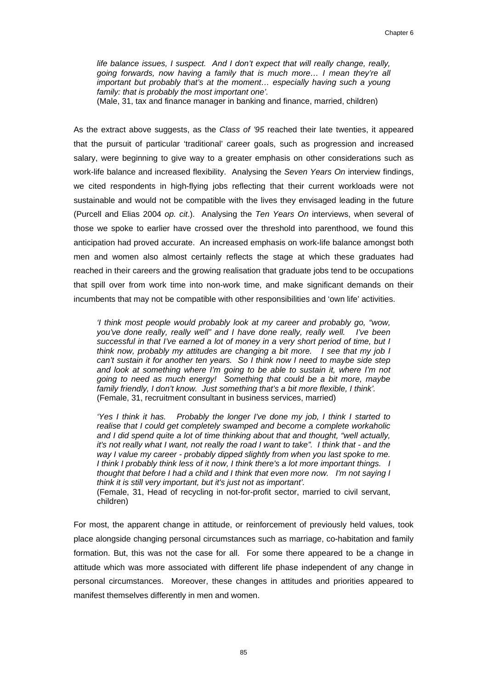*life balance issues, I suspect. And I don't expect that will really change, really, going forwards, now having a family that is much more… I mean they're all important but probably that's at the moment… especially having such a young family: that is probably the most important one'.* 

(Male, 31, tax and finance manager in banking and finance, married, children)

As the extract above suggests, as the *Class of '95* reached their late twenties, it appeared that the pursuit of particular 'traditional' career goals, such as progression and increased salary, were beginning to give way to a greater emphasis on other considerations such as work-life balance and increased flexibility. Analysing the *Seven Years On* interview findings, we cited respondents in high-flying jobs reflecting that their current workloads were not sustainable and would not be compatible with the lives they envisaged leading in the future (Purcell and Elias 2004 *op. cit*.). Analysing the *Ten Years On* interviews, when several of those we spoke to earlier have crossed over the threshold into parenthood, we found this anticipation had proved accurate. An increased emphasis on work-life balance amongst both men and women also almost certainly reflects the stage at which these graduates had reached in their careers and the growing realisation that graduate jobs tend to be occupations that spill over from work time into non-work time, and make significant demands on their incumbents that may not be compatible with other responsibilities and 'own life' activities.

*'I think most people would probably look at my career and probably go, "wow, you've done really, really well" and I have done really, really well. I've been successful in that I've earned a lot of money in a very short period of time, but I think now, probably my attitudes are changing a bit more. I see that my job I can't sustain it for another ten years. So I think now I need to maybe side step and look at something where I'm going to be able to sustain it, where I'm not going to need as much energy! Something that could be a bit more, maybe family friendly, I don't know. Just something that's a bit more flexible, I think'.*  (Female, 31, recruitment consultant in business services, married)

*'Yes I think it has. Probably the longer I've done my job, I think I started to realise that I could get completely swamped and become a complete workaholic and I did spend quite a lot of time thinking about that and thought, "well actually, it's not really what I want, not really the road I want to take". I think that - and the way I value my career - probably dipped slightly from when you last spoke to me. I think I probably think less of it now, I think there's a lot more important things. I thought that before I had a child and I think that even more now. I'm not saying I think it is still very important, but it's just not as important'.* 

(Female, 31, Head of recycling in not-for-profit sector, married to civil servant, children)

For most, the apparent change in attitude, or reinforcement of previously held values, took place alongside changing personal circumstances such as marriage, co-habitation and family formation. But, this was not the case for all. For some there appeared to be a change in attitude which was more associated with different life phase independent of any change in personal circumstances. Moreover, these changes in attitudes and priorities appeared to manifest themselves differently in men and women.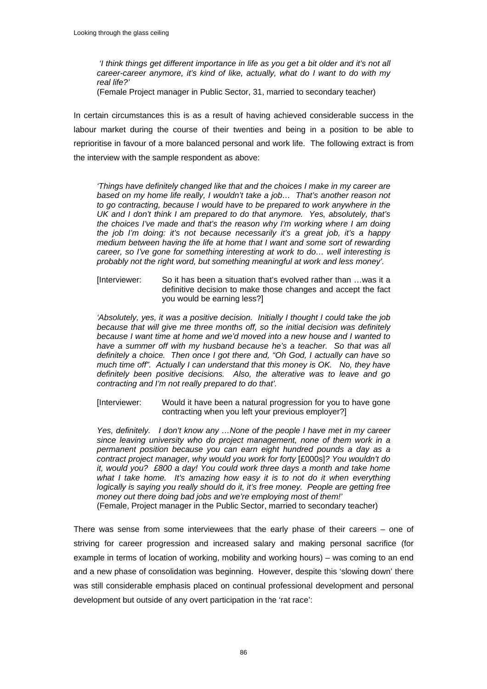*'I think things get different importance in life as you get a bit older and it's not all career-career anymore, it's kind of like, actually, what do I want to do with my real life?'* 

(Female Project manager in Public Sector, 31, married to secondary teacher)

In certain circumstances this is as a result of having achieved considerable success in the labour market during the course of their twenties and being in a position to be able to reprioritise in favour of a more balanced personal and work life. The following extract is from the interview with the sample respondent as above:

*'Things have definitely changed like that and the choices I make in my career are based on my home life really, I wouldn't take a job… That's another reason not to go contracting, because I would have to be prepared to work anywhere in the UK and I don't think I am prepared to do that anymore. Yes, absolutely, that's the choices I've made and that's the reason why I'm working where I am doing the job I'm doing: it's not because necessarily it's a great job, it's a happy medium between having the life at home that I want and some sort of rewarding career, so I've gone for something interesting at work to do… well interesting is probably not the right word, but something meaningful at work and less money'.* 

[Interviewer: So it has been a situation that's evolved rather than …was it a definitive decision to make those changes and accept the fact you would be earning less?]

*'Absolutely, yes, it was a positive decision. Initially I thought I could take the job because that will give me three months off, so the initial decision was definitely because I want time at home and we'd moved into a new house and I wanted to*  have a summer off with my husband because he's a teacher. So that was all *definitely a choice. Then once I got there and, "Oh God, I actually can have so much time off". Actually I can understand that this money is OK. No, they have definitely been positive decisions. Also, the alterative was to leave and go contracting and I'm not really prepared to do that'.* 

[Interviewer: Would it have been a natural progression for you to have gone contracting when you left your previous employer?]

*Yes, definitely. I don't know any …None of the people I have met in my career since leaving university who do project management, none of them work in a permanent position because you can earn eight hundred pounds a day as a contract project manager, why would you work for forty* [£000s]*? You wouldn't do it, would you? £800 a day! You could work three days a month and take home*  what I take home. It's amazing how easy it is to not do it when everything *logically is saying you really should do it, it's free money. People are getting free money out there doing bad jobs and we're employing most of them!'*  (Female, Project manager in the Public Sector, married to secondary teacher)

There was sense from some interviewees that the early phase of their careers – one of striving for career progression and increased salary and making personal sacrifice (for example in terms of location of working, mobility and working hours) – was coming to an end and a new phase of consolidation was beginning. However, despite this 'slowing down' there was still considerable emphasis placed on continual professional development and personal development but outside of any overt participation in the 'rat race':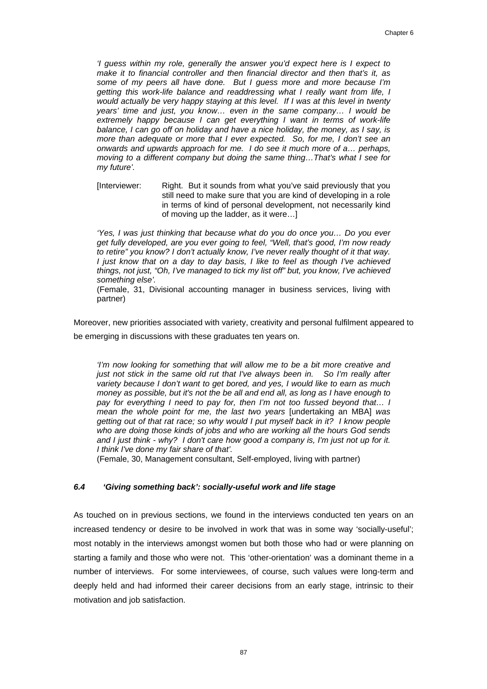*'I guess within my role, generally the answer you'd expect here is I expect to make it to financial controller and then financial director and then that's it, as some of my peers all have done. But I guess more and more because I'm getting this work-life balance and readdressing what I really want from life, I would actually be very happy staying at this level. If I was at this level in twenty years' time and just, you know… even in the same company… I would be*  extremely happy because I can get everything I want in terms of work-life *balance, I can go off on holiday and have a nice holiday, the money, as I say, is more than adequate or more that I ever expected. So, for me, I don't see an onwards and upwards approach for me. I do see it much more of a… perhaps, moving to a different company but doing the same thing…That's what I see for my future'.* 

[Interviewer: Right. But it sounds from what you've said previously that you still need to make sure that you are kind of developing in a role in terms of kind of personal development, not necessarily kind of moving up the ladder, as it were…]

*'Yes, I was just thinking that because what do you do once you… Do you ever get fully developed, are you ever going to feel, "Well, that's good, I'm now ready to retire" you know? I don't actually know, I've never really thought of it that way. I just know that on a day to day basis, I like to feel as though I've achieved things, not just, "Oh, I've managed to tick my list off" but, you know, I've achieved something else'.* 

(Female, 31, Divisional accounting manager in business services, living with partner)

Moreover, new priorities associated with variety, creativity and personal fulfilment appeared to be emerging in discussions with these graduates ten years on.

*'I'm now looking for something that will allow me to be a bit more creative and just not stick in the same old rut that I've always been in. So I'm really after variety because I don't want to get bored, and yes, I would like to earn as much money as possible, but it's not the be all and end all, as long as I have enough to pay for everything I need to pay for, then I'm not too fussed beyond that… I mean the whole point for me, the last two years* [undertaking an MBA] *was getting out of that rat race; so why would I put myself back in it? I know people who are doing those kinds of jobs and who are working all the hours God sends and I just think - why? I don't care how good a company is, I'm just not up for it. I think I've done my fair share of that'.* 

(Female, 30, Management consultant, Self-employed, living with partner)

## *6.4 'Giving something back': socially-useful work and life stage*

As touched on in previous sections, we found in the interviews conducted ten years on an increased tendency or desire to be involved in work that was in some way 'socially-useful'; most notably in the interviews amongst women but both those who had or were planning on starting a family and those who were not. This 'other-orientation' was a dominant theme in a number of interviews. For some interviewees, of course, such values were long-term and deeply held and had informed their career decisions from an early stage, intrinsic to their motivation and job satisfaction.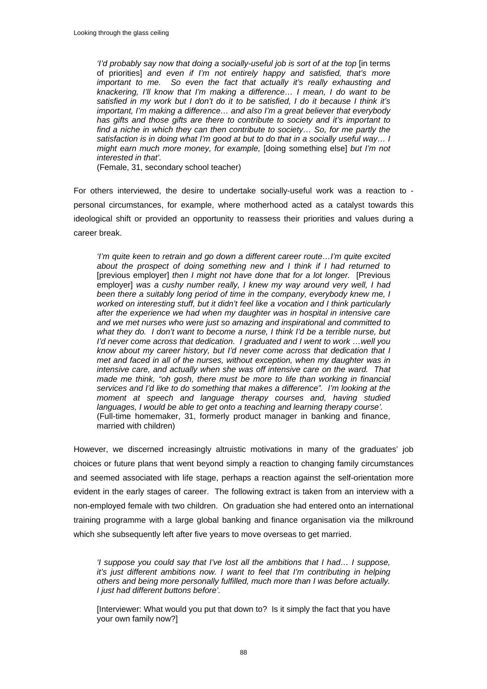*'I'd probably say now that doing a socially-useful job is sort of at the top [in terms* of priorities] *and even if I'm not entirely happy and satisfied, that's more important to me. So even the fact that actually it's really exhausting and knackering, I'll know that I'm making a difference… I mean, I do want to be satisfied in my work but I don't do it to be satisfied, I do it because I think it's important, I'm making a difference… and also I'm a great believer that everybody has gifts and those gifts are there to contribute to society and it's important to find a niche in which they can then contribute to society… So, for me partly the satisfaction is in doing what I'm good at but to do that in a socially useful way… I might earn much more money, for example,* [doing something else] *but I'm not interested in that'.* 

(Female, 31, secondary school teacher)

For others interviewed, the desire to undertake socially-useful work was a reaction to personal circumstances, for example, where motherhood acted as a catalyst towards this ideological shift or provided an opportunity to reassess their priorities and values during a career break.

*'I'm quite keen to retrain and go down a different career route…I'm quite excited about the prospect of doing something new and I think if I had returned to* [previous employer] *then I might not have done that for a lot longer.* [Previous employer] *was a cushy number really, I knew my way around very well, I had*  been there a suitably long period of time in the company, everybody knew me, I *worked on interesting stuff, but it didn't feel like a vocation and I think particularly after the experience we had when my daughter was in hospital in intensive care and we met nurses who were just so amazing and inspirational and committed to what they do. I don't want to become a nurse, I think I'd be a terrible nurse, but I'd never come across that dedication. I graduated and I went to work …well you know about my career history, but I'd never come across that dedication that I met and faced in all of the nurses, without exception, when my daughter was in intensive care, and actually when she was off intensive care on the ward. That made me think, "oh gosh, there must be more to life than working in financial services and I'd like to do something that makes a difference". I'm looking at the moment at speech and language therapy courses and, having studied languages, I would be able to get onto a teaching and learning therapy course'.* (Full-time homemaker, 31, formerly product manager in banking and finance, married with children)

However, we discerned increasingly altruistic motivations in many of the graduates' job choices or future plans that went beyond simply a reaction to changing family circumstances and seemed associated with life stage, perhaps a reaction against the self-orientation more evident in the early stages of career. The following extract is taken from an interview with a non-employed female with two children. On graduation she had entered onto an international training programme with a large global banking and finance organisation via the milkround which she subsequently left after five years to move overseas to get married.

*'I suppose you could say that I've lost all the ambitions that I had… I suppose, it's just different ambitions now. I want to feel that I'm contributing in helping others and being more personally fulfilled, much more than I was before actually. I just had different buttons before'.* 

[Interviewer: What would you put that down to? Is it simply the fact that you have your own family now?]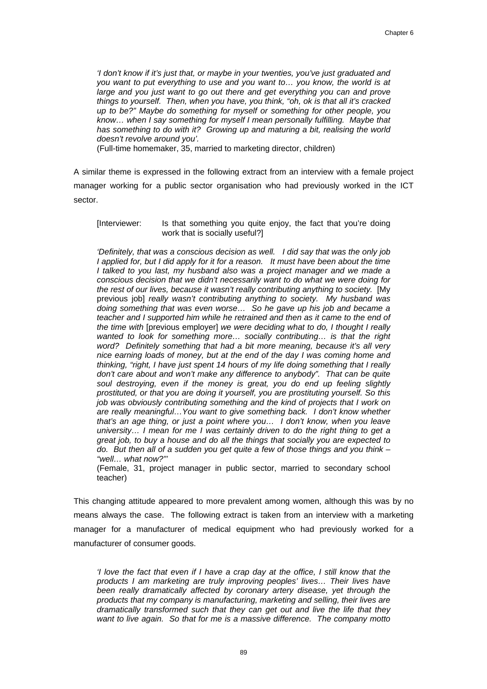*'I don't know if it's just that, or maybe in your twenties, you've just graduated and you want to put everything to use and you want to… you know, the world is at large and you just want to go out there and get everything you can and prove things to yourself. Then, when you have, you think, "oh, ok is that all it's cracked up to be?" Maybe do something for myself or something for other people, you know… when I say something for myself I mean personally fulfilling. Maybe that has something to do with it? Growing up and maturing a bit, realising the world doesn't revolve around you'.* 

(Full-time homemaker, 35, married to marketing director, children)

A similar theme is expressed in the following extract from an interview with a female project manager working for a public sector organisation who had previously worked in the ICT sector.

### [Interviewer: Is that something you quite enjoy, the fact that you're doing work that is socially useful?]

*'Definitely, that was a conscious decision as well. I did say that was the only job I applied for, but I did apply for it for a reason. It must have been about the time I talked to you last, my husband also was a project manager and we made a conscious decision that we didn't necessarily want to do what we were doing for the rest of our lives, because it wasn't really contributing anything to society.* [My previous job] *really wasn't contributing anything to society. My husband was doing something that was even worse… So he gave up his job and became a teacher and I supported him while he retrained and then as it came to the end of the time with* [previous employer] *we were deciding what to do, I thought I really*  wanted to look for something more... socially contributing... is that the right *word? Definitely something that had a bit more meaning, because it's all very nice earning loads of money, but at the end of the day I was coming home and thinking, "right, I have just spent 14 hours of my life doing something that I really don't care about and won't make any difference to anybody". That can be quite soul destroying, even if the money is great, you do end up feeling slightly prostituted, or that you are doing it yourself, you are prostituting yourself. So this job was obviously contributing something and the kind of projects that I work on are really meaningful…You want to give something back. I don't know whether that's an age thing, or just a point where you… I don't know, when you leave university… I mean for me I was certainly driven to do the right thing to get a great job, to buy a house and do all the things that socially you are expected to do. But then all of a sudden you get quite a few of those things and you think – "well… what now?"'* 

(Female, 31, project manager in public sector, married to secondary school teacher)

This changing attitude appeared to more prevalent among women, although this was by no means always the case. The following extract is taken from an interview with a marketing manager for a manufacturer of medical equipment who had previously worked for a manufacturer of consumer goods.

*'I love the fact that even if I have a crap day at the office, I still know that the products I am marketing are truly improving peoples' lives… Their lives have*  been really dramatically affected by coronary artery disease, yet through the *products that my company is manufacturing, marketing and selling, their lives are dramatically transformed such that they can get out and live the life that they want to live again. So that for me is a massive difference. The company motto*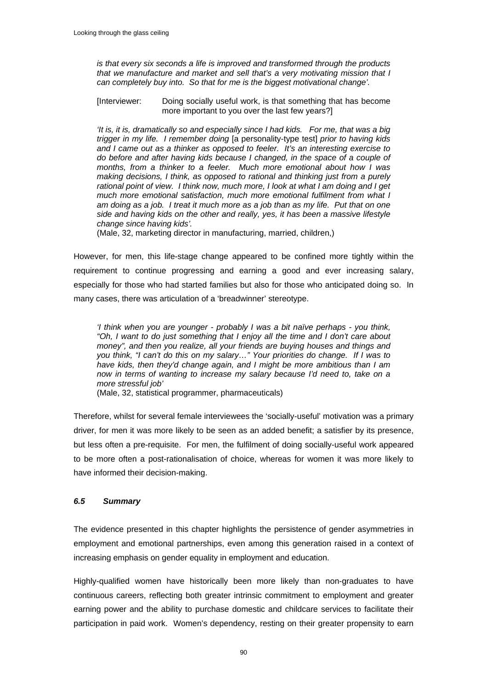*is that every six seconds a life is improved and transformed through the products that we manufacture and market and sell that's a very motivating mission that I can completely buy into. So that for me is the biggest motivational change'.* 

[Interviewer: Doing socially useful work, is that something that has become more important to you over the last few years?]

*'It is, it is, dramatically so and especially since I had kids. For me, that was a big trigger in my life. I remember doing* [a personality-type test] *prior to having kids and I came out as a thinker as opposed to feeler. It's an interesting exercise to do before and after having kids because I changed, in the space of a couple of months, from a thinker to a feeler. Much more emotional about how I was making decisions, I think, as opposed to rational and thinking just from a purely rational point of view. I think now, much more, I look at what I am doing and I get much more emotional satisfaction, much more emotional fulfilment from what I am doing as a job. I treat it much more as a job than as my life. Put that on one side and having kids on the other and really, yes, it has been a massive lifestyle change since having kids'.* 

(Male, 32, marketing director in manufacturing, married, children,)

However, for men, this life-stage change appeared to be confined more tightly within the requirement to continue progressing and earning a good and ever increasing salary, especially for those who had started families but also for those who anticipated doing so. In many cases, there was articulation of a 'breadwinner' stereotype.

*'I think when you are younger - probably I was a bit naïve perhaps - you think, "Oh, I want to do just something that I enjoy all the time and I don't care about money", and then you realize, all your friends are buying houses and things and you think, "I can't do this on my salary…" Your priorities do change. If I was to have kids, then they'd change again, and I might be more ambitious than I am now in terms of wanting to increase my salary because I'd need to, take on a more stressful job'* 

(Male, 32, statistical programmer, pharmaceuticals)

Therefore, whilst for several female interviewees the 'socially-useful' motivation was a primary driver, for men it was more likely to be seen as an added benefit; a satisfier by its presence, but less often a pre-requisite. For men, the fulfilment of doing socially-useful work appeared to be more often a post-rationalisation of choice, whereas for women it was more likely to have informed their decision-making.

# *6.5 Summary*

The evidence presented in this chapter highlights the persistence of gender asymmetries in employment and emotional partnerships, even among this generation raised in a context of increasing emphasis on gender equality in employment and education.

Highly-qualified women have historically been more likely than non-graduates to have continuous careers, reflecting both greater intrinsic commitment to employment and greater earning power and the ability to purchase domestic and childcare services to facilitate their participation in paid work. Women's dependency, resting on their greater propensity to earn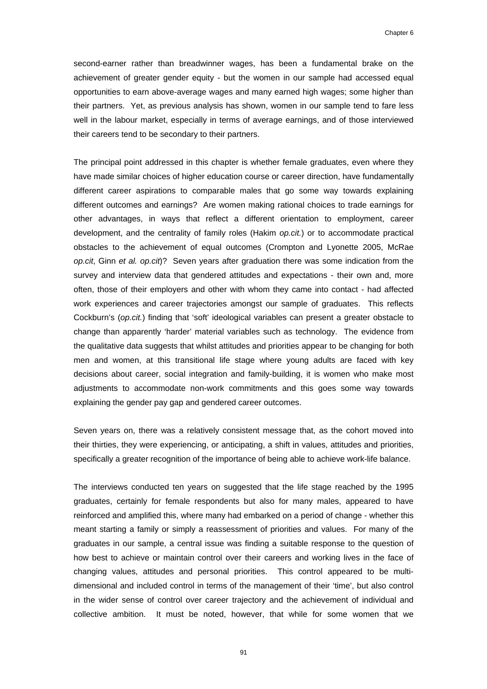second-earner rather than breadwinner wages, has been a fundamental brake on the achievement of greater gender equity - but the women in our sample had accessed equal opportunities to earn above-average wages and many earned high wages; some higher than their partners. Yet, as previous analysis has shown, women in our sample tend to fare less well in the labour market, especially in terms of average earnings, and of those interviewed their careers tend to be secondary to their partners.

The principal point addressed in this chapter is whether female graduates, even where they have made similar choices of higher education course or career direction, have fundamentally different career aspirations to comparable males that go some way towards explaining different outcomes and earnings? Are women making rational choices to trade earnings for other advantages, in ways that reflect a different orientation to employment, career development, and the centrality of family roles (Hakim *op.cit.*) or to accommodate practical obstacles to the achievement of equal outcomes (Crompton and Lyonette 2005, McRae *op.cit*, Ginn *et al. op.cit*)? Seven years after graduation there was some indication from the survey and interview data that gendered attitudes and expectations - their own and, more often, those of their employers and other with whom they came into contact - had affected work experiences and career trajectories amongst our sample of graduates. This reflects Cockburn's (*op.cit.*) finding that 'soft' ideological variables can present a greater obstacle to change than apparently 'harder' material variables such as technology. The evidence from the qualitative data suggests that whilst attitudes and priorities appear to be changing for both men and women, at this transitional life stage where young adults are faced with key decisions about career, social integration and family-building, it is women who make most adjustments to accommodate non-work commitments and this goes some way towards explaining the gender pay gap and gendered career outcomes.

Seven years on, there was a relatively consistent message that, as the cohort moved into their thirties, they were experiencing, or anticipating, a shift in values, attitudes and priorities, specifically a greater recognition of the importance of being able to achieve work-life balance.

The interviews conducted ten years on suggested that the life stage reached by the 1995 graduates, certainly for female respondents but also for many males, appeared to have reinforced and amplified this, where many had embarked on a period of change - whether this meant starting a family or simply a reassessment of priorities and values. For many of the graduates in our sample, a central issue was finding a suitable response to the question of how best to achieve or maintain control over their careers and working lives in the face of changing values, attitudes and personal priorities. This control appeared to be multidimensional and included control in terms of the management of their 'time', but also control in the wider sense of control over career trajectory and the achievement of individual and collective ambition. It must be noted, however, that while for some women that we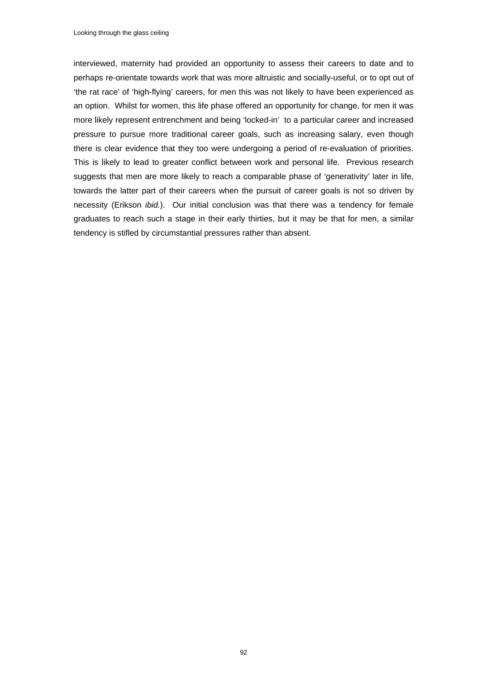Looking through the glass ceiling

interviewed, maternity had provided an opportunity to assess their careers to date and to perhaps re-orientate towards work that was more altruistic and socially-useful, or to opt out of 'the rat race' of 'high-flying' careers, for men this was not likely to have been experienced as an option. Whilst for women, this life phase offered an opportunity for change, for men it was more likely represent entrenchment and being 'locked-in' to a particular career and increased pressure to pursue more traditional career goals, such as increasing salary, even though there is clear evidence that they too were undergoing a period of re-evaluation of priorities. This is likely to lead to greater conflict between work and personal life. Previous research suggests that men are more likely to reach a comparable phase of 'generativity' later in life. towards the latter part of their careers when the pursuit of career goals is not so driven by necessity (Erikson *ibid.*). Our initial conclusion was that there was a tendency for female graduates to reach such a stage in their early thirties, but it may be that for men, a similar tendency is stifled by circumstantial pressures rather than absent.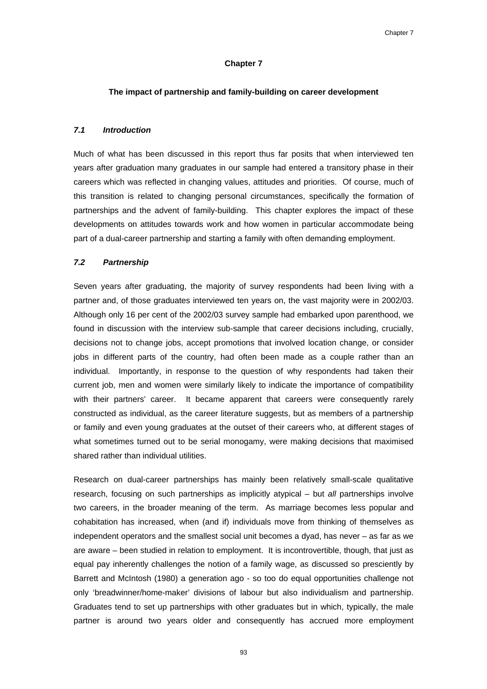## **Chapter 7**

## **The impact of partnership and family-building on career development**

## *7.1 Introduction*

Much of what has been discussed in this report thus far posits that when interviewed ten years after graduation many graduates in our sample had entered a transitory phase in their careers which was reflected in changing values, attitudes and priorities. Of course, much of this transition is related to changing personal circumstances, specifically the formation of partnerships and the advent of family-building. This chapter explores the impact of these developments on attitudes towards work and how women in particular accommodate being part of a dual-career partnership and starting a family with often demanding employment.

## *7.2 Partnership*

Seven years after graduating, the majority of survey respondents had been living with a partner and, of those graduates interviewed ten years on, the vast majority were in 2002/03. Although only 16 per cent of the 2002/03 survey sample had embarked upon parenthood, we found in discussion with the interview sub-sample that career decisions including, crucially, decisions not to change jobs, accept promotions that involved location change, or consider jobs in different parts of the country, had often been made as a couple rather than an individual. Importantly, in response to the question of why respondents had taken their current job, men and women were similarly likely to indicate the importance of compatibility with their partners' career. It became apparent that careers were consequently rarely constructed as individual, as the career literature suggests, but as members of a partnership or family and even young graduates at the outset of their careers who, at different stages of what sometimes turned out to be serial monogamy, were making decisions that maximised shared rather than individual utilities.

Research on dual-career partnerships has mainly been relatively small-scale qualitative research, focusing on such partnerships as implicitly atypical – but *all* partnerships involve two careers, in the broader meaning of the term. As marriage becomes less popular and cohabitation has increased, when (and if) individuals move from thinking of themselves as independent operators and the smallest social unit becomes a dyad, has never – as far as we are aware – been studied in relation to employment. It is incontrovertible, though, that just as equal pay inherently challenges the notion of a family wage, as discussed so presciently by Barrett and McIntosh (1980) a generation ago - so too do equal opportunities challenge not only 'breadwinner/home-maker' divisions of labour but also individualism and partnership. Graduates tend to set up partnerships with other graduates but in which, typically, the male partner is around two years older and consequently has accrued more employment

93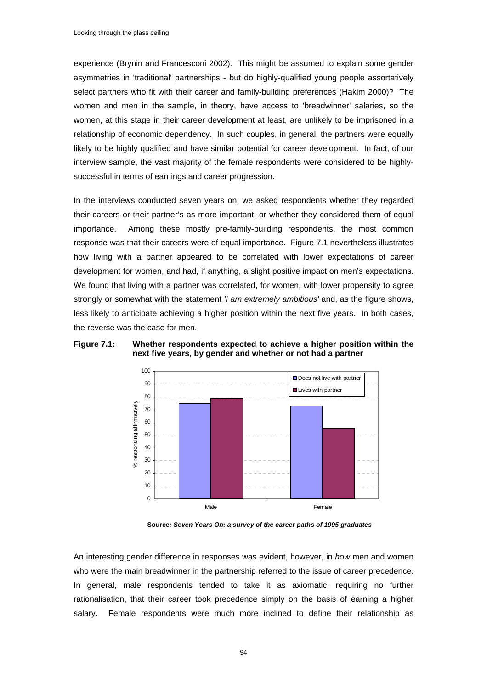experience (Brynin and Francesconi 2002). This might be assumed to explain some gender asymmetries in 'traditional' partnerships - but do highly-qualified young people assortatively select partners who fit with their career and family-building preferences (Hakim 2000)? The women and men in the sample, in theory, have access to 'breadwinner' salaries, so the women, at this stage in their career development at least, are unlikely to be imprisoned in a relationship of economic dependency. In such couples, in general, the partners were equally likely to be highly qualified and have similar potential for career development. In fact, of our interview sample, the vast majority of the female respondents were considered to be highlysuccessful in terms of earnings and career progression.

In the interviews conducted seven years on, we asked respondents whether they regarded their careers or their partner's as more important, or whether they considered them of equal importance. Among these mostly pre-family-building respondents, the most common response was that their careers were of equal importance. Figure 7.1 nevertheless illustrates how living with a partner appeared to be correlated with lower expectations of career development for women, and had, if anything, a slight positive impact on men's expectations. We found that living with a partner was correlated, for women, with lower propensity to agree strongly or somewhat with the statement *'I am extremely ambitious'* and, as the figure shows, less likely to anticipate achieving a higher position within the next five years. In both cases, the reverse was the case for men.





 **Source***: Seven Years On: a survey of the career paths of 1995 graduates* 

An interesting gender difference in responses was evident, however, in *how* men and women who were the main breadwinner in the partnership referred to the issue of career precedence. In general, male respondents tended to take it as axiomatic, requiring no further rationalisation, that their career took precedence simply on the basis of earning a higher salary. Female respondents were much more inclined to define their relationship as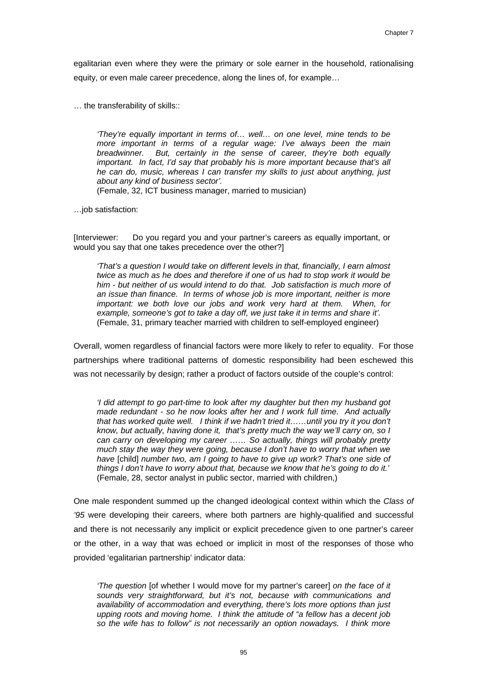egalitarian even where they were the primary or sole earner in the household, rationalising equity, or even male career precedence, along the lines of, for example…

… the transferability of skills::

*'They're equally important in terms of… well… on one level, mine tends to be more important in terms of a regular wage: I've always been the main breadwinner. But, certainly in the sense of career, they're both equally important. In fact, I'd say that probably his is more important because that's all he can do, music, whereas I can transfer my skills to just about anything, just about any kind of business sector'.* 

(Female, 32, ICT business manager, married to musician)

…job satisfaction:

[Interviewer: Do you regard you and your partner's careers as equally important, or would you say that one takes precedence over the other?]

*'That's a question I would take on different levels in that, financially, I earn almost twice as much as he does and therefore if one of us had to stop work it would be him - but neither of us would intend to do that. Job satisfaction is much more of an issue than finance. In terms of whose job is more important, neither is more important: we both love our jobs and work very hard at them. When, for example, someone's got to take a day off, we just take it in terms and share it'.*  (Female, 31, primary teacher married with children to self-employed engineer)

Overall, women regardless of financial factors were more likely to refer to equality. For those partnerships where traditional patterns of domestic responsibility had been eschewed this was not necessarily by design; rather a product of factors outside of the couple's control:

*'I did attempt to go part-time to look after my daughter but then my husband got made redundant - so he now looks after her and I work full time. And actually that has worked quite well. I think if we hadn't tried it……until you try it you don't know, but actually, having done it, that's pretty much the way we'll carry on, so I can carry on developing my career …… So actually, things will probably pretty much stay the way they were going, because I don't have to worry that when we have* [child] *number two, am I going to have to give up work? That's one side of things I don't have to worry about that, because we know that he's going to do it.'*  (Female, 28, sector analyst in public sector, married with children,)

One male respondent summed up the changed ideological context within which the *Class of '95* were developing their careers, where both partners are highly-qualified and successful and there is not necessarily any implicit or explicit precedence given to one partner's career or the other, in a way that was echoed or implicit in most of the responses of those who provided 'egalitarian partnership' indicator data:

*'The question* [of whether I would move for my partner's career] *on the face of it sounds very straightforward, but it's not, because with communications and availability of accommodation and everything, there's lots more options than just upping roots and moving home. I think the attitude of "a fellow has a decent job so the wife has to follow" is not necessarily an option nowadays. I think more*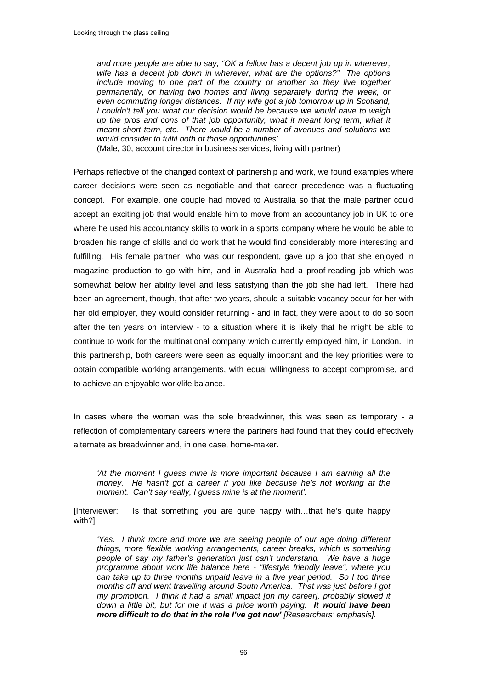*and more people are able to say, "OK a fellow has a decent job up in wherever, wife has a decent job down in wherever, what are the options?" The options include moving to one part of the country or another so they live together permanently, or having two homes and living separately during the week, or even commuting longer distances. If my wife got a job tomorrow up in Scotland, I couldn't tell you what our decision would be because we would have to weigh up the pros and cons of that job opportunity, what it meant long term, what it meant short term, etc. There would be a number of avenues and solutions we would consider to fulfil both of those opportunities'.* 

(Male, 30, account director in business services, living with partner)

Perhaps reflective of the changed context of partnership and work, we found examples where career decisions were seen as negotiable and that career precedence was a fluctuating concept. For example, one couple had moved to Australia so that the male partner could accept an exciting job that would enable him to move from an accountancy job in UK to one where he used his accountancy skills to work in a sports company where he would be able to broaden his range of skills and do work that he would find considerably more interesting and fulfilling. His female partner, who was our respondent, gave up a job that she enjoyed in magazine production to go with him, and in Australia had a proof-reading job which was somewhat below her ability level and less satisfying than the job she had left. There had been an agreement, though, that after two years, should a suitable vacancy occur for her with her old employer, they would consider returning - and in fact, they were about to do so soon after the ten years on interview - to a situation where it is likely that he might be able to continue to work for the multinational company which currently employed him, in London. In this partnership, both careers were seen as equally important and the key priorities were to obtain compatible working arrangements, with equal willingness to accept compromise, and to achieve an enjoyable work/life balance.

In cases where the woman was the sole breadwinner, this was seen as temporary - a reflection of complementary careers where the partners had found that they could effectively alternate as breadwinner and, in one case, home-maker.

*'At the moment I guess mine is more important because I am earning all the money. He hasn't got a career if you like because he's not working at the moment. Can't say really, I guess mine is at the moment'.* 

[Interviewer: Is that something you are quite happy with…that he's quite happy with?]

*'Yes. I think more and more we are seeing people of our age doing different things, more flexible working arrangements, career breaks, which is something people of say my father's generation just can't understand. We have a huge programme about work life balance here - "lifestyle friendly leave", where you can take up to three months unpaid leave in a five year period. So I too three months off and went travelling around South America. That was just before I got my promotion. I think it had a small impact [on my career], probably slowed it down a little bit, but for me it was a price worth paying. It would have been more difficult to do that in the role I've got now' [Researchers' emphasis].*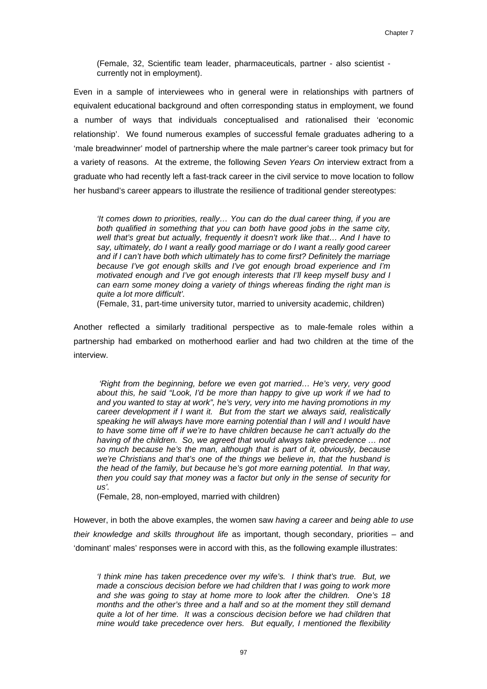(Female, 32, Scientific team leader, pharmaceuticals, partner - also scientist currently not in employment).

Even in a sample of interviewees who in general were in relationships with partners of equivalent educational background and often corresponding status in employment, we found a number of ways that individuals conceptualised and rationalised their 'economic relationship'. We found numerous examples of successful female graduates adhering to a 'male breadwinner' model of partnership where the male partner's career took primacy but for a variety of reasons. At the extreme, the following *Seven Years On* interview extract from a graduate who had recently left a fast-track career in the civil service to move location to follow her husband's career appears to illustrate the resilience of traditional gender stereotypes:

*'It comes down to priorities, really… You can do the dual career thing, if you are both qualified in something that you can both have good jobs in the same city, well that's great but actually, frequently it doesn't work like that… And I have to say, ultimately, do I want a really good marriage or do I want a really good career and if I can't have both which ultimately has to come first? Definitely the marriage because I've got enough skills and I've got enough broad experience and I'm motivated enough and I've got enough interests that I'll keep myself busy and I can earn some money doing a variety of things whereas finding the right man is quite a lot more difficult'.* 

(Female, 31, part-time university tutor, married to university academic, children)

Another reflected a similarly traditional perspective as to male-female roles within a partnership had embarked on motherhood earlier and had two children at the time of the interview.

 *'Right from the beginning, before we even got married… He's very, very good about this, he said "Look, I'd be more than happy to give up work if we had to and you wanted to stay at work", he's very, very into me having promotions in my career development if I want it. But from the start we always said, realistically speaking he will always have more earning potential than I will and I would have to have some time off if we're to have children because he can't actually do the having of the children. So, we agreed that would always take precedence … not so much because he's the man, although that is part of it, obviously, because we're Christians and that's one of the things we believe in, that the husband is the head of the family, but because he's got more earning potential. In that way, then you could say that money was a factor but only in the sense of security for us'.* 

(Female, 28, non-employed, married with children)

However, in both the above examples, the women saw *having a career* and *being able to use their knowledge and skills throughout life* as important, though secondary, priorities – and 'dominant' males' responses were in accord with this, as the following example illustrates:

*'I think mine has taken precedence over my wife's. I think that's true. But, we made a conscious decision before we had children that I was going to work more and she was going to stay at home more to look after the children. One's 18 months and the other's three and a half and so at the moment they still demand quite a lot of her time. It was a conscious decision before we had children that mine would take precedence over hers. But equally, I mentioned the flexibility*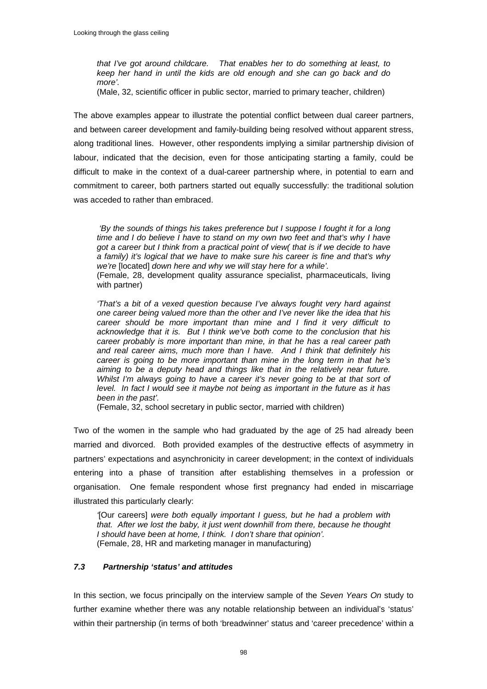*that I've got around childcare. That enables her to do something at least, to keep her hand in until the kids are old enough and she can go back and do more'.* 

(Male, 32, scientific officer in public sector, married to primary teacher, children)

The above examples appear to illustrate the potential conflict between dual career partners, and between career development and family-building being resolved without apparent stress, along traditional lines. However, other respondents implying a similar partnership division of labour, indicated that the decision, even for those anticipating starting a family, could be difficult to make in the context of a dual-career partnership where, in potential to earn and commitment to career, both partners started out equally successfully: the traditional solution was acceded to rather than embraced.

 *'By the sounds of things his takes preference but I suppose I fought it for a long time and I do believe I have to stand on my own two feet and that's why I have got a career but I think from a practical point of view( that is if we decide to have a family) it's logical that we have to make sure his career is fine and that's why we're* [located] *down here and why we will stay here for a while'.*  (Female, 28, development quality assurance specialist, pharmaceuticals, living with partner)

*'That's a bit of a vexed question because I've always fought very hard against one career being valued more than the other and I've never like the idea that his career should be more important than mine and I find it very difficult to acknowledge that it is. But I think we've both come to the conclusion that his career probably is more important than mine, in that he has a real career path and real career aims, much more than I have. And I think that definitely his career is going to be more important than mine in the long term in that he's aiming to be a deputy head and things like that in the relatively near future. Whilst I'm always going to have a career it's never going to be at that sort of level. In fact I would see it maybe not being as important in the future as it has been in the past'.* 

(Female, 32, school secretary in public sector, married with children)

Two of the women in the sample who had graduated by the age of 25 had already been married and divorced. Both provided examples of the destructive effects of asymmetry in partners' expectations and asynchronicity in career development; in the context of individuals entering into a phase of transition after establishing themselves in a profession or organisation. One female respondent whose first pregnancy had ended in miscarriage illustrated this particularly clearly:

*'*[Our careers] *were both equally important I guess, but he had a problem with that. After we lost the baby, it just went downhill from there, because he thought I should have been at home, I think. I don't share that opinion'.*  (Female, 28, HR and marketing manager in manufacturing)

### *7.3 Partnership 'status' and attitudes*

In this section, we focus principally on the interview sample of the *Seven Years On* study to further examine whether there was any notable relationship between an individual's 'status' within their partnership (in terms of both 'breadwinner' status and 'career precedence' within a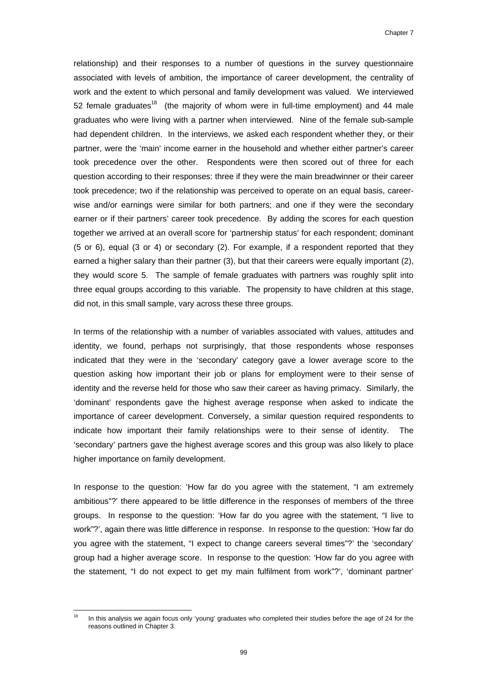relationship) and their responses to a number of questions in the survey questionnaire associated with levels of ambition, the importance of career development, the centrality of work and the extent to which personal and family development was valued. We interviewed 52 female graduates<sup>18</sup> (the majority of whom were in full-time employment) and 44 male graduates who were living with a partner when interviewed. Nine of the female sub-sample had dependent children. In the interviews, we asked each respondent whether they, or their partner, were the 'main' income earner in the household and whether either partner's career took precedence over the other. Respondents were then scored out of three for each question according to their responses: three if they were the main breadwinner or their career took precedence; two if the relationship was perceived to operate on an equal basis, careerwise and/or earnings were similar for both partners; and one if they were the secondary earner or if their partners' career took precedence. By adding the scores for each question together we arrived at an overall score for 'partnership status' for each respondent; dominant (5 or 6), equal (3 or 4) or secondary (2). For example, if a respondent reported that they earned a higher salary than their partner (3), but that their careers were equally important (2), they would score 5. The sample of female graduates with partners was roughly split into three equal groups according to this variable. The propensity to have children at this stage, did not, in this small sample, vary across these three groups.

In terms of the relationship with a number of variables associated with values, attitudes and identity, we found, perhaps not surprisingly, that those respondents whose responses indicated that they were in the 'secondary' category gave a lower average score to the question asking how important their job or plans for employment were to their sense of identity and the reverse held for those who saw their career as having primacy. Similarly, the 'dominant' respondents gave the highest average response when asked to indicate the importance of career development. Conversely, a similar question required respondents to indicate how important their family relationships were to their sense of identity. The 'secondary' partners gave the highest average scores and this group was also likely to place higher importance on family development.

In response to the question: 'How far do you agree with the statement, "I am extremely ambitious"?' there appeared to be little difference in the responses of members of the three groups. In response to the question: 'How far do you agree with the statement, "I live to work"?', again there was little difference in response. In response to the question: 'How far do you agree with the statement, "I expect to change careers several times"?' the 'secondary' group had a higher average score. In response to the question: 'How far do you agree with the statement, "I do not expect to get my main fulfilment from work"?', 'dominant partner'

 $18$ In this analysis we again focus only 'young' graduates who completed their studies before the age of 24 for the reasons outlined in Chapter 3.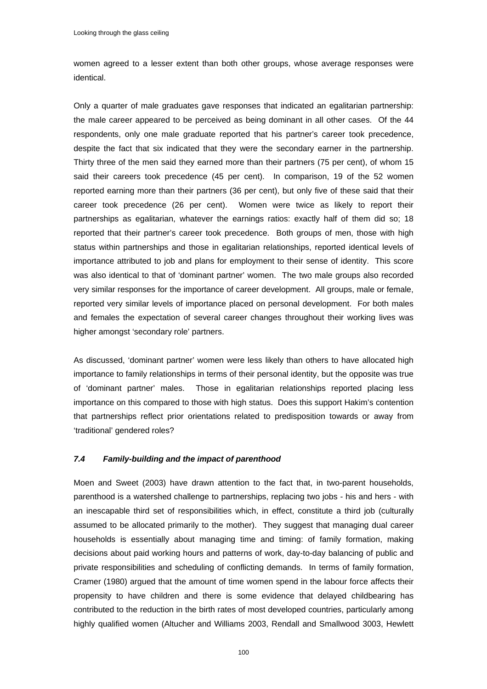women agreed to a lesser extent than both other groups, whose average responses were identical.

Only a quarter of male graduates gave responses that indicated an egalitarian partnership: the male career appeared to be perceived as being dominant in all other cases. Of the 44 respondents, only one male graduate reported that his partner's career took precedence, despite the fact that six indicated that they were the secondary earner in the partnership. Thirty three of the men said they earned more than their partners (75 per cent), of whom 15 said their careers took precedence (45 per cent). In comparison, 19 of the 52 women reported earning more than their partners (36 per cent), but only five of these said that their career took precedence (26 per cent). Women were twice as likely to report their partnerships as egalitarian, whatever the earnings ratios: exactly half of them did so; 18 reported that their partner's career took precedence. Both groups of men, those with high status within partnerships and those in egalitarian relationships, reported identical levels of importance attributed to job and plans for employment to their sense of identity. This score was also identical to that of 'dominant partner' women. The two male groups also recorded very similar responses for the importance of career development. All groups, male or female, reported very similar levels of importance placed on personal development. For both males and females the expectation of several career changes throughout their working lives was higher amongst 'secondary role' partners.

As discussed, 'dominant partner' women were less likely than others to have allocated high importance to family relationships in terms of their personal identity, but the opposite was true of 'dominant partner' males. Those in egalitarian relationships reported placing less importance on this compared to those with high status. Does this support Hakim's contention that partnerships reflect prior orientations related to predisposition towards or away from 'traditional' gendered roles?

## *7.4 Family-building and the impact of parenthood*

Moen and Sweet (2003) have drawn attention to the fact that, in two-parent households, parenthood is a watershed challenge to partnerships, replacing two jobs - his and hers - with an inescapable third set of responsibilities which, in effect, constitute a third job (culturally assumed to be allocated primarily to the mother). They suggest that managing dual career households is essentially about managing time and timing: of family formation, making decisions about paid working hours and patterns of work, day-to-day balancing of public and private responsibilities and scheduling of conflicting demands. In terms of family formation, Cramer (1980) argued that the amount of time women spend in the labour force affects their propensity to have children and there is some evidence that delayed childbearing has contributed to the reduction in the birth rates of most developed countries, particularly among highly qualified women (Altucher and Williams 2003, Rendall and Smallwood 3003, Hewlett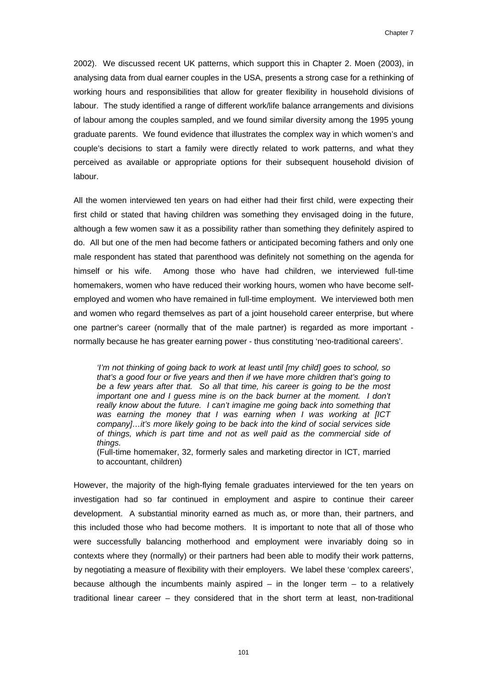2002). We discussed recent UK patterns, which support this in Chapter 2. Moen (2003), in analysing data from dual earner couples in the USA, presents a strong case for a rethinking of working hours and responsibilities that allow for greater flexibility in household divisions of labour. The study identified a range of different work/life balance arrangements and divisions of labour among the couples sampled, and we found similar diversity among the 1995 young graduate parents. We found evidence that illustrates the complex way in which women's and couple's decisions to start a family were directly related to work patterns, and what they perceived as available or appropriate options for their subsequent household division of labour.

All the women interviewed ten years on had either had their first child, were expecting their first child or stated that having children was something they envisaged doing in the future, although a few women saw it as a possibility rather than something they definitely aspired to do. All but one of the men had become fathers or anticipated becoming fathers and only one male respondent has stated that parenthood was definitely not something on the agenda for himself or his wife. Among those who have had children, we interviewed full-time homemakers, women who have reduced their working hours, women who have become selfemployed and women who have remained in full-time employment. We interviewed both men and women who regard themselves as part of a joint household career enterprise, but where one partner's career (normally that of the male partner) is regarded as more important normally because he has greater earning power - thus constituting 'neo-traditional careers'.

*'I'm not thinking of going back to work at least until [my child] goes to school, so that's a good four or five years and then if we have more children that's going to be a few years after that. So all that time, his career is going to be the most important one and I guess mine is on the back burner at the moment. I don't really know about the future. I can't imagine me going back into something that was earning the money that I was earning when I was working at [ICT company]…it's more likely going to be back into the kind of social services side of things, which is part time and not as well paid as the commercial side of things.* 

(Full-time homemaker, 32, formerly sales and marketing director in ICT, married to accountant, children)

However, the majority of the high-flying female graduates interviewed for the ten years on investigation had so far continued in employment and aspire to continue their career development. A substantial minority earned as much as, or more than, their partners, and this included those who had become mothers. It is important to note that all of those who were successfully balancing motherhood and employment were invariably doing so in contexts where they (normally) or their partners had been able to modify their work patterns, by negotiating a measure of flexibility with their employers. We label these 'complex careers', because although the incumbents mainly aspired  $-$  in the longer term  $-$  to a relatively traditional linear career – they considered that in the short term at least, non-traditional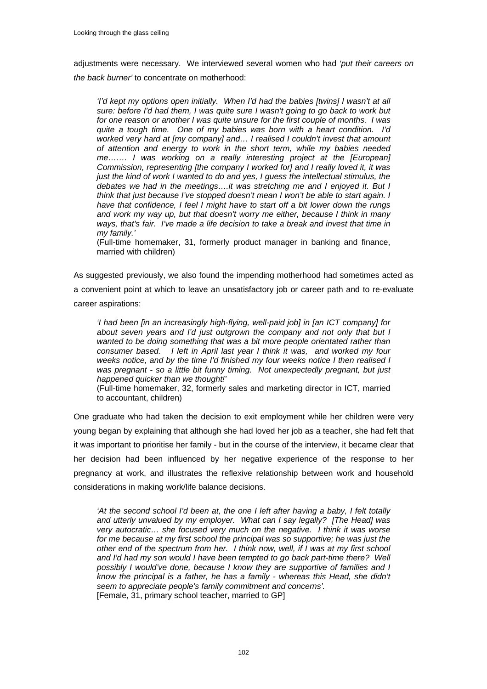adjustments were necessary. We interviewed several women who had *'put their careers on the back burner'* to concentrate on motherhood:

*'I'd kept my options open initially. When I'd had the babies [twins] I wasn't at all sure: before I'd had them, I was quite sure I wasn't going to go back to work but for one reason or another I was quite unsure for the first couple of months. I was quite a tough time. One of my babies was born with a heart condition. I'd worked very hard at [my company] and… I realised I couldn't invest that amount of attention and energy to work in the short term, while my babies needed me……. I was working on a really interesting project at the [European] Commission, representing [the company I worked for] and I really loved it, it was just the kind of work I wanted to do and yes, I guess the intellectual stimulus, the debates we had in the meetings….it was stretching me and I enjoyed it. But I think that just because I've stopped doesn't mean I won't be able to start again. I have that confidence, I feel I might have to start off a bit lower down the rungs and work my way up, but that doesn't worry me either, because I think in many ways, that's fair. I've made a life decision to take a break and invest that time in my family.'* 

(Full-time homemaker, 31, formerly product manager in banking and finance, married with children)

As suggested previously, we also found the impending motherhood had sometimes acted as a convenient point at which to leave an unsatisfactory job or career path and to re-evaluate career aspirations:

*'I had been [in an increasingly high-flying, well-paid job] in [an ICT company] for about seven years and I'd just outgrown the company and not only that but I*  wanted to be doing something that was a bit more people orientated rather than *consumer based. I left in April last year I think it was, and worked my four weeks notice, and by the time I'd finished my four weeks notice I then realised I*  was pregnant - so a little bit funny timing. Not unexpectedly pregnant, but just *happened quicker than we thought!'* 

(Full-time homemaker, 32, formerly sales and marketing director in ICT, married to accountant, children)

One graduate who had taken the decision to exit employment while her children were very young began by explaining that although she had loved her job as a teacher, she had felt that it was important to prioritise her family - but in the course of the interview, it became clear that her decision had been influenced by her negative experience of the response to her pregnancy at work, and illustrates the reflexive relationship between work and household considerations in making work/life balance decisions.

*'At the second school I'd been at, the one I left after having a baby, I felt totally and utterly unvalued by my employer. What can I say legally? [The Head] was very autocratic… she focused very much on the negative. I think it was worse for me because at my first school the principal was so supportive; he was just the other end of the spectrum from her. I think now, well, if I was at my first school and I'd had my son would I have been tempted to go back part-time there? Well possibly I would've done, because I know they are supportive of families and I know the principal is a father, he has a family - whereas this Head, she didn't seem to appreciate people's family commitment and concerns'.*  [Female, 31, primary school teacher, married to GP]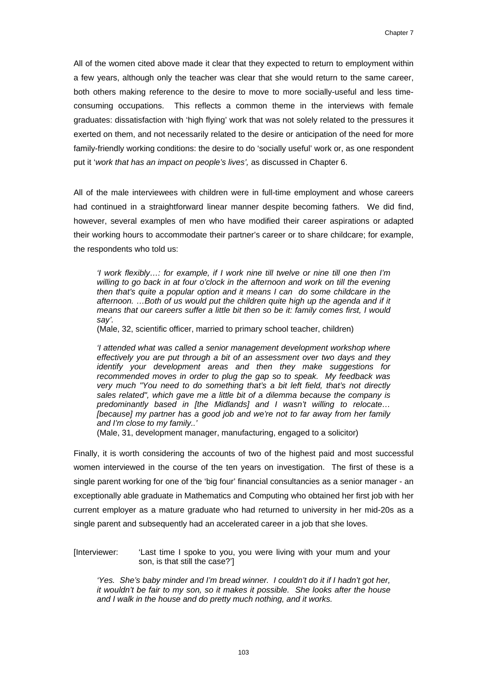All of the women cited above made it clear that they expected to return to employment within a few years, although only the teacher was clear that she would return to the same career, both others making reference to the desire to move to more socially-useful and less timeconsuming occupations. This reflects a common theme in the interviews with female graduates: dissatisfaction with 'high flying' work that was not solely related to the pressures it exerted on them, and not necessarily related to the desire or anticipation of the need for more family-friendly working conditions: the desire to do 'socially useful' work or, as one respondent put it '*work that has an impact on people's lives',* as discussed in Chapter 6.

All of the male interviewees with children were in full-time employment and whose careers had continued in a straightforward linear manner despite becoming fathers. We did find, however, several examples of men who have modified their career aspirations or adapted their working hours to accommodate their partner's career or to share childcare; for example, the respondents who told us:

*'I work flexibly…: for example, if I work nine till twelve or nine till one then I'm willing to go back in at four o'clock in the afternoon and work on till the evening then that's quite a popular option and it means I can do some childcare in the afternoon. …Both of us would put the children quite high up the agenda and if it means that our careers suffer a little bit then so be it: family comes first, I would say'.* 

(Male, 32, scientific officer, married to primary school teacher, children)

*'I attended what was called a senior management development workshop where effectively you are put through a bit of an assessment over two days and they identify your development areas and then they make suggestions for recommended moves in order to plug the gap so to speak. My feedback was very much "You need to do something that's a bit left field, that's not directly sales related", which gave me a little bit of a dilemma because the company is predominantly based in [the Midlands] and I wasn't willing to relocate… [because] my partner has a good job and we're not to far away from her family and I'm close to my family..'* 

(Male, 31, development manager, manufacturing, engaged to a solicitor)

Finally, it is worth considering the accounts of two of the highest paid and most successful women interviewed in the course of the ten years on investigation. The first of these is a single parent working for one of the 'big four' financial consultancies as a senior manager - an exceptionally able graduate in Mathematics and Computing who obtained her first job with her current employer as a mature graduate who had returned to university in her mid-20s as a single parent and subsequently had an accelerated career in a job that she loves.

[Interviewer: 'Last time I spoke to you, you were living with your mum and your son, is that still the case?']

*'Yes. She's baby minder and I'm bread winner. I couldn't do it if I hadn't got her, it wouldn't be fair to my son, so it makes it possible. She looks after the house and I walk in the house and do pretty much nothing, and it works.*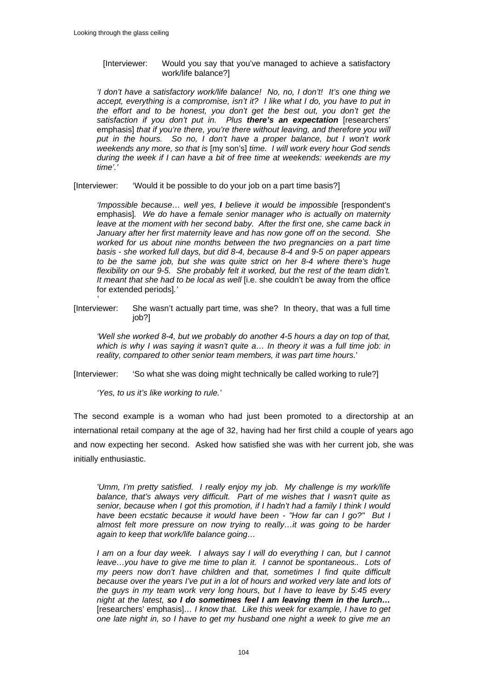*'* 

## [Interviewer: Would you say that you've managed to achieve a satisfactory work/life balance?]

*'I don't have a satisfactory work/life balance! No, no, I don't! It's one thing we accept, everything is a compromise, isn't it? I like what I do, you have to put in the effort and to be honest, you don't get the best out, you don't get the satisfaction if you don't put in. Plus there's an expectation* [researchers' emphasis] *that if you're there, you're there without leaving, and therefore you will put in the hours. So no, I don't have a proper balance, but I won't work weekends any more, so that is* [my son's] *time. I will work every hour God sends during the week if I can have a bit of free time at weekends: weekends are my time'.'* 

[Interviewer: 'Would it be possible to do your job on a part time basis?]

*'Impossible because… well yes, I believe it would be impossible* [respondent's emphasis]*. We do have a female senior manager who is actually on maternity leave at the moment with her second baby. After the first one, she came back in January after her first maternity leave and has now gone off on the second. She worked for us about nine months between the two pregnancies on a part time basis - she worked full days, but did 8-4, because 8-4 and 9-5 on paper appears to be the same job, but she was quite strict on her 8-4 where there's huge flexibility on our 9-5. She probably felt it worked, but the rest of the team didn't.*  It meant that she had to be local as well *[i.e.* she couldn't be away from the office for extended periods]*.'* 

[Interviewer: She wasn't actually part time, was she? In theory, that was a full time job?]

*'Well she worked 8-4, but we probably do another 4-5 hours a day on top of that, which is why I was saying it wasn't quite a… In theory it was a full time job: in reality, compared to other senior team members, it was part time hours.*'

[Interviewer: 'So what she was doing might technically be called working to rule?]

*'Yes, to us it's like working to rule.'* 

The second example is a woman who had just been promoted to a directorship at an international retail company at the age of 32, having had her first child a couple of years ago and now expecting her second. Asked how satisfied she was with her current job, she was initially enthusiastic.

'Umm, I'm pretty satisfied. I really enjoy my job. My challenge is my work/life *balance, that's always very difficult. Part of me wishes that I wasn't quite as senior, because when I got this promotion, if I hadn't had a family I think I would have been ecstatic because it would have been - "How far can I go?" But I almost felt more pressure on now trying to really…it was going to be harder again to keep that work/life balance going…* 

*I am on a four day week. I always say I will do everything I can, but I cannot leave…you have to give me time to plan it. I cannot be spontaneous.. Lots of my peers now don't have children and that, sometimes I find quite difficult because over the years I've put in a lot of hours and worked very late and lots of the guys in my team work very long hours, but I have to leave by 5:45 every night at the latest, so I do sometimes feel I am leaving them in the lurch…*  [researchers' emphasis]*… I know that. Like this week for example, I have to get one late night in, so I have to get my husband one night a week to give me an*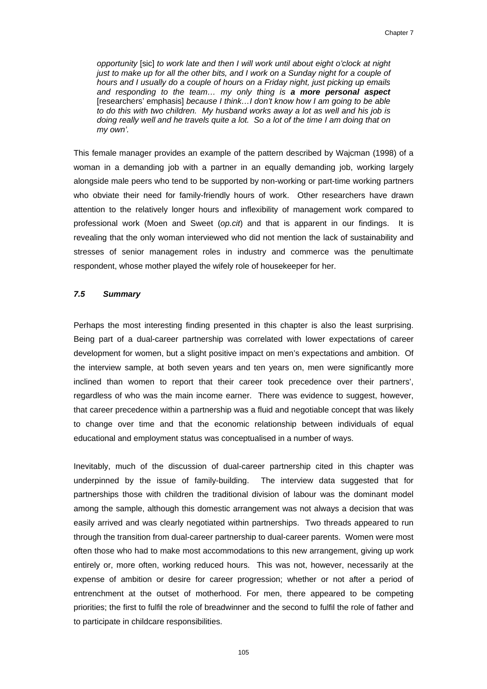*opportunity* [sic] *to work late and then I will work until about eight o'clock at night just to make up for all the other bits, and I work on a Sunday night for a couple of hours and I usually do a couple of hours on a Friday night, just picking up emails and responding to the team… my only thing is a more personal aspect*  [researchers' emphasis] *because I think…I don't know how I am going to be able to do this with two children. My husband works away a lot as well and his job is doing really well and he travels quite a lot. So a lot of the time I am doing that on my own'.* 

This female manager provides an example of the pattern described by Wajcman (1998) of a woman in a demanding job with a partner in an equally demanding job, working largely alongside male peers who tend to be supported by non-working or part-time working partners who obviate their need for family-friendly hours of work. Other researchers have drawn attention to the relatively longer hours and inflexibility of management work compared to professional work (Moen and Sweet (*op.cit*) and that is apparent in our findings. It is revealing that the only woman interviewed who did not mention the lack of sustainability and stresses of senior management roles in industry and commerce was the penultimate respondent, whose mother played the wifely role of housekeeper for her.

## *7.5 Summary*

Perhaps the most interesting finding presented in this chapter is also the least surprising. Being part of a dual-career partnership was correlated with lower expectations of career development for women, but a slight positive impact on men's expectations and ambition. Of the interview sample, at both seven years and ten years on, men were significantly more inclined than women to report that their career took precedence over their partners', regardless of who was the main income earner. There was evidence to suggest, however, that career precedence within a partnership was a fluid and negotiable concept that was likely to change over time and that the economic relationship between individuals of equal educational and employment status was conceptualised in a number of ways.

Inevitably, much of the discussion of dual-career partnership cited in this chapter was underpinned by the issue of family-building. The interview data suggested that for partnerships those with children the traditional division of labour was the dominant model among the sample, although this domestic arrangement was not always a decision that was easily arrived and was clearly negotiated within partnerships. Two threads appeared to run through the transition from dual-career partnership to dual-career parents. Women were most often those who had to make most accommodations to this new arrangement, giving up work entirely or, more often, working reduced hours. This was not, however, necessarily at the expense of ambition or desire for career progression; whether or not after a period of entrenchment at the outset of motherhood. For men, there appeared to be competing priorities; the first to fulfil the role of breadwinner and the second to fulfil the role of father and to participate in childcare responsibilities.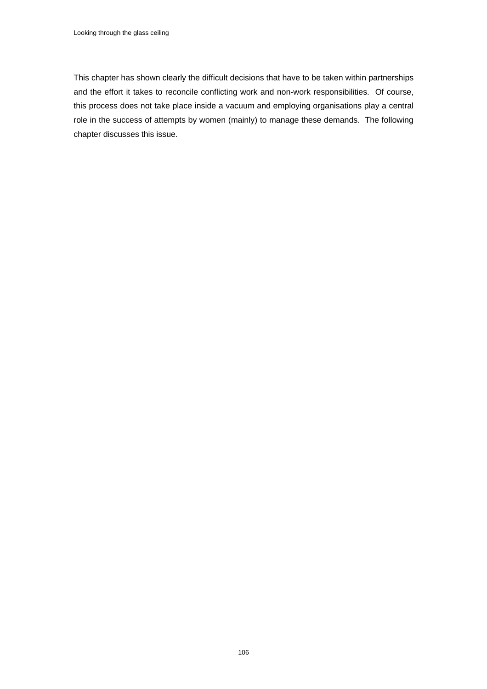This chapter has shown clearly the difficult decisions that have to be taken within partnerships and the effort it takes to reconcile conflicting work and non-work responsibilities. Of course, this process does not take place inside a vacuum and employing organisations play a central role in the success of attempts by women (mainly) to manage these demands. The following chapter discusses this issue.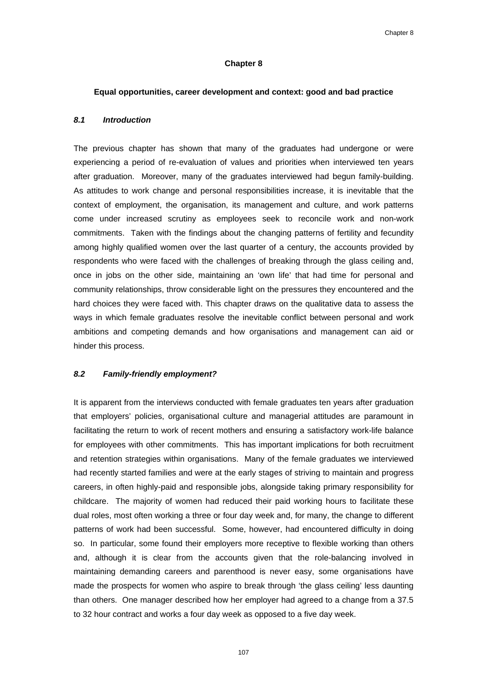### **Chapter 8**

#### **Equal opportunities, career development and context: good and bad practice**

### *8.1 Introduction*

The previous chapter has shown that many of the graduates had undergone or were experiencing a period of re-evaluation of values and priorities when interviewed ten years after graduation. Moreover, many of the graduates interviewed had begun family-building. As attitudes to work change and personal responsibilities increase, it is inevitable that the context of employment, the organisation, its management and culture, and work patterns come under increased scrutiny as employees seek to reconcile work and non-work commitments. Taken with the findings about the changing patterns of fertility and fecundity among highly qualified women over the last quarter of a century, the accounts provided by respondents who were faced with the challenges of breaking through the glass ceiling and, once in jobs on the other side, maintaining an 'own life' that had time for personal and community relationships, throw considerable light on the pressures they encountered and the hard choices they were faced with. This chapter draws on the qualitative data to assess the ways in which female graduates resolve the inevitable conflict between personal and work ambitions and competing demands and how organisations and management can aid or hinder this process.

# *8.2 Family-friendly employment?*

It is apparent from the interviews conducted with female graduates ten years after graduation that employers' policies, organisational culture and managerial attitudes are paramount in facilitating the return to work of recent mothers and ensuring a satisfactory work-life balance for employees with other commitments. This has important implications for both recruitment and retention strategies within organisations. Many of the female graduates we interviewed had recently started families and were at the early stages of striving to maintain and progress careers, in often highly-paid and responsible jobs, alongside taking primary responsibility for childcare. The majority of women had reduced their paid working hours to facilitate these dual roles, most often working a three or four day week and, for many, the change to different patterns of work had been successful. Some, however, had encountered difficulty in doing so. In particular, some found their employers more receptive to flexible working than others and, although it is clear from the accounts given that the role-balancing involved in maintaining demanding careers and parenthood is never easy, some organisations have made the prospects for women who aspire to break through 'the glass ceiling' less daunting than others. One manager described how her employer had agreed to a change from a 37.5 to 32 hour contract and works a four day week as opposed to a five day week.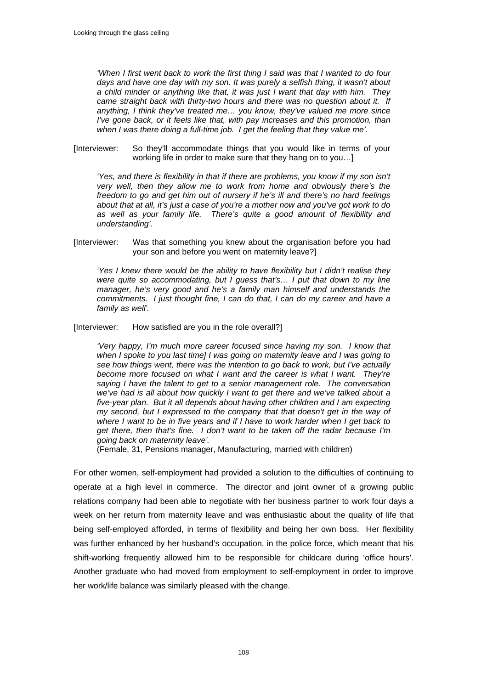*'When I first went back to work the first thing I said was that I wanted to do four days and have one day with my son. It was purely a selfish thing, it wasn't about a child minder or anything like that, it was just I want that day with him. They came straight back with thirty-two hours and there was no question about it. If anything, I think they've treated me… you know, they've valued me more since I've gone back, or it feels like that, with pay increases and this promotion, than when I was there doing a full-time job. I get the feeling that they value me'.* 

[Interviewer: So they'll accommodate things that you would like in terms of your working life in order to make sure that they hang on to you…]

*'Yes, and there is flexibility in that if there are problems, you know if my son isn't very well, then they allow me to work from home and obviously there's the freedom to go and get him out of nursery if he's ill and there's no hard feelings about that at all, it's just a case of you're a mother now and you've got work to do as well as your family life. There's quite a good amount of flexibility and understanding'.* 

[Interviewer: Was that something you knew about the organisation before you had your son and before you went on maternity leave?]

*'Yes I knew there would be the ability to have flexibility but I didn't realise they were quite so accommodating, but I guess that's… I put that down to my line manager, he's very good and he's a family man himself and understands the commitments. I just thought fine, I can do that, I can do my career and have a family as well'.* 

[Interviewer: How satisfied are you in the role overall?]

*'Very happy, I'm much more career focused since having my son. I know that when I spoke to you last time] I was going on maternity leave and I was going to see how things went, there was the intention to go back to work, but I've actually become more focused on what I want and the career is what I want. They're saying I have the talent to get to a senior management role. The conversation we've had is all about how quickly I want to get there and we've talked about a five-year plan. But it all depends about having other children and I am expecting my second, but I expressed to the company that that doesn't get in the way of where I want to be in five years and if I have to work harder when I get back to get there, then that's fine. I don't want to be taken off the radar because I'm going back on maternity leave'.* 

(Female, 31, Pensions manager, Manufacturing, married with children)

For other women, self-employment had provided a solution to the difficulties of continuing to operate at a high level in commerce. The director and joint owner of a growing public relations company had been able to negotiate with her business partner to work four days a week on her return from maternity leave and was enthusiastic about the quality of life that being self-employed afforded, in terms of flexibility and being her own boss. Her flexibility was further enhanced by her husband's occupation, in the police force, which meant that his shift-working frequently allowed him to be responsible for childcare during 'office hours'. Another graduate who had moved from employment to self-employment in order to improve her work/life balance was similarly pleased with the change.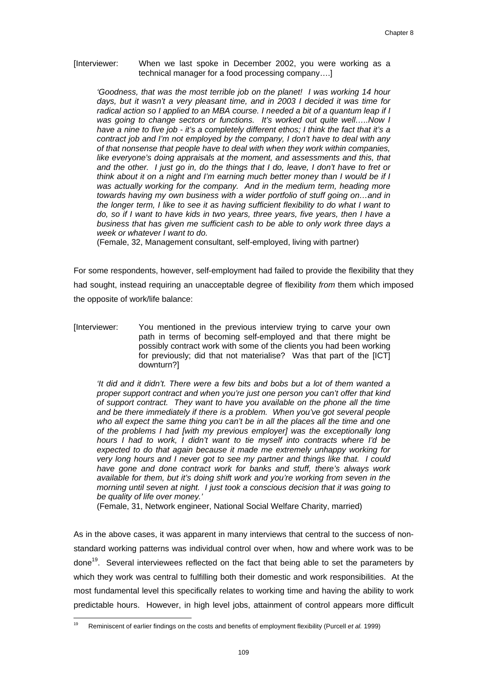#### [Interviewer: When we last spoke in December 2002, you were working as a technical manager for a food processing company….]

*'Goodness, that was the most terrible job on the planet! I was working 14 hour days, but it wasn't a very pleasant time, and in 2003 I decided it was time for radical action so I applied to an MBA course. I needed a bit of a quantum leap if I was going to change sectors or functions. It's worked out quite well…..Now I have a nine to five job - it's a completely different ethos; I think the fact that it's a contract job and I'm not employed by the company, I don't have to deal with any of that nonsense that people have to deal with when they work within companies, like everyone's doing appraisals at the moment, and assessments and this, that and the other. I just go in, do the things that I do, leave, I don't have to fret or think about it on a night and I'm earning much better money than I would be if I was actually working for the company. And in the medium term, heading more towards having my own business with a wider portfolio of stuff going on…and in the longer term, I like to see it as having sufficient flexibility to do what I want to do, so if I want to have kids in two years, three years, five years, then I have a business that has given me sufficient cash to be able to only work three days a week or whatever I want to do.* 

(Female, 32, Management consultant, self-employed, living with partner)

For some respondents, however, self-employment had failed to provide the flexibility that they had sought, instead requiring an unacceptable degree of flexibility *from* them which imposed the opposite of work/life balance:

[Interviewer: You mentioned in the previous interview trying to carve your own path in terms of becoming self-employed and that there might be possibly contract work with some of the clients you had been working for previously; did that not materialise? Was that part of the [ICT] downturn?]

*'It did and it didn't. There were a few bits and bobs but a lot of them wanted a proper support contract and when you're just one person you can't offer that kind of support contract. They want to have you available on the phone all the time and be there immediately if there is a problem. When you've got several people who all expect the same thing you can't be in all the places all the time and one of the problems I had [with my previous employer] was the exceptionally long hours I had to work, I didn't want to tie myself into contracts where I'd be expected to do that again because it made me extremely unhappy working for very long hours and I never got to see my partner and things like that. I could have gone and done contract work for banks and stuff, there's always work available for them, but it's doing shift work and you're working from seven in the morning until seven at night. I just took a conscious decision that it was going to be quality of life over money.'* 

(Female, 31, Network engineer, National Social Welfare Charity, married)

As in the above cases, it was apparent in many interviews that central to the success of nonstandard working patterns was individual control over when, how and where work was to be done<sup>19</sup>. Several interviewees reflected on the fact that being able to set the parameters by which they work was central to fulfilling both their domestic and work responsibilities. At the most fundamental level this specifically relates to working time and having the ability to work predictable hours. However, in high level jobs, attainment of control appears more difficult

 $19$ 19 Reminiscent of earlier findings on the costs and benefits of employment flexibility (Purcell *et al.* 1999)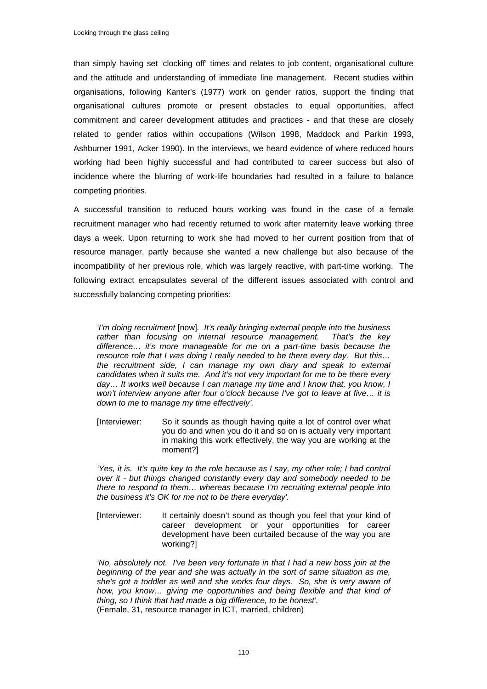than simply having set 'clocking off' times and relates to job content, organisational culture and the attitude and understanding of immediate line management. Recent studies within organisations, following Kanter's (1977) work on gender ratios, support the finding that organisational cultures promote or present obstacles to equal opportunities, affect commitment and career development attitudes and practices - and that these are closely related to gender ratios within occupations (Wilson 1998, Maddock and Parkin 1993, Ashburner 1991, Acker 1990). In the interviews, we heard evidence of where reduced hours working had been highly successful and had contributed to career success but also of incidence where the blurring of work-life boundaries had resulted in a failure to balance competing priorities.

A successful transition to reduced hours working was found in the case of a female recruitment manager who had recently returned to work after maternity leave working three days a week. Upon returning to work she had moved to her current position from that of resource manager, partly because she wanted a new challenge but also because of the incompatibility of her previous role, which was largely reactive, with part-time working. The following extract encapsulates several of the different issues associated with control and successfully balancing competing priorities:

*'I'm doing recruitment* [now]*. It's really bringing external people into the business rather than focusing on internal resource management. That's the key difference… it's more manageable for me on a part-time basis because the resource role that I was doing I really needed to be there every day. But this… the recruitment side, I can manage my own diary and speak to external candidates when it suits me. And it's not very important for me to be there every day… It works well because I can manage my time and I know that, you know, I won't interview anyone after four o'clock because I've got to leave at five… it is down to me to manage my time effectively'.* 

[Interviewer: So it sounds as though having quite a lot of control over what you do and when you do it and so on is actually very important in making this work effectively, the way you are working at the moment?]

*'Yes, it is. It's quite key to the role because as I say, my other role; I had control over it - but things changed constantly every day and somebody needed to be there to respond to them… whereas because I'm recruiting external people into the business it's OK for me not to be there everyday'.* 

[Interviewer: It certainly doesn't sound as though you feel that your kind of career development or your opportunities for career development have been curtailed because of the way you are working?]

*'No, absolutely not. I've been very fortunate in that I had a new boss join at the*  beginning of the year and she was actually in the sort of same situation as me, *she's got a toddler as well and she works four days. So, she is very aware of*  how, you know... giving me opportunities and being flexible and that kind of *thing, so I think that had made a big difference, to be honest'.*  (Female, 31, resource manager in ICT, married, children)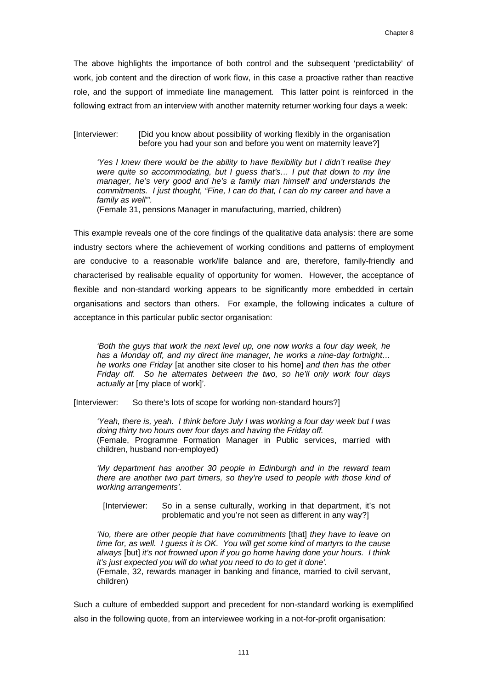The above highlights the importance of both control and the subsequent 'predictability' of work, job content and the direction of work flow, in this case a proactive rather than reactive role, and the support of immediate line management. This latter point is reinforced in the following extract from an interview with another maternity returner working four days a week:

[Interviewer: [Did you know about possibility of working flexibly in the organisation before you had your son and before you went on maternity leave?]

*'Yes I knew there would be the ability to have flexibility but I didn't realise they were quite so accommodating, but I guess that's… I put that down to my line manager, he's very good and he's a family man himself and understands the commitments. I just thought, "Fine, I can do that, I can do my career and have a family as well"'.* 

(Female 31, pensions Manager in manufacturing, married, children)

This example reveals one of the core findings of the qualitative data analysis: there are some industry sectors where the achievement of working conditions and patterns of employment are conducive to a reasonable work/life balance and are, therefore, family-friendly and characterised by realisable equality of opportunity for women. However, the acceptance of flexible and non-standard working appears to be significantly more embedded in certain organisations and sectors than others. For example, the following indicates a culture of acceptance in this particular public sector organisation:

*'Both the guys that work the next level up, one now works a four day week, he has a Monday off, and my direct line manager, he works a nine-day fortnight… he works one Friday* [at another site closer to his home] *and then has the other Friday off. So he alternates between the two, so he'll only work four days actually at* [my place of work]'*.* 

[Interviewer: So there's lots of scope for working non-standard hours?]

*'Yeah, there is, yeah. I think before July I was working a four day week but I was doing thirty two hours over four days and having the Friday off.*  (Female, Programme Formation Manager in Public services, married with children, husband non-employed)

*'My department has another 30 people in Edinburgh and in the reward team there are another two part timers, so they're used to people with those kind of working arrangements'.* 

[Interviewer: So in a sense culturally, working in that department, it's not problematic and you're not seen as different in any way?]

*'No, there are other people that have commitments* [that] *they have to leave on time for, as well. I guess it is OK. You will get some kind of martyrs to the cause always* [but] *it's not frowned upon if you go home having done your hours. I think it's just expected you will do what you need to do to get it done'.* 

(Female, 32, rewards manager in banking and finance, married to civil servant, children)

Such a culture of embedded support and precedent for non-standard working is exemplified also in the following quote, from an interviewee working in a not-for-profit organisation: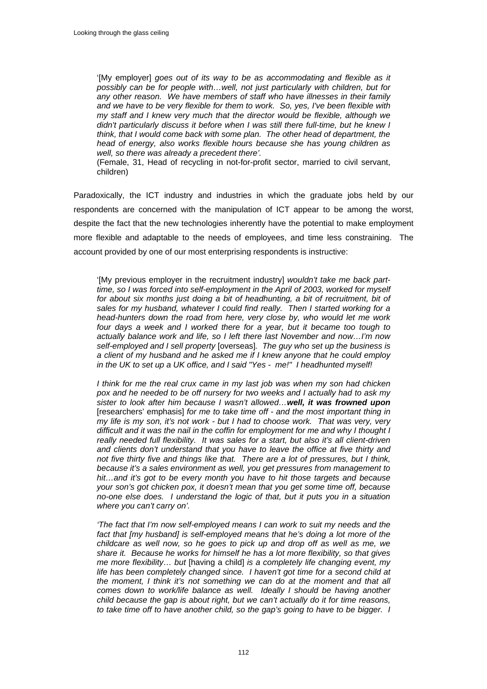'[My employer] *goes out of its way to be as accommodating and flexible as it possibly can be for people with…well, not just particularly with children, but for any other reason. We have members of staff who have illnesses in their family and we have to be very flexible for them to work. So, yes, I've been flexible with my staff and I knew very much that the director would be flexible, although we didn't particularly discuss it before when I was still there full-time, but he knew I think, that I would come back with some plan. The other head of department, the head of energy, also works flexible hours because she has young children as well, so there was already a precedent there'.* 

(Female, 31, Head of recycling in not-for-profit sector, married to civil servant, children)

Paradoxically, the ICT industry and industries in which the graduate jobs held by our respondents are concerned with the manipulation of ICT appear to be among the worst, despite the fact that the new technologies inherently have the potential to make employment more flexible and adaptable to the needs of employees, and time less constraining. The account provided by one of our most enterprising respondents is instructive:

'[My previous employer in the recruitment industry] *wouldn't take me back parttime, so I was forced into self-employment in the April of 2003, worked for myself*  for about six months just doing a bit of headhunting, a bit of recruitment, bit of *sales for my husband, whatever I could find really. Then I started working for a head-hunters down the road from here, very close by, who would let me work four days a week and I worked there for a year, but it became too tough to actually balance work and life, so I left there last November and now…I'm now self-employed and I sell property* [overseas]*. The guy who set up the business is a client of my husband and he asked me if I knew anyone that he could employ in the UK to set up a UK office, and I said "Yes - me!" I headhunted myself!* 

*I think for me the real crux came in my last job was when my son had chicken pox and he needed to be off nursery for two weeks and I actually had to ask my sister to look after him because I wasn't allowed…well, it was frowned upon* [researchers' emphasis] *for me to take time off - and the most important thing in my life is my son, it's not work - but I had to choose work. That was very, very difficult and it was the nail in the coffin for employment for me and why I thought I really needed full flexibility. It was sales for a start, but also it's all client-driven and clients don't understand that you have to leave the office at five thirty and not five thirty five and things like that. There are a lot of pressures, but I think, because it's a sales environment as well, you get pressures from management to hit…and it's got to be every month you have to hit those targets and because your son's got chicken pox, it doesn't mean that you get some time off, because no-one else does. I understand the logic of that, but it puts you in a situation where you can't carry on'.* 

*'The fact that I'm now self-employed means I can work to suit my needs and the fact that [my husband] is self-employed means that he's doing a lot more of the childcare as well now, so he goes to pick up and drop off as well as me, we share it. Because he works for himself he has a lot more flexibility, so that gives me more flexibility… but* [having a child] *is a completely life changing event, my life has been completely changed since. I haven't got time for a second child at the moment, I think it's not something we can do at the moment and that all comes down to work/life balance as well. Ideally I should be having another child because the gap is about right, but we can't actually do it for time reasons, to take time off to have another child, so the gap's going to have to be bigger. I*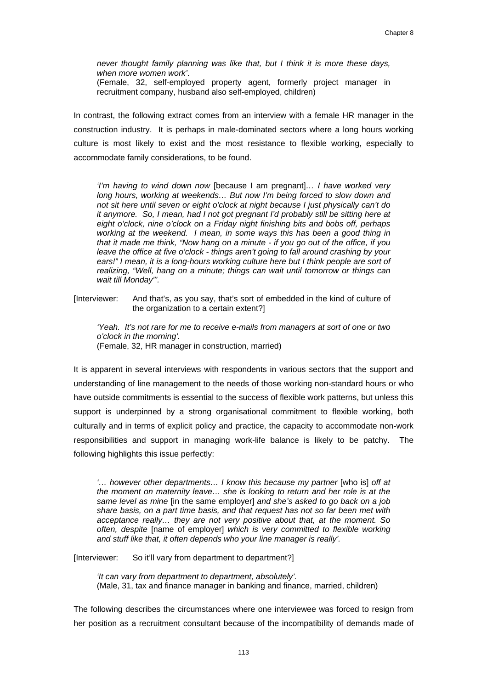*never thought family planning was like that, but I think it is more these days, when more women work'*. (Female, 32, self-employed property agent, formerly project manager in recruitment company, husband also self-employed, children)

In contrast, the following extract comes from an interview with a female HR manager in the construction industry. It is perhaps in male-dominated sectors where a long hours working culture is most likely to exist and the most resistance to flexible working, especially to accommodate family considerations, to be found.

*'I'm having to wind down now* [because I am pregnant]*… I have worked very long hours, working at weekends… But now I'm being forced to slow down and not sit here until seven or eight o'clock at night because I just physically can't do it anymore. So, I mean, had I not got pregnant I'd probably still be sitting here at eight o'clock, nine o'clock on a Friday night finishing bits and bobs off, perhaps working at the weekend. I mean, in some ways this has been a good thing in that it made me think, "Now hang on a minute - if you go out of the office, if you leave the office at five o'clock - things aren't going to fall around crashing by your*  ears!" I mean, it is a long-hours working culture here but I think people are sort of *realizing, "Well, hang on a minute; things can wait until tomorrow or things can wait till Monday"'.* 

[Interviewer: And that's, as you say, that's sort of embedded in the kind of culture of the organization to a certain extent?]

*'Yeah. It's not rare for me to receive e-mails from managers at sort of one or two o'clock in the morning'.*  (Female, 32, HR manager in construction, married)

It is apparent in several interviews with respondents in various sectors that the support and understanding of line management to the needs of those working non-standard hours or who have outside commitments is essential to the success of flexible work patterns, but unless this support is underpinned by a strong organisational commitment to flexible working, both culturally and in terms of explicit policy and practice, the capacity to accommodate non-work responsibilities and support in managing work-life balance is likely to be patchy. The following highlights this issue perfectly:

*'... however other departments... I know this because my partner* [who is] off at *the moment on maternity leave… she is looking to return and her role is at the same level as mine* [in the same employer] *and she's asked to go back on a job share basis, on a part time basis, and that request has not so far been met with acceptance really… they are not very positive about that, at the moment. So often, despite* [name of employer] *which is very committed to flexible working and stuff like that, it often depends who your line manager is really'.* 

[Interviewer: So it'll vary from department to department?]

*'It can vary from department to department, absolutely'.*  (Male, 31, tax and finance manager in banking and finance, married, children)

The following describes the circumstances where one interviewee was forced to resign from her position as a recruitment consultant because of the incompatibility of demands made of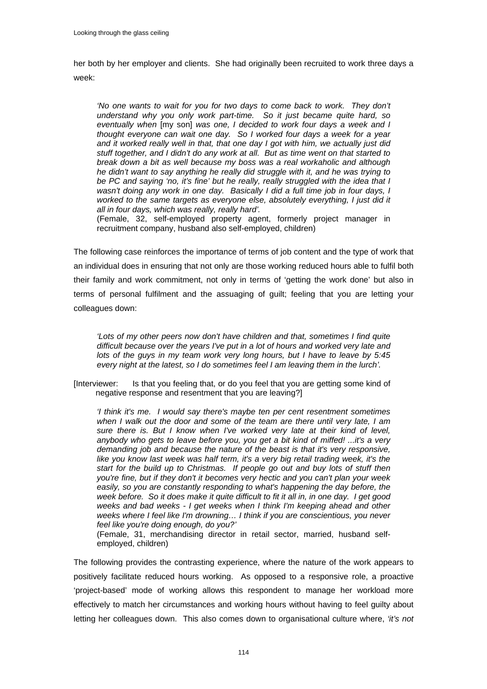her both by her employer and clients. She had originally been recruited to work three days a week:

'No one wants to wait for you for two days to come back to work. They don't *understand why you only work part-time. So it just became quite hard, so eventually when* [my son] *was one, I decided to work four days a week and I thought everyone can wait one day. So I worked four days a week for a year and it worked really well in that, that one day I got with him, we actually just did stuff together, and I didn't do any work at all. But as time went on that started to break down a bit as well because my boss was a real workaholic and although he didn't want to say anything he really did struggle with it, and he was trying to be PC and saying 'no, it's fine' but he really, really struggled with the idea that I wasn't doing any work in one day. Basically I did a full time job in four days, I worked to the same targets as everyone else, absolutely everything, I just did it all in four days, which was really, really hard'.* 

(Female, 32, self-employed property agent, formerly project manager in recruitment company, husband also self-employed, children)

The following case reinforces the importance of terms of job content and the type of work that an individual does in ensuring that not only are those working reduced hours able to fulfil both their family and work commitment, not only in terms of 'getting the work done' but also in terms of personal fulfilment and the assuaging of guilt; feeling that you are letting your colleagues down:

*'Lots of my other peers now don't have children and that, sometimes I find quite difficult because over the years I've put in a lot of hours and worked very late and lots of the guys in my team work very long hours, but I have to leave by 5:45 every night at the latest, so I do sometimes feel I am leaving them in the lurch'.* 

[Interviewer: Is that you feeling that, or do you feel that you are getting some kind of negative response and resentment that you are leaving?]

*'I think it's me. I would say there's maybe ten per cent resentment sometimes when I walk out the door and some of the team are there until very late, I am sure there is. But I know when I've worked very late at their kind of level, anybody who gets to leave before you, you get a bit kind of miffed! ...it's a very demanding job and because the nature of the beast is that it's very responsive, like you know last week was half term, it's a very big retail trading week, it's the start for the build up to Christmas. If people go out and buy lots of stuff then you're fine, but if they don't it becomes very hectic and you can't plan your week easily, so you are constantly responding to what's happening the day before, the week before. So it does make it quite difficult to fit it all in, in one day. I get good weeks and bad weeks - I get weeks when I think I'm keeping ahead and other weeks where I feel like I'm drowning… I think if you are conscientious, you never feel like you're doing enough, do you?'* 

(Female, 31, merchandising director in retail sector, married, husband selfemployed, children)

The following provides the contrasting experience, where the nature of the work appears to positively facilitate reduced hours working. As opposed to a responsive role, a proactive 'project-based' mode of working allows this respondent to manage her workload more effectively to match her circumstances and working hours without having to feel guilty about letting her colleagues down. This also comes down to organisational culture where, *'it's not*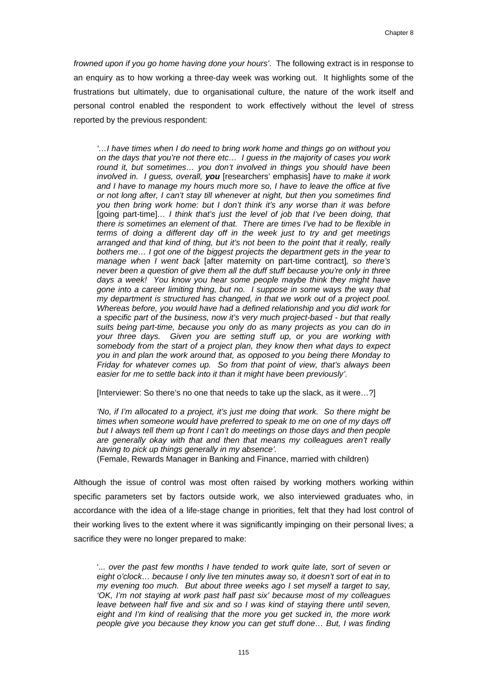*frowned upon if you go home having done your hours'*. The following extract is in response to an enquiry as to how working a three-day week was working out. It highlights some of the frustrations but ultimately, due to organisational culture, the nature of the work itself and personal control enabled the respondent to work effectively without the level of stress reported by the previous respondent:

*'…I have times when I do need to bring work home and things go on without you on the days that you're not there etc… I guess in the majority of cases you work round it, but sometimes… you don't involved in things you should have been involved in. I guess, overall, you* [researchers' emphasis] *have to make it work and I have to manage my hours much more so, I have to leave the office at five or not long after, I can't stay till whenever at night, but then you sometimes find you then bring work home: but I don't think it's any worse than it was before*  [going part-time]... I think that's just the level of job that I've been doing, that *there is sometimes an element of that. There are times I've had to be flexible in terms of doing a different day off in the week just to try and get meetings arranged and that kind of thing, but it's not been to the point that it really, really bothers me… I got one of the biggest projects the department gets in the year to manage when I went back* [after maternity on part-time contract]*, so there's never been a question of give them all the duff stuff because you're only in three days a week! You know you hear some people maybe think they might have gone into a career limiting thing, but no. I suppose in some ways the way that my department is structured has changed, in that we work out of a project pool. Whereas before, you would have had a defined relationship and you did work for a specific part of the business, now it's very much project-based - but that really suits being part-time, because you only do as many projects as you can do in your three days. Given you are setting stuff up, or you are working with somebody from the start of a project plan, they know then what days to expect you in and plan the work around that, as opposed to you being there Monday to Friday for whatever comes up. So from that point of view, that's always been easier for me to settle back into it than it might have been previously'.* 

[Interviewer: So there's no one that needs to take up the slack, as it were…?]

*'No, if I'm allocated to a project, it's just me doing that work. So there might be times when someone would have preferred to speak to me on one of my days off but I always tell them up front I can't do meetings on those days and then people are generally okay with that and then that means my colleagues aren't really having to pick up things generally in my absence'.*  (Female, Rewards Manager in Banking and Finance, married with children)

Although the issue of control was most often raised by working mothers working within specific parameters set by factors outside work, we also interviewed graduates who, in accordance with the idea of a life-stage change in priorities, felt that they had lost control of their working lives to the extent where it was significantly impinging on their personal lives; a

sacrifice they were no longer prepared to make:

'*... over the past few months I have tended to work quite late, sort of seven or eight o'clock… because I only live ten minutes away so, it doesn't sort of eat in to my evening too much. But about three weeks ago I set myself a target to say, 'OK, I'm not staying at work past half past six' because most of my colleagues leave between half five and six and so I was kind of staying there until seven, eight and I'm kind of realising that the more you get sucked in, the more work people give you because they know you can get stuff done… But, I was finding*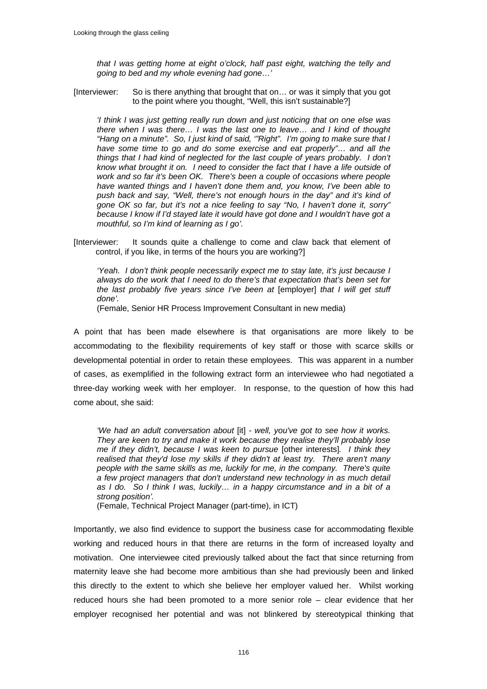*that I was getting home at eight o'clock, half past eight, watching the telly and going to bed and my whole evening had gone…'* 

[Interviewer: So is there anything that brought that on… or was it simply that you got to the point where you thought, "Well, this isn't sustainable?]

*'I think I was just getting really run down and just noticing that on one else was there when I was there… I was the last one to leave… and I kind of thought "Hang on a minute". So, I just kind of said, '"Right". I'm going to make sure that I have some time to go and do some exercise and eat properly"… and all the things that I had kind of neglected for the last couple of years probably. I don't know what brought it on. I need to consider the fact that I have a life outside of*  work and so far it's been OK. There's been a couple of occasions where people *have wanted things and I haven't done them and, you know, I've been able to push back and say, "Well, there's not enough hours in the day" and it's kind of gone OK so far, but it's not a nice feeling to say "No, I haven't done it, sorry" because I know if I'd stayed late it would have got done and I wouldn't have got a mouthful, so I'm kind of learning as I go'.* 

[Interviewer: It sounds quite a challenge to come and claw back that element of control, if you like, in terms of the hours you are working?]

*'Yeah. I don't think people necessarily expect me to stay late, it's just because I always do the work that I need to do there's that expectation that's been set for the last probably five years since I've been at* [employer] *that I will get stuff done'.* 

(Female, Senior HR Process Improvement Consultant in new media)

A point that has been made elsewhere is that organisations are more likely to be accommodating to the flexibility requirements of key staff or those with scarce skills or developmental potential in order to retain these employees. This was apparent in a number of cases, as exemplified in the following extract form an interviewee who had negotiated a three-day working week with her employer. In response, to the question of how this had come about, she said:

*'We had an adult conversation about* [it] *- well, you've got to see how it works. They are keen to try and make it work because they realise they'll probably lose me if they didn't, because I was keen to pursue* [other interests]*. I think they realised that they'd lose my skills if they didn't at least try. There aren't many people with the same skills as me, luckily for me, in the company. There's quite a few project managers that don't understand new technology in as much detail as I do. So I think I was, luckily… in a happy circumstance and in a bit of a strong position'.* 

(Female, Technical Project Manager (part-time), in ICT)

Importantly, we also find evidence to support the business case for accommodating flexible working and reduced hours in that there are returns in the form of increased loyalty and motivation. One interviewee cited previously talked about the fact that since returning from maternity leave she had become more ambitious than she had previously been and linked this directly to the extent to which she believe her employer valued her. Whilst working reduced hours she had been promoted to a more senior role – clear evidence that her employer recognised her potential and was not blinkered by stereotypical thinking that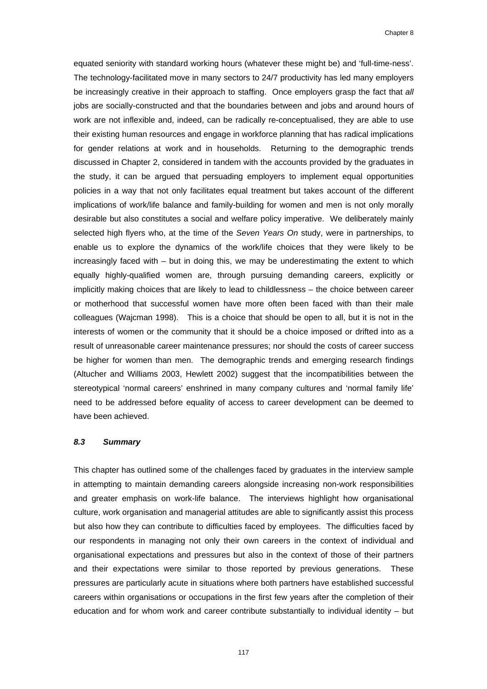equated seniority with standard working hours (whatever these might be) and 'full-time-ness'. The technology-facilitated move in many sectors to 24/7 productivity has led many employers be increasingly creative in their approach to staffing. Once employers grasp the fact that *all* jobs are socially-constructed and that the boundaries between and jobs and around hours of work are not inflexible and, indeed, can be radically re-conceptualised, they are able to use their existing human resources and engage in workforce planning that has radical implications for gender relations at work and in households. Returning to the demographic trends discussed in Chapter 2, considered in tandem with the accounts provided by the graduates in the study, it can be argued that persuading employers to implement equal opportunities policies in a way that not only facilitates equal treatment but takes account of the different implications of work/life balance and family-building for women and men is not only morally desirable but also constitutes a social and welfare policy imperative. We deliberately mainly selected high flyers who, at the time of the *Seven Years On* study, were in partnerships, to enable us to explore the dynamics of the work/life choices that they were likely to be increasingly faced with – but in doing this, we may be underestimating the extent to which equally highly-qualified women are, through pursuing demanding careers, explicitly or implicitly making choices that are likely to lead to childlessness – the choice between career or motherhood that successful women have more often been faced with than their male colleagues (Wajcman 1998). This is a choice that should be open to all, but it is not in the interests of women or the community that it should be a choice imposed or drifted into as a result of unreasonable career maintenance pressures; nor should the costs of career success be higher for women than men. The demographic trends and emerging research findings (Altucher and Williams 2003, Hewlett 2002) suggest that the incompatibilities between the stereotypical 'normal careers' enshrined in many company cultures and 'normal family life' need to be addressed before equality of access to career development can be deemed to have been achieved.

#### *8.3 Summary*

This chapter has outlined some of the challenges faced by graduates in the interview sample in attempting to maintain demanding careers alongside increasing non-work responsibilities and greater emphasis on work-life balance. The interviews highlight how organisational culture, work organisation and managerial attitudes are able to significantly assist this process but also how they can contribute to difficulties faced by employees. The difficulties faced by our respondents in managing not only their own careers in the context of individual and organisational expectations and pressures but also in the context of those of their partners and their expectations were similar to those reported by previous generations. These pressures are particularly acute in situations where both partners have established successful careers within organisations or occupations in the first few years after the completion of their education and for whom work and career contribute substantially to individual identity – but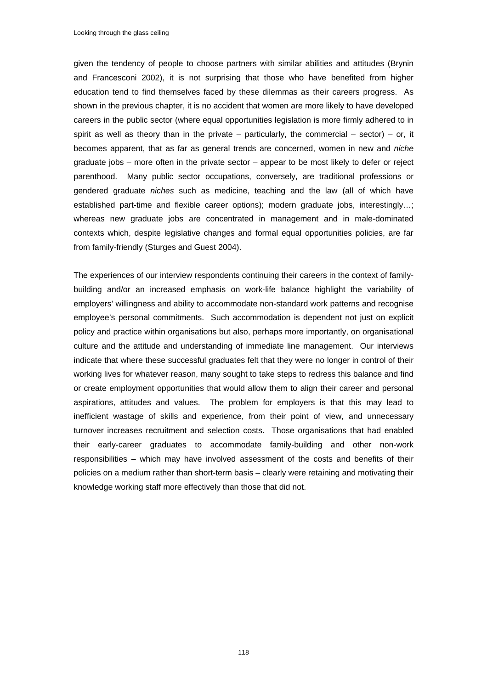Looking through the glass ceiling

given the tendency of people to choose partners with similar abilities and attitudes (Brynin and Francesconi 2002), it is not surprising that those who have benefited from higher education tend to find themselves faced by these dilemmas as their careers progress. As shown in the previous chapter, it is no accident that women are more likely to have developed careers in the public sector (where equal opportunities legislation is more firmly adhered to in spirit as well as theory than in the private – particularly, the commercial – sector) – or, it becomes apparent, that as far as general trends are concerned, women in new and *niche* graduate jobs – more often in the private sector – appear to be most likely to defer or reject parenthood. Many public sector occupations, conversely, are traditional professions or gendered graduate *niches* such as medicine, teaching and the law (all of which have established part-time and flexible career options); modern graduate jobs, interestingly…; whereas new graduate jobs are concentrated in management and in male-dominated contexts which, despite legislative changes and formal equal opportunities policies, are far from family-friendly (Sturges and Guest 2004).

The experiences of our interview respondents continuing their careers in the context of familybuilding and/or an increased emphasis on work-life balance highlight the variability of employers' willingness and ability to accommodate non-standard work patterns and recognise employee's personal commitments. Such accommodation is dependent not just on explicit policy and practice within organisations but also, perhaps more importantly, on organisational culture and the attitude and understanding of immediate line management. Our interviews indicate that where these successful graduates felt that they were no longer in control of their working lives for whatever reason, many sought to take steps to redress this balance and find or create employment opportunities that would allow them to align their career and personal aspirations, attitudes and values. The problem for employers is that this may lead to inefficient wastage of skills and experience, from their point of view, and unnecessary turnover increases recruitment and selection costs. Those organisations that had enabled their early-career graduates to accommodate family-building and other non-work responsibilities – which may have involved assessment of the costs and benefits of their policies on a medium rather than short-term basis – clearly were retaining and motivating their knowledge working staff more effectively than those that did not.

118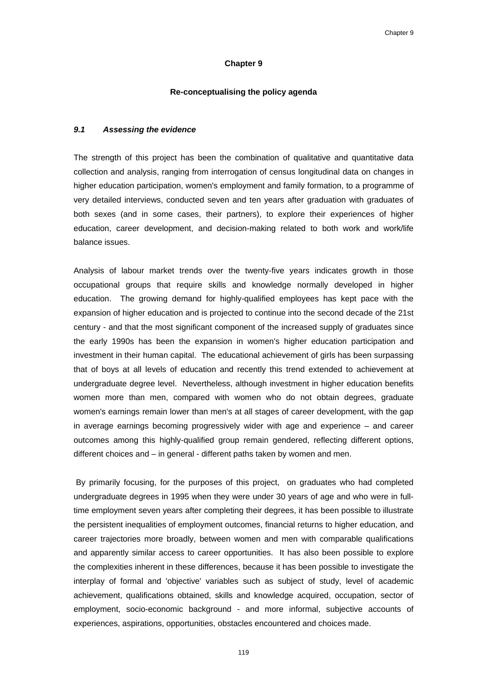### **Chapter 9**

#### **Re-conceptualising the policy agenda**

### *9.1 Assessing the evidence*

The strength of this project has been the combination of qualitative and quantitative data collection and analysis, ranging from interrogation of census longitudinal data on changes in higher education participation, women's employment and family formation, to a programme of very detailed interviews, conducted seven and ten years after graduation with graduates of both sexes (and in some cases, their partners), to explore their experiences of higher education, career development, and decision-making related to both work and work/life balance issues.

Analysis of labour market trends over the twenty-five years indicates growth in those occupational groups that require skills and knowledge normally developed in higher education. The growing demand for highly-qualified employees has kept pace with the expansion of higher education and is projected to continue into the second decade of the 21st century - and that the most significant component of the increased supply of graduates since the early 1990s has been the expansion in women's higher education participation and investment in their human capital. The educational achievement of girls has been surpassing that of boys at all levels of education and recently this trend extended to achievement at undergraduate degree level. Nevertheless, although investment in higher education benefits women more than men, compared with women who do not obtain degrees, graduate women's earnings remain lower than men's at all stages of career development, with the gap in average earnings becoming progressively wider with age and experience – and career outcomes among this highly-qualified group remain gendered, reflecting different options, different choices and – in general - different paths taken by women and men.

 By primarily focusing, for the purposes of this project, on graduates who had completed undergraduate degrees in 1995 when they were under 30 years of age and who were in fulltime employment seven years after completing their degrees, it has been possible to illustrate the persistent inequalities of employment outcomes, financial returns to higher education, and career trajectories more broadly, between women and men with comparable qualifications and apparently similar access to career opportunities. It has also been possible to explore the complexities inherent in these differences, because it has been possible to investigate the interplay of formal and 'objective' variables such as subject of study, level of academic achievement, qualifications obtained, skills and knowledge acquired, occupation, sector of employment, socio-economic background - and more informal, subjective accounts of experiences, aspirations, opportunities, obstacles encountered and choices made.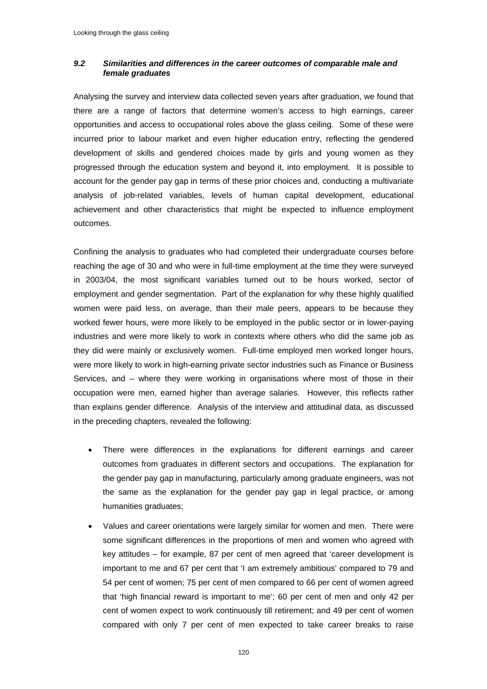# *9.2 Similarities and differences in the career outcomes of comparable male and female graduates*

Analysing the survey and interview data collected seven years after graduation, we found that there are a range of factors that determine women's access to high earnings, career opportunities and access to occupational roles above the glass ceiling. Some of these were incurred prior to labour market and even higher education entry, reflecting the gendered development of skills and gendered choices made by girls and young women as they progressed through the education system and beyond it, into employment. It is possible to account for the gender pay gap in terms of these prior choices and, conducting a multivariate analysis of job-related variables, levels of human capital development, educational achievement and other characteristics that might be expected to influence employment outcomes.

Confining the analysis to graduates who had completed their undergraduate courses before reaching the age of 30 and who were in full-time employment at the time they were surveyed in 2003/04, the most significant variables turned out to be hours worked, sector of employment and gender segmentation. Part of the explanation for why these highly qualified women were paid less, on average, than their male peers, appears to be because they worked fewer hours, were more likely to be employed in the public sector or in lower-paying industries and were more likely to work in contexts where others who did the same job as they did were mainly or exclusively women. Full-time employed men worked longer hours, were more likely to work in high-earning private sector industries such as Finance or Business Services, and – where they were working in organisations where most of those in their occupation were men, earned higher than average salaries. However, this reflects rather than explains gender difference. Analysis of the interview and attitudinal data, as discussed in the preceding chapters, revealed the following:

- There were differences in the explanations for different earnings and career outcomes from graduates in different sectors and occupations. The explanation for the gender pay gap in manufacturing, particularly among graduate engineers, was not the same as the explanation for the gender pay gap in legal practice, or among humanities graduates;
- Values and career orientations were largely similar for women and men. There were some significant differences in the proportions of men and women who agreed with key attitudes – for example, 87 per cent of men agreed that 'career development is important to me and 67 per cent that 'I am extremely ambitious' compared to 79 and 54 per cent of women; 75 per cent of men compared to 66 per cent of women agreed that 'high financial reward is important to me'; 60 per cent of men and only 42 per cent of women expect to work continuously till retirement; and 49 per cent of women compared with only 7 per cent of men expected to take career breaks to raise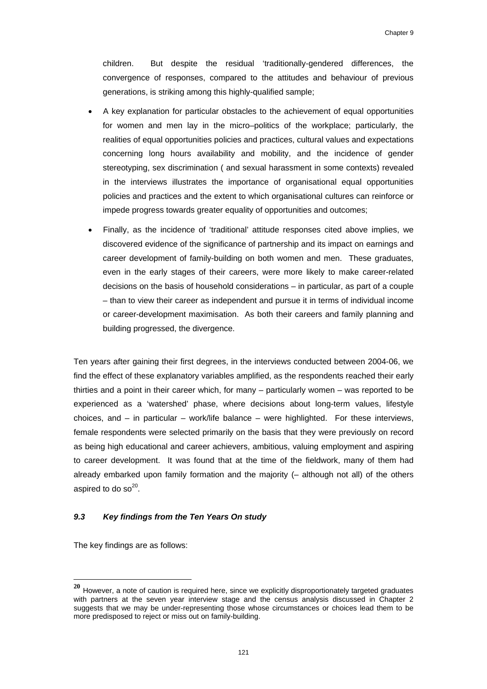children. But despite the residual 'traditionally-gendered differences, the convergence of responses, compared to the attitudes and behaviour of previous generations, is striking among this highly-qualified sample;

- A key explanation for particular obstacles to the achievement of equal opportunities for women and men lay in the micro–politics of the workplace; particularly, the realities of equal opportunities policies and practices, cultural values and expectations concerning long hours availability and mobility, and the incidence of gender stereotyping, sex discrimination ( and sexual harassment in some contexts) revealed in the interviews illustrates the importance of organisational equal opportunities policies and practices and the extent to which organisational cultures can reinforce or impede progress towards greater equality of opportunities and outcomes;
- Finally, as the incidence of 'traditional' attitude responses cited above implies, we discovered evidence of the significance of partnership and its impact on earnings and career development of family-building on both women and men. These graduates, even in the early stages of their careers, were more likely to make career-related decisions on the basis of household considerations – in particular, as part of a couple – than to view their career as independent and pursue it in terms of individual income or career-development maximisation. As both their careers and family planning and building progressed, the divergence.

Ten years after gaining their first degrees, in the interviews conducted between 2004-06, we find the effect of these explanatory variables amplified, as the respondents reached their early thirties and a point in their career which, for many – particularly women – was reported to be experienced as a 'watershed' phase, where decisions about long-term values, lifestyle choices, and  $-$  in particular  $-$  work/life balance  $-$  were highlighted. For these interviews, female respondents were selected primarily on the basis that they were previously on record as being high educational and career achievers, ambitious, valuing employment and aspiring to career development. It was found that at the time of the fieldwork, many of them had already embarked upon family formation and the majority (– although not all) of the others aspired to do so $^{20}$ .

### *9.3 Key findings from the Ten Years On study*

The key findings are as follows:

 $\overline{a}$ 

**<sup>20</sup>** However, a note of caution is required here, since we explicitly disproportionately targeted graduates with partners at the seven year interview stage and the census analysis discussed in Chapter 2 suggests that we may be under-representing those whose circumstances or choices lead them to be more predisposed to reject or miss out on family-building.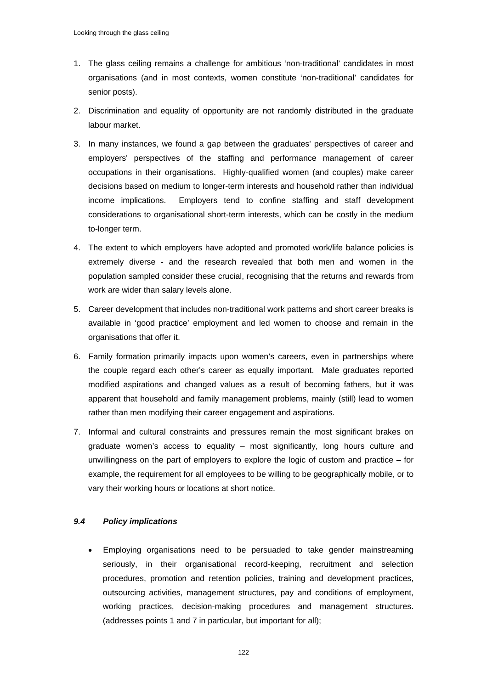- 1. The glass ceiling remains a challenge for ambitious 'non-traditional' candidates in most organisations (and in most contexts, women constitute 'non-traditional' candidates for senior posts).
- 2. Discrimination and equality of opportunity are not randomly distributed in the graduate labour market.
- 3. In many instances, we found a gap between the graduates' perspectives of career and employers' perspectives of the staffing and performance management of career occupations in their organisations. Highly-qualified women (and couples) make career decisions based on medium to longer-term interests and household rather than individual income implications. Employers tend to confine staffing and staff development considerations to organisational short-term interests, which can be costly in the medium to-longer term.
- 4. The extent to which employers have adopted and promoted work/life balance policies is extremely diverse - and the research revealed that both men and women in the population sampled consider these crucial, recognising that the returns and rewards from work are wider than salary levels alone.
- 5. Career development that includes non-traditional work patterns and short career breaks is available in 'good practice' employment and led women to choose and remain in the organisations that offer it.
- 6. Family formation primarily impacts upon women's careers, even in partnerships where the couple regard each other's career as equally important. Male graduates reported modified aspirations and changed values as a result of becoming fathers, but it was apparent that household and family management problems, mainly (still) lead to women rather than men modifying their career engagement and aspirations.
- 7. Informal and cultural constraints and pressures remain the most significant brakes on graduate women's access to equality – most significantly, long hours culture and unwillingness on the part of employers to explore the logic of custom and practice – for example, the requirement for all employees to be willing to be geographically mobile, or to vary their working hours or locations at short notice.

# *9.4 Policy implications*

• Employing organisations need to be persuaded to take gender mainstreaming seriously, in their organisational record-keeping, recruitment and selection procedures, promotion and retention policies, training and development practices, outsourcing activities, management structures, pay and conditions of employment, working practices, decision-making procedures and management structures. (addresses points 1 and 7 in particular, but important for all);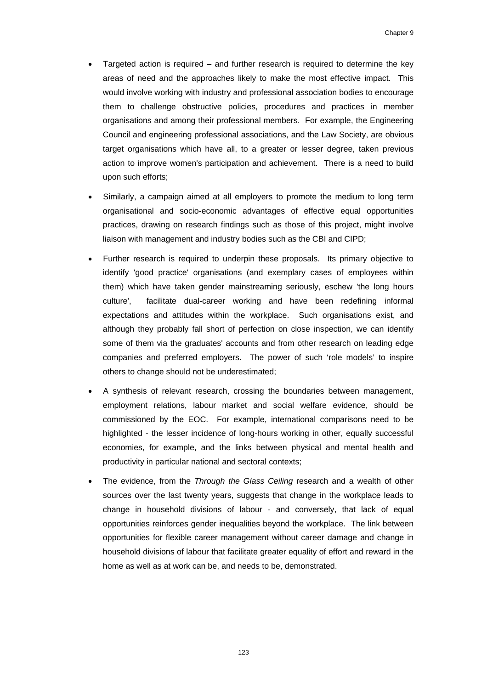- Targeted action is required  $-$  and further research is required to determine the key areas of need and the approaches likely to make the most effective impact. This would involve working with industry and professional association bodies to encourage them to challenge obstructive policies, procedures and practices in member organisations and among their professional members. For example, the Engineering Council and engineering professional associations, and the Law Society, are obvious target organisations which have all, to a greater or lesser degree, taken previous action to improve women's participation and achievement. There is a need to build upon such efforts;
- Similarly, a campaign aimed at all employers to promote the medium to long term organisational and socio-economic advantages of effective equal opportunities practices, drawing on research findings such as those of this project, might involve liaison with management and industry bodies such as the CBI and CIPD;
- Further research is required to underpin these proposals. Its primary objective to identify 'good practice' organisations (and exemplary cases of employees within them) which have taken gender mainstreaming seriously, eschew 'the long hours culture', facilitate dual-career working and have been redefining informal expectations and attitudes within the workplace. Such organisations exist, and although they probably fall short of perfection on close inspection, we can identify some of them via the graduates' accounts and from other research on leading edge companies and preferred employers. The power of such 'role models' to inspire others to change should not be underestimated;
- A synthesis of relevant research, crossing the boundaries between management, employment relations, labour market and social welfare evidence, should be commissioned by the EOC. For example, international comparisons need to be highlighted - the lesser incidence of long-hours working in other, equally successful economies, for example, and the links between physical and mental health and productivity in particular national and sectoral contexts;
- The evidence, from the *Through the Glass Ceiling* research and a wealth of other sources over the last twenty years, suggests that change in the workplace leads to change in household divisions of labour - and conversely, that lack of equal opportunities reinforces gender inequalities beyond the workplace. The link between opportunities for flexible career management without career damage and change in household divisions of labour that facilitate greater equality of effort and reward in the home as well as at work can be, and needs to be, demonstrated.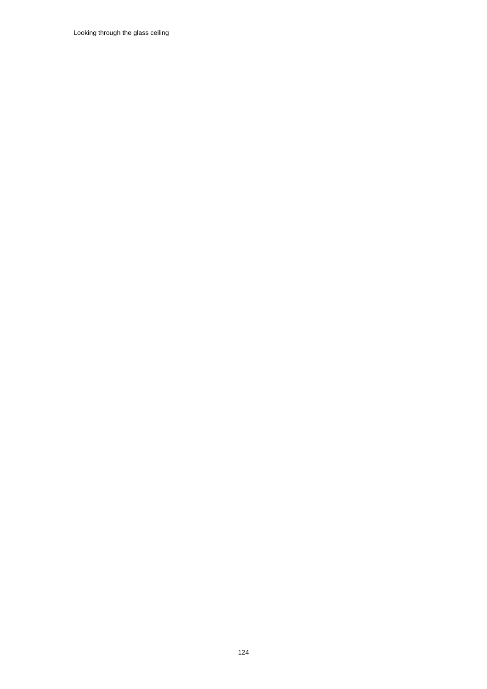Looking through the glass ceiling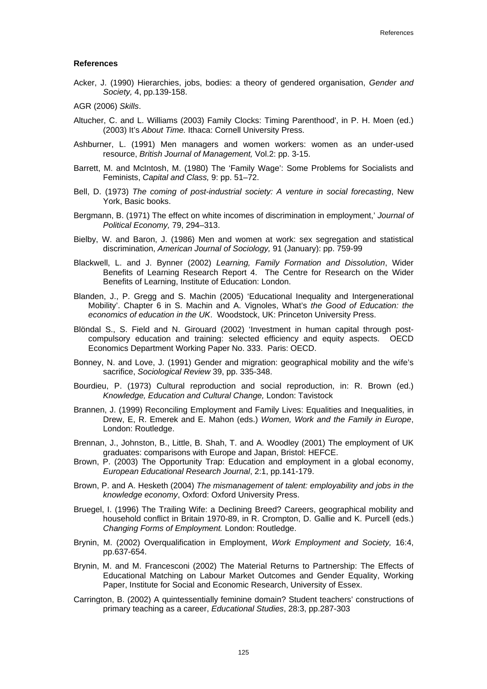#### **References**

Acker, J. (1990) Hierarchies, jobs, bodies: a theory of gendered organisation, *Gender and Society,* 4, pp.139-158.

AGR (2006) *Skills*.

- Altucher, C. and L. Williams (2003) Family Clocks: Timing Parenthood', in P. H. Moen (ed.) (2003) It's *About Time.* Ithaca: Cornell University Press.
- Ashburner, L. (1991) Men managers and women workers: women as an under-used resource, *British Journal of Management,* Vol.2: pp. 3-15.
- Barrett, M. and McIntosh, M. (1980) The 'Family Wage': Some Problems for Socialists and Feminists, *Capital and Class,* 9: pp. 51–72.
- Bell, D. (1973) *The coming of post-industrial society: A venture in social forecasting*, New York, Basic books.
- Bergmann, B. (1971) The effect on white incomes of discrimination in employment,' *Journal of Political Economy,* 79, 294–313.
- Bielby, W. and Baron, J. (1986) Men and women at work: sex segregation and statistical discrimination, *American Journal of Sociology,* 91 (January): pp. 759-99
- Blackwell, L. and J. Bynner (2002) *Learning, Family Formation and Dissolution*, Wider Benefits of Learning Research Report 4. The Centre for Research on the Wider Benefits of Learning, Institute of Education: London.
- Blanden, J., P. Gregg and S. Machin (2005) 'Educational Inequality and Intergenerational Mobility'. Chapter 6 in S. Machin and A. Vignoles, What's *the Good of Education: the economics of education in the UK*. Woodstock, UK: Princeton University Press.
- Blöndal S., S. Field and N. Girouard (2002) 'Investment in human capital through postcompulsory education and training: selected efficiency and equity aspects. OECD Economics Department Working Paper No. 333. Paris: OECD.
- Bonney, N. and Love, J. (1991) Gender and migration: geographical mobility and the wife's sacrifice, *Sociological Review* 39, pp. 335-348.
- Bourdieu, P. (1973) Cultural reproduction and social reproduction, in: R. Brown (ed.) *Knowledge, Education and Cultural Change,* London: Tavistock
- Brannen, J. (1999) Reconciling Employment and Family Lives: Equalities and Inequalities, in Drew, E, R. Emerek and E. Mahon (eds.) *Women, Work and the Family in Europe*, London: Routledge.
- Brennan, J., Johnston, B., Little, B. Shah, T. and A. Woodley (2001) The employment of UK graduates: comparisons with Europe and Japan, Bristol: HEFCE.
- Brown, P. (2003) The Opportunity Trap: Education and employment in a global economy, *European Educational Research Journal*, 2:1, pp.141-179.
- Brown, P. and A. Hesketh (2004) *The mismanagement of talent: employability and jobs in the knowledge economy*, Oxford: Oxford University Press.
- Bruegel, I. (1996) The Trailing Wife: a Declining Breed? Careers, geographical mobility and household conflict in Britain 1970-89, in R. Crompton, D. Gallie and K. Purcell (eds.) *Changing Forms of Employment.* London: Routledge.
- Brynin, M. (2002) Overqualification in Employment, *Work Employment and Society,* 16:4, pp.637-654.
- Brynin, M. and M. Francesconi (2002) The Material Returns to Partnership: The Effects of Educational Matching on Labour Market Outcomes and Gender Equality, Working Paper, Institute for Social and Economic Research, University of Essex.
- Carrington, B. (2002) A quintessentially feminine domain? Student teachers' constructions of primary teaching as a career, *Educational Studies*, 28:3, pp.287-303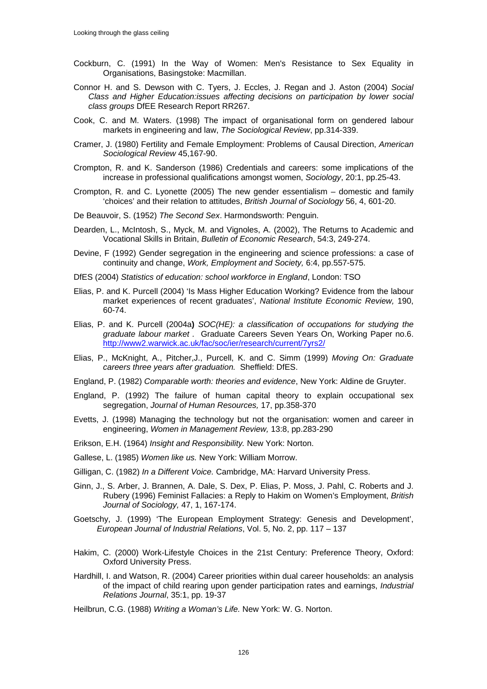- Cockburn, C. (1991) In the Way of Women: Men's Resistance to Sex Equality in Organisations, Basingstoke: Macmillan.
- Connor H. and S. Dewson with C. Tyers, J. Eccles, J. Regan and J. Aston (2004) *Social Class and Higher Education:issues affecting decisions on participation by lower social class groups* DfEE Research Report RR267.
- Cook, C. and M. Waters. (1998) The impact of organisational form on gendered labour markets in engineering and law, *The Sociological Review*, pp.314-339.
- Cramer, J. (1980) Fertility and Female Employment: Problems of Causal Direction, *American Sociological Review* 45,167-90.
- Crompton, R. and K. Sanderson (1986) Credentials and careers: some implications of the increase in professional qualifications amongst women, *Sociology*, 20:1, pp.25-43.
- Crompton, R. and C. Lyonette (2005) The new gender essentialism domestic and family 'choices' and their relation to attitudes, *British Journal of Sociology* 56, 4, 601-20.
- De Beauvoir, S. (1952) *The Second Sex*. Harmondsworth: Penguin.
- Dearden, L., McIntosh, S., Myck, M. and Vignoles, A. (2002), The Returns to Academic and Vocational Skills in Britain, *Bulletin of Economic Research*, 54:3, 249-274.
- Devine, F (1992) Gender segregation in the engineering and science professions: a case of continuity and change, *Work, Employment and Society,* 6:4, pp.557-575.
- DfES (2004) *Statistics of education: school workforce in England*, London: TSO
- Elias, P. and K. Purcell (2004) 'Is Mass Higher Education Working? Evidence from the labour market experiences of recent graduates', *National Institute Economic Review,* 190, 60-74.
- Elias, P. and K. Purcell (2004a**)** *SOC(HE): a classification of occupations for studying the graduate labour market .* Graduate Careers Seven Years On, Working Paper no.6. http://www2.warwick.ac.uk/fac/soc/ier/research/current/7yrs2/
- Elias, P., McKnight, A., Pitcher,J., Purcell, K. and C. Simm (1999) *Moving On: Graduate careers three years after graduation.* Sheffield: DfES.
- England, P. (1982) *Comparable worth: theories and evidence*, New York: Aldine de Gruyter.
- England, P. (1992) The failure of human capital theory to explain occupational sex segregation, *Journal of Human Resources,* 17, pp.358-370
- Evetts, J. (1998) Managing the technology but not the organisation: women and career in engineering, *Women in Management Review,* 13:8, pp.283-290
- Erikson, E.H. (1964) *Insight and Responsibility.* New York: Norton.
- Gallese, L. (1985) *Women like us.* New York: William Morrow.
- Gilligan, C. (1982) *In a Different Voice.* Cambridge, MA: Harvard University Press.
- Ginn, J., S. Arber, J. Brannen, A. Dale, S. Dex, P. Elias, P. Moss, J. Pahl, C. Roberts and J. Rubery (1996) Feminist Fallacies: a Reply to Hakim on Women's Employment, *British Journal of Sociology,* 47, 1, 167-174.
- Goetschy, J. (1999) 'The European Employment Strategy: Genesis and Development', *European Journal of Industrial Relations*, Vol. 5, No. 2, pp. 117 – 137
- Hakim, C. (2000) Work-Lifestyle Choices in the 21st Century: Preference Theory, Oxford: Oxford University Press.
- Hardhill, I. and Watson, R. (2004) Career priorities within dual career households: an analysis of the impact of child rearing upon gender participation rates and earnings, *Industrial Relations Journal*, 35:1, pp. 19-37
- Heilbrun, C.G. (1988) *Writing a Woman's Life.* New York: W. G. Norton.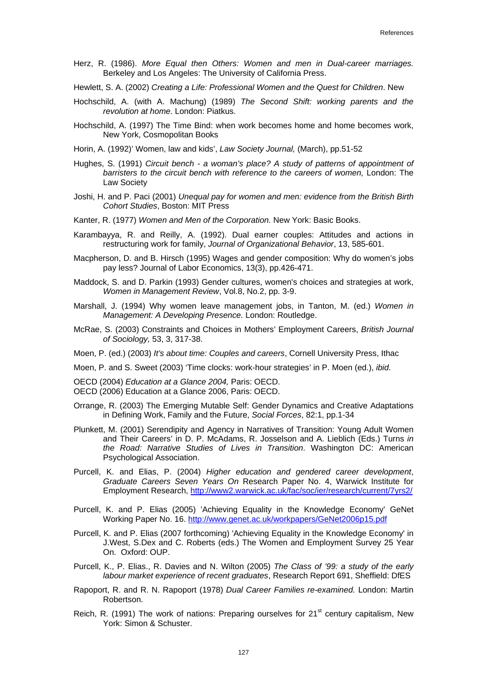- Herz, R. (1986). *More Equal then Others: Women and men in Dual-career marriages.*  Berkeley and Los Angeles: The University of California Press.
- Hewlett, S. A. (2002) *Creating a Life: Professional Women and the Quest for Children*. New
- Hochschild, A. (with A. Machung) (1989) *The Second Shift: working parents and the revolution at home.* London: Piatkus.
- Hochschild, A. (1997) The Time Bind: when work becomes home and home becomes work, New York, Cosmopolitan Books
- Horin, A. (1992)' Women, law and kids', *Law Society Journal,* (March), pp.51-52
- Hughes, S. (1991) *Circuit bench a woman's place? A study of patterns of appointment of*  barristers to the circuit bench with reference to the careers of women, London: The Law Society
- Joshi, H. and P. Paci (2001) *Unequal pay for women and men: evidence from the British Birth Cohort Studies*, Boston: MIT Press
- Kanter, R. (1977) *Women and Men of the Corporation.* New York: Basic Books.
- Karambayya, R. and Reilly, A. (1992). Dual earner couples: Attitudes and actions in restructuring work for family, *Journal of Organizational Behavior*, 13, 585-601.
- Macpherson, D. and B. Hirsch (1995) Wages and gender composition: Why do women's jobs pay less? Journal of Labor Economics, 13(3), pp.426-471.
- Maddock, S. and D. Parkin (1993) Gender cultures, women's choices and strategies at work, *Women in Management Review*, Vol.8, No.2, pp. 3-9.
- Marshall, J. (1994) Why women leave management jobs, in Tanton, M. (ed.) *Women in Management: A Developing Presence.* London: Routledge.
- McRae, S. (2003) Constraints and Choices in Mothers' Employment Careers, *British Journal of Sociology,* 53, 3, 317-38.
- Moen, P. (ed.) (2003) *It's about time: Couples and careers*, Cornell University Press, Ithac
- Moen, P. and S. Sweet (2003) 'Time clocks: work-hour strategies' in P. Moen (ed.), *ibid.*

OECD (2004) *Education at a Glance 2004,* Paris: OECD.

- OECD (2006) Education at a Glance 2006, Paris: OECD.
- Orrange, R. (2003) The Emerging Mutable Self: Gender Dynamics and Creative Adaptations in Defining Work, Family and the Future, *Social Forces*, 82:1, pp.1-34
- Plunkett, M. (2001) Serendipity and Agency in Narratives of Transition: Young Adult Women and Their Careers' in D. P. McAdams, R. Josselson and A. Lieblich (Eds.) Turns *in the Road: Narrative Studies of Lives in Transition*. Washington DC: American Psychological Association.
- Purcell, K. and Elias, P. (2004) *Higher education and gendered career development*, *Graduate Careers Seven Years On* Research Paper No. 4, Warwick Institute for Employment Research, http://www2.warwick.ac.uk/fac/soc/ier/research/current/7yrs2/
- Purcell, K. and P. Elias (2005) 'Achieving Equality in the Knowledge Economy' GeNet Working Paper No. 16. http://www.genet.ac.uk/workpapers/GeNet2006p15.pdf
- Purcell, K. and P. Elias (2007 forthcoming) 'Achieving Equality in the Knowledge Economy' in J.West, S.Dex and C. Roberts (eds.) The Women and Employment Survey 25 Year On. Oxford: OUP.
- Purcell, K., P. Elias., R. Davies and N. Wilton (2005) *The Class of '99: a study of the early labour market experience of recent graduates*, Research Report 691, Sheffield: DfES
- Rapoport, R. and R. N. Rapoport (1978) *Dual Career Families re-examined.* London: Martin Robertson.
- Reich, R. (1991) The work of nations: Preparing ourselves for  $21<sup>st</sup>$  century capitalism. New York: Simon & Schuster.